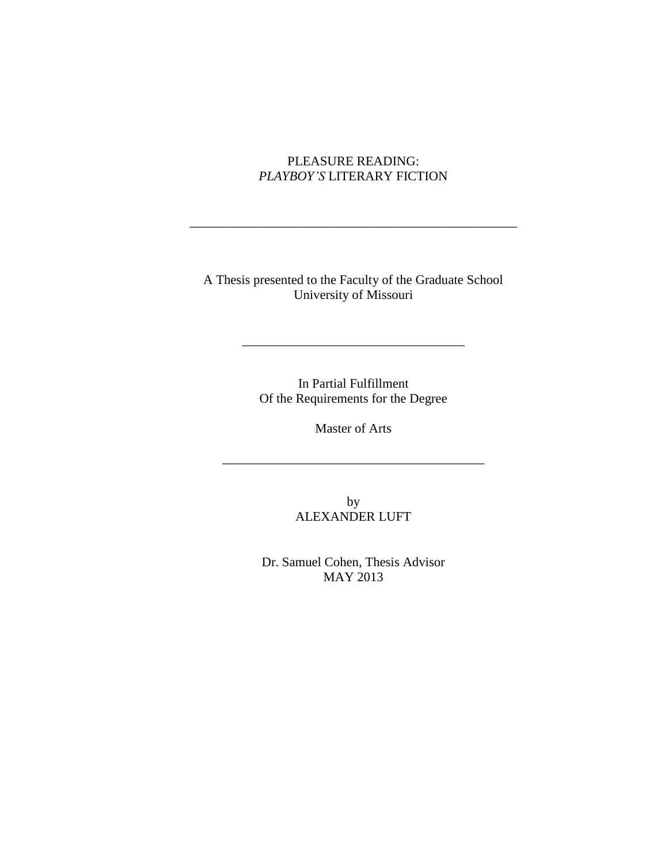## PLEASURE READING: *PLAYBOY'S* LITERARY FICTION

\_\_\_\_\_\_\_\_\_\_\_\_\_\_\_\_\_\_\_\_\_\_\_\_\_\_\_\_\_\_\_\_\_\_\_\_\_\_\_\_\_\_\_\_\_\_\_\_\_\_

A Thesis presented to the Faculty of the Graduate School University of Missouri

> In Partial Fulfillment Of the Requirements for the Degree

\_\_\_\_\_\_\_\_\_\_\_\_\_\_\_\_\_\_\_\_\_\_\_\_\_\_\_\_\_\_\_\_\_\_

Master of Arts

\_\_\_\_\_\_\_\_\_\_\_\_\_\_\_\_\_\_\_\_\_\_\_\_\_\_\_\_\_\_\_\_\_\_\_\_\_\_\_\_

by ALEXANDER LUFT

Dr. Samuel Cohen, Thesis Advisor MAY 2013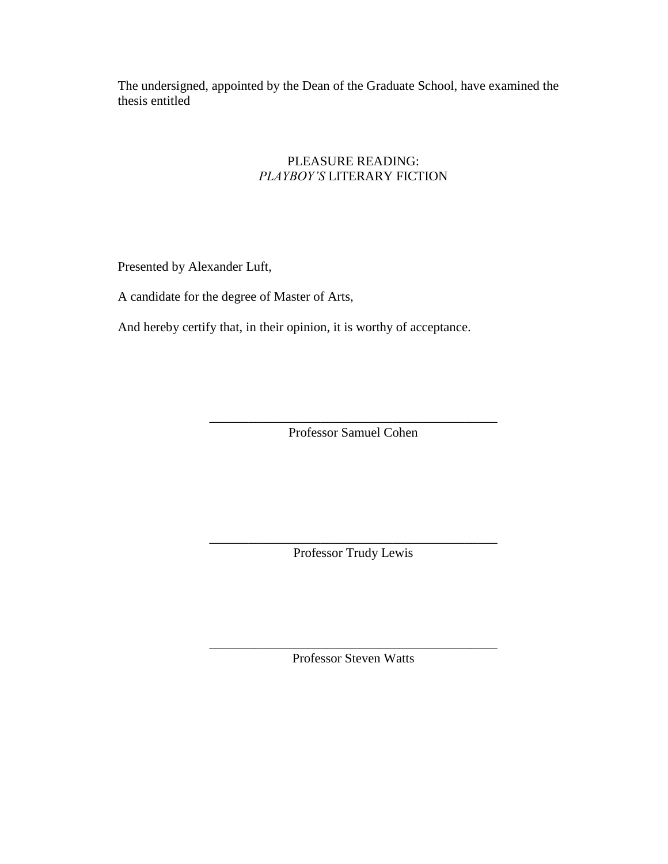The undersigned, appointed by the Dean of the Graduate School, have examined the thesis entitled

## PLEASURE READING: *PLAYBOY'S* LITERARY FICTION

Presented by Alexander Luft,

A candidate for the degree of Master of Arts,

And hereby certify that, in their opinion, it is worthy of acceptance.

\_\_\_\_\_\_\_\_\_\_\_\_\_\_\_\_\_\_\_\_\_\_\_\_\_\_\_\_\_\_\_\_\_\_\_\_\_\_\_\_\_\_\_\_ Professor Samuel Cohen

\_\_\_\_\_\_\_\_\_\_\_\_\_\_\_\_\_\_\_\_\_\_\_\_\_\_\_\_\_\_\_\_\_\_\_\_\_\_\_\_\_\_\_\_ Professor Trudy Lewis

\_\_\_\_\_\_\_\_\_\_\_\_\_\_\_\_\_\_\_\_\_\_\_\_\_\_\_\_\_\_\_\_\_\_\_\_\_\_\_\_\_\_\_\_ Professor Steven Watts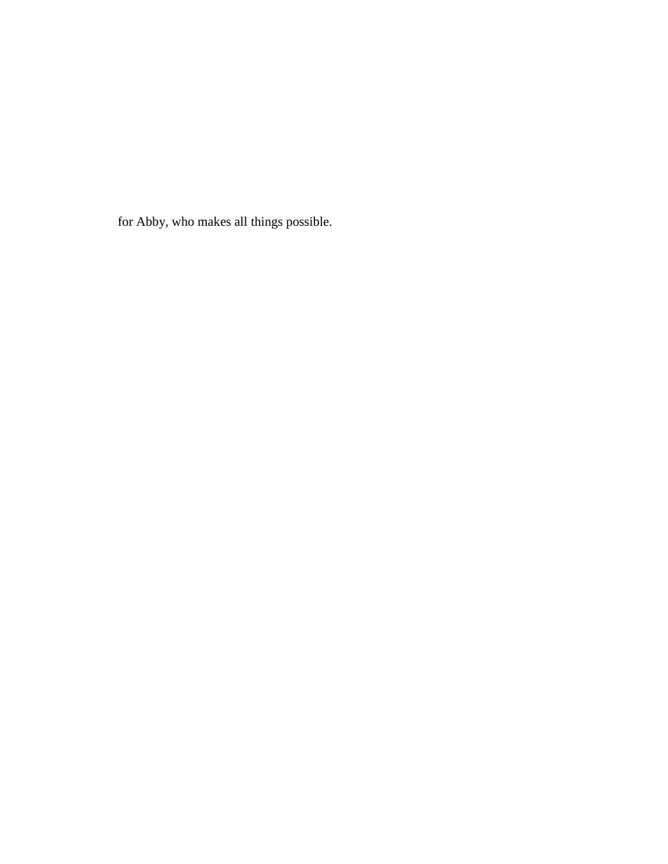for Abby, who makes all things possible.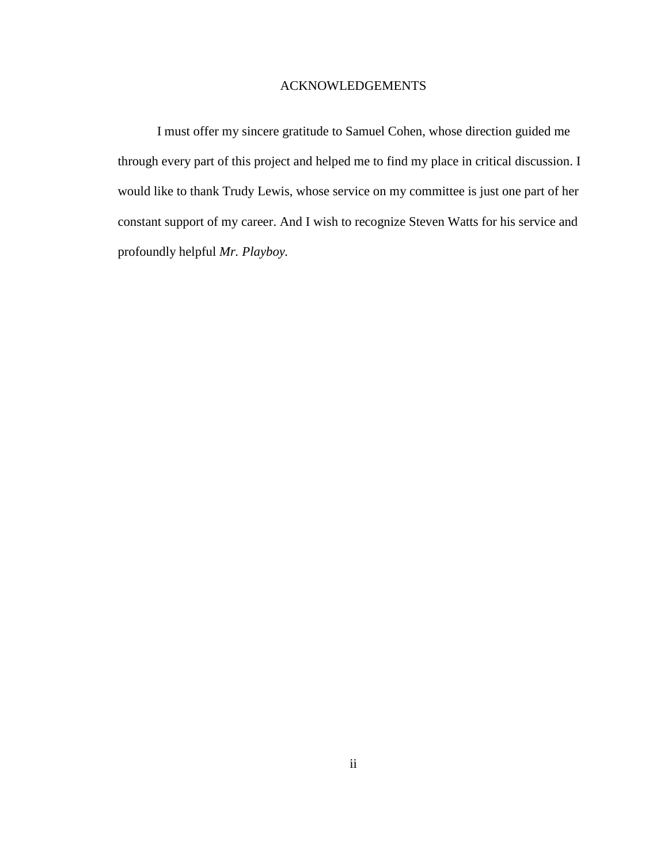## ACKNOWLEDGEMENTS

I must offer my sincere gratitude to Samuel Cohen, whose direction guided me through every part of this project and helped me to find my place in critical discussion. I would like to thank Trudy Lewis, whose service on my committee is just one part of her constant support of my career. And I wish to recognize Steven Watts for his service and profoundly helpful *Mr. Playboy.*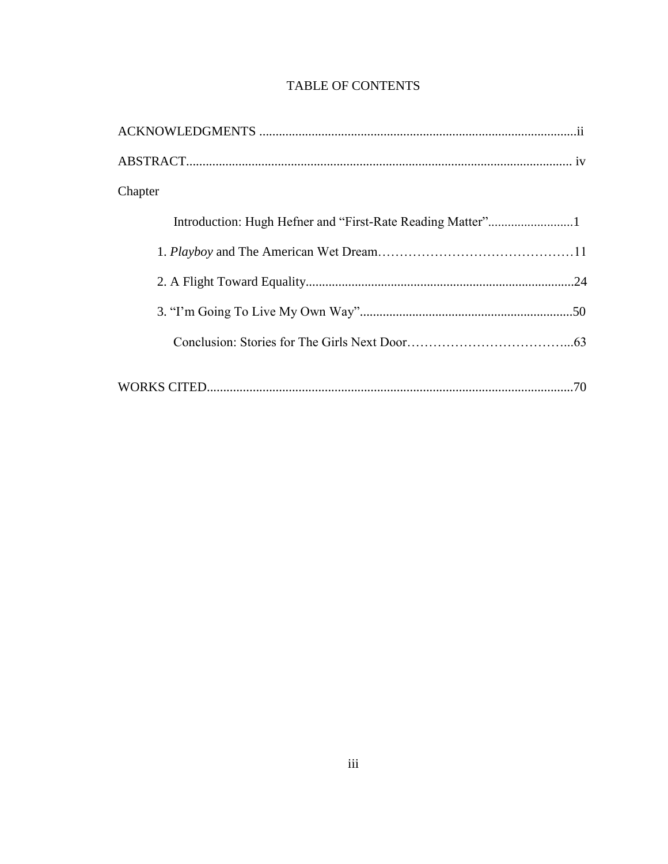| Chapter |  |
|---------|--|
|         |  |
|         |  |
|         |  |
|         |  |
|         |  |
|         |  |

# **TABLE OF CONTENTS**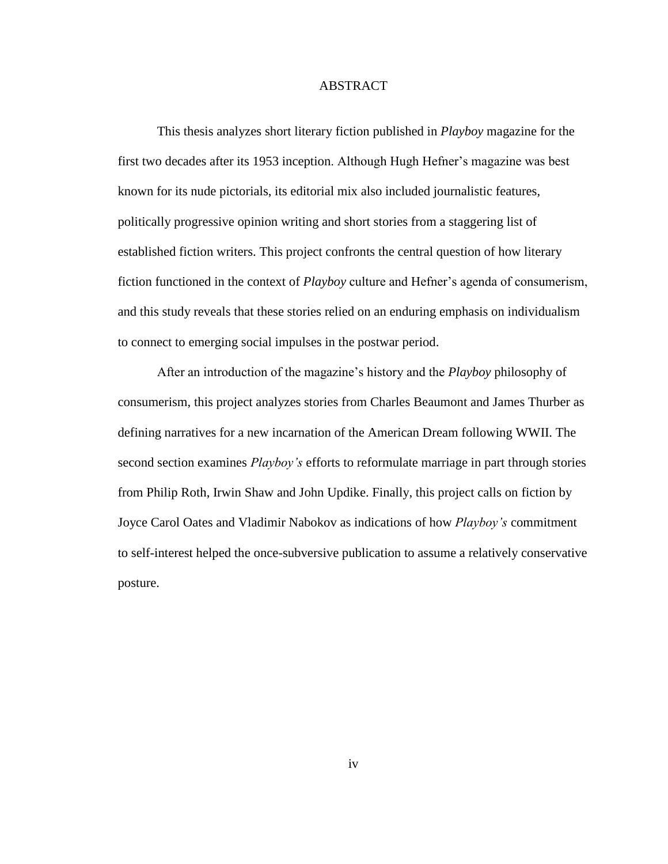### ABSTRACT

This thesis analyzes short literary fiction published in *Playboy* magazine for the first two decades after its 1953 inception. Although Hugh Hefner's magazine was best known for its nude pictorials, its editorial mix also included journalistic features, politically progressive opinion writing and short stories from a staggering list of established fiction writers. This project confronts the central question of how literary fiction functioned in the context of *Playboy* culture and Hefner's agenda of consumerism, and this study reveals that these stories relied on an enduring emphasis on individualism to connect to emerging social impulses in the postwar period.

After an introduction of the magazine's history and the *Playboy* philosophy of consumerism, this project analyzes stories from Charles Beaumont and James Thurber as defining narratives for a new incarnation of the American Dream following WWII. The second section examines *Playboy's* efforts to reformulate marriage in part through stories from Philip Roth, Irwin Shaw and John Updike. Finally, this project calls on fiction by Joyce Carol Oates and Vladimir Nabokov as indications of how *Playboy's* commitment to self-interest helped the once-subversive publication to assume a relatively conservative posture.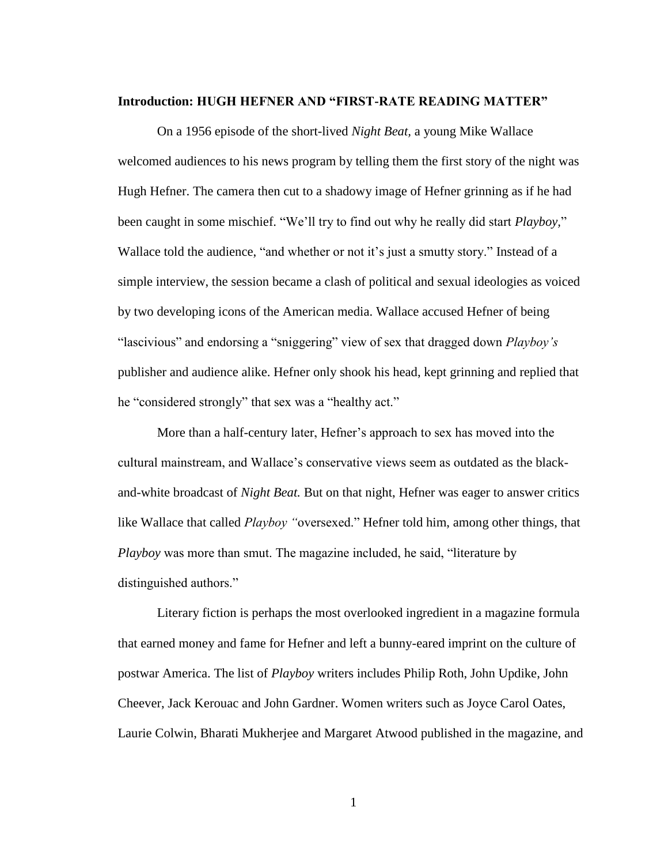#### **Introduction: HUGH HEFNER AND "FIRST-RATE READING MATTER"**

On a 1956 episode of the short-lived *Night Beat,* a young Mike Wallace welcomed audiences to his news program by telling them the first story of the night was Hugh Hefner. The camera then cut to a shadowy image of Hefner grinning as if he had been caught in some mischief. "We'll try to find out why he really did start *Playboy,*" Wallace told the audience, "and whether or not it's just a smutty story." Instead of a simple interview, the session became a clash of political and sexual ideologies as voiced by two developing icons of the American media. Wallace accused Hefner of being "lascivious" and endorsing a "sniggering" view of sex that dragged down *Playboy's* publisher and audience alike. Hefner only shook his head, kept grinning and replied that he "considered strongly" that sex was a "healthy act."

More than a half-century later, Hefner's approach to sex has moved into the cultural mainstream, and Wallace's conservative views seem as outdated as the blackand-white broadcast of *Night Beat.* But on that night, Hefner was eager to answer critics like Wallace that called *Playboy "*oversexed." Hefner told him, among other things, that *Playboy* was more than smut. The magazine included, he said, "literature by distinguished authors."

Literary fiction is perhaps the most overlooked ingredient in a magazine formula that earned money and fame for Hefner and left a bunny-eared imprint on the culture of postwar America. The list of *Playboy* writers includes Philip Roth, John Updike, John Cheever, Jack Kerouac and John Gardner. Women writers such as Joyce Carol Oates, Laurie Colwin, Bharati Mukherjee and Margaret Atwood published in the magazine, and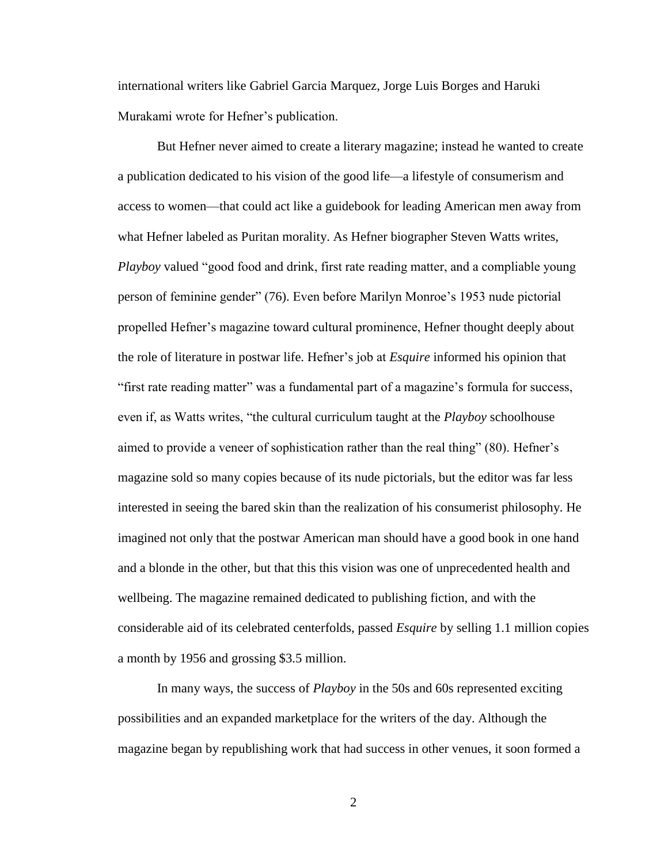international writers like Gabriel Garcia Marquez, Jorge Luis Borges and Haruki Murakami wrote for Hefner's publication.

But Hefner never aimed to create a literary magazine; instead he wanted to create a publication dedicated to his vision of the good life—a lifestyle of consumerism and access to women—that could act like a guidebook for leading American men away from what Hefner labeled as Puritan morality. As Hefner biographer Steven Watts writes, *Playboy* valued "good food and drink, first rate reading matter, and a compliable young person of feminine gender" (76). Even before Marilyn Monroe's 1953 nude pictorial propelled Hefner's magazine toward cultural prominence, Hefner thought deeply about the role of literature in postwar life. Hefner's job at *Esquire* informed his opinion that "first rate reading matter" was a fundamental part of a magazine's formula for success, even if, as Watts writes, "the cultural curriculum taught at the *Playboy* schoolhouse aimed to provide a veneer of sophistication rather than the real thing" (80). Hefner's magazine sold so many copies because of its nude pictorials, but the editor was far less interested in seeing the bared skin than the realization of his consumerist philosophy. He imagined not only that the postwar American man should have a good book in one hand and a blonde in the other, but that this this vision was one of unprecedented health and wellbeing. The magazine remained dedicated to publishing fiction, and with the considerable aid of its celebrated centerfolds, passed *Esquire* by selling 1.1 million copies a month by 1956 and grossing \$3.5 million.

In many ways, the success of *Playboy* in the 50s and 60s represented exciting possibilities and an expanded marketplace for the writers of the day. Although the magazine began by republishing work that had success in other venues, it soon formed a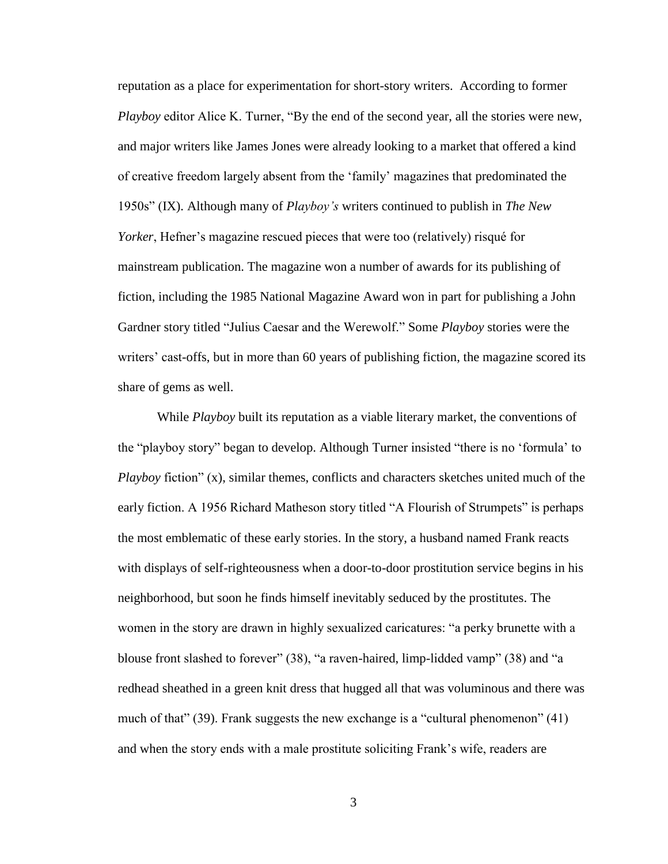reputation as a place for experimentation for short-story writers. According to former *Playboy* editor Alice K. Turner, "By the end of the second year, all the stories were new, and major writers like James Jones were already looking to a market that offered a kind of creative freedom largely absent from the 'family' magazines that predominated the 1950s" (IX). Although many of *Playboy's* writers continued to publish in *The New Yorker*, Hefner's magazine rescued pieces that were too (relatively) risqué for mainstream publication. The magazine won a number of awards for its publishing of fiction, including the 1985 National Magazine Award won in part for publishing a John Gardner story titled "Julius Caesar and the Werewolf." Some *Playboy* stories were the writers' cast-offs, but in more than 60 years of publishing fiction, the magazine scored its share of gems as well.

While *Playboy* built its reputation as a viable literary market, the conventions of the "playboy story" began to develop. Although Turner insisted "there is no 'formula' to *Playboy* fiction" (x), similar themes, conflicts and characters sketches united much of the early fiction. A 1956 Richard Matheson story titled "A Flourish of Strumpets" is perhaps the most emblematic of these early stories. In the story, a husband named Frank reacts with displays of self-righteousness when a door-to-door prostitution service begins in his neighborhood, but soon he finds himself inevitably seduced by the prostitutes. The women in the story are drawn in highly sexualized caricatures: "a perky brunette with a blouse front slashed to forever" (38), "a raven-haired, limp-lidded vamp" (38) and "a redhead sheathed in a green knit dress that hugged all that was voluminous and there was much of that" (39). Frank suggests the new exchange is a "cultural phenomenon" (41) and when the story ends with a male prostitute soliciting Frank's wife, readers are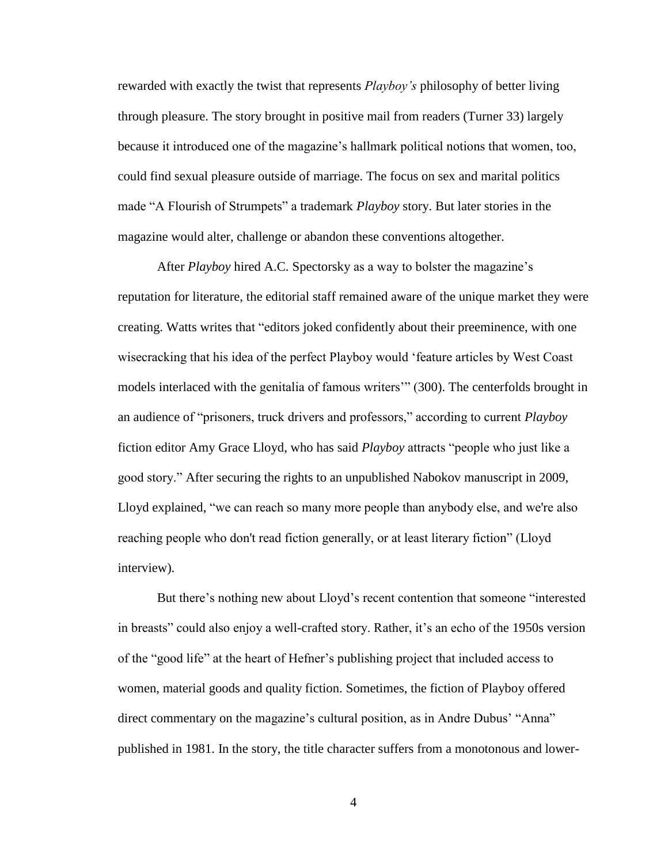rewarded with exactly the twist that represents *Playboy's* philosophy of better living through pleasure. The story brought in positive mail from readers (Turner 33) largely because it introduced one of the magazine's hallmark political notions that women, too, could find sexual pleasure outside of marriage. The focus on sex and marital politics made "A Flourish of Strumpets" a trademark *Playboy* story. But later stories in the magazine would alter, challenge or abandon these conventions altogether.

After *Playboy* hired A.C. Spectorsky as a way to bolster the magazine's reputation for literature, the editorial staff remained aware of the unique market they were creating. Watts writes that "editors joked confidently about their preeminence, with one wisecracking that his idea of the perfect Playboy would 'feature articles by West Coast models interlaced with the genitalia of famous writers'" (300). The centerfolds brought in an audience of "prisoners, truck drivers and professors," according to current *Playboy* fiction editor Amy Grace Lloyd, who has said *Playboy* attracts "people who just like a good story." After securing the rights to an unpublished Nabokov manuscript in 2009, Lloyd explained, "we can reach so many more people than anybody else, and we're also reaching people who don't read fiction generally, or at least literary fiction" (Lloyd interview).

But there's nothing new about Lloyd's recent contention that someone "interested in breasts" could also enjoy a well-crafted story. Rather, it's an echo of the 1950s version of the "good life" at the heart of Hefner's publishing project that included access to women, material goods and quality fiction. Sometimes, the fiction of Playboy offered direct commentary on the magazine's cultural position, as in Andre Dubus' "Anna" published in 1981. In the story, the title character suffers from a monotonous and lower-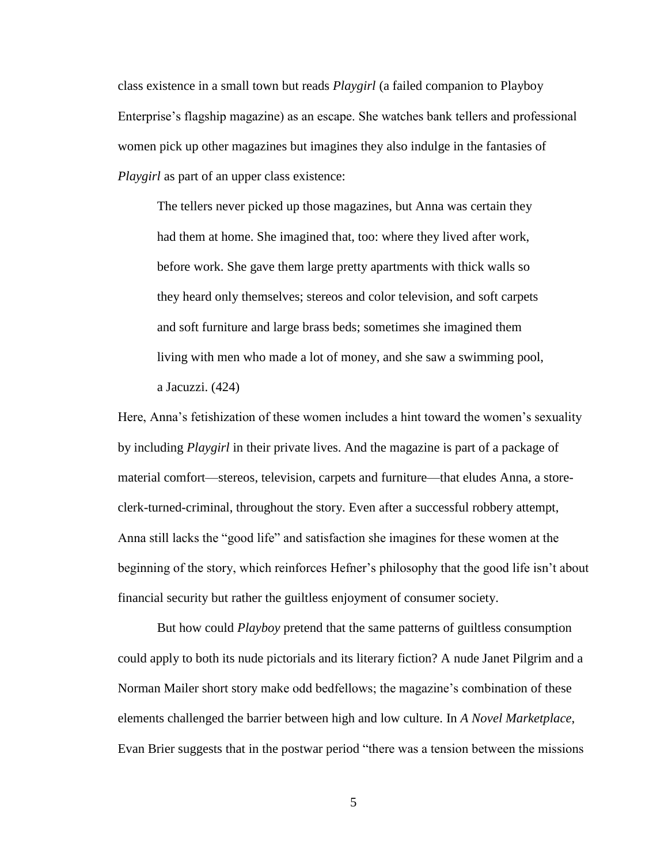class existence in a small town but reads *Playgirl* (a failed companion to Playboy Enterprise's flagship magazine) as an escape. She watches bank tellers and professional women pick up other magazines but imagines they also indulge in the fantasies of *Playgirl* as part of an upper class existence:

The tellers never picked up those magazines, but Anna was certain they had them at home. She imagined that, too: where they lived after work, before work. She gave them large pretty apartments with thick walls so they heard only themselves; stereos and color television, and soft carpets and soft furniture and large brass beds; sometimes she imagined them living with men who made a lot of money, and she saw a swimming pool, a Jacuzzi. (424)

Here, Anna's fetishization of these women includes a hint toward the women's sexuality by including *Playgirl* in their private lives. And the magazine is part of a package of material comfort—stereos, television, carpets and furniture—that eludes Anna, a storeclerk-turned-criminal, throughout the story. Even after a successful robbery attempt, Anna still lacks the "good life" and satisfaction she imagines for these women at the beginning of the story, which reinforces Hefner's philosophy that the good life isn't about financial security but rather the guiltless enjoyment of consumer society.

But how could *Playboy* pretend that the same patterns of guiltless consumption could apply to both its nude pictorials and its literary fiction? A nude Janet Pilgrim and a Norman Mailer short story make odd bedfellows; the magazine's combination of these elements challenged the barrier between high and low culture. In *A Novel Marketplace*, Evan Brier suggests that in the postwar period "there was a tension between the missions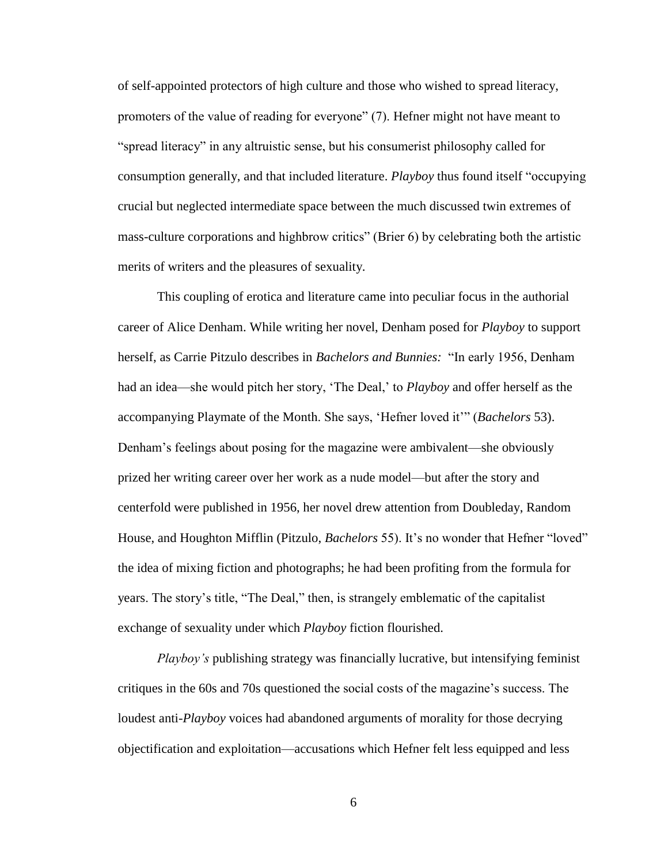of self-appointed protectors of high culture and those who wished to spread literacy, promoters of the value of reading for everyone" (7). Hefner might not have meant to "spread literacy" in any altruistic sense, but his consumerist philosophy called for consumption generally, and that included literature. *Playboy* thus found itself "occupying crucial but neglected intermediate space between the much discussed twin extremes of mass-culture corporations and highbrow critics" (Brier 6) by celebrating both the artistic merits of writers and the pleasures of sexuality.

This coupling of erotica and literature came into peculiar focus in the authorial career of Alice Denham. While writing her novel, Denham posed for *Playboy* to support herself, as Carrie Pitzulo describes in *Bachelors and Bunnies:* "In early 1956, Denham had an idea—she would pitch her story, 'The Deal,' to *Playboy* and offer herself as the accompanying Playmate of the Month. She says, 'Hefner loved it'" (*Bachelors* 53). Denham's feelings about posing for the magazine were ambivalent—she obviously prized her writing career over her work as a nude model—but after the story and centerfold were published in 1956, her novel drew attention from Doubleday, Random House, and Houghton Mifflin (Pitzulo, *Bachelors* 55). It's no wonder that Hefner "loved" the idea of mixing fiction and photographs; he had been profiting from the formula for years. The story's title, "The Deal," then, is strangely emblematic of the capitalist exchange of sexuality under which *Playboy* fiction flourished.

*Playboy's* publishing strategy was financially lucrative, but intensifying feminist critiques in the 60s and 70s questioned the social costs of the magazine's success. The loudest anti-*Playboy* voices had abandoned arguments of morality for those decrying objectification and exploitation—accusations which Hefner felt less equipped and less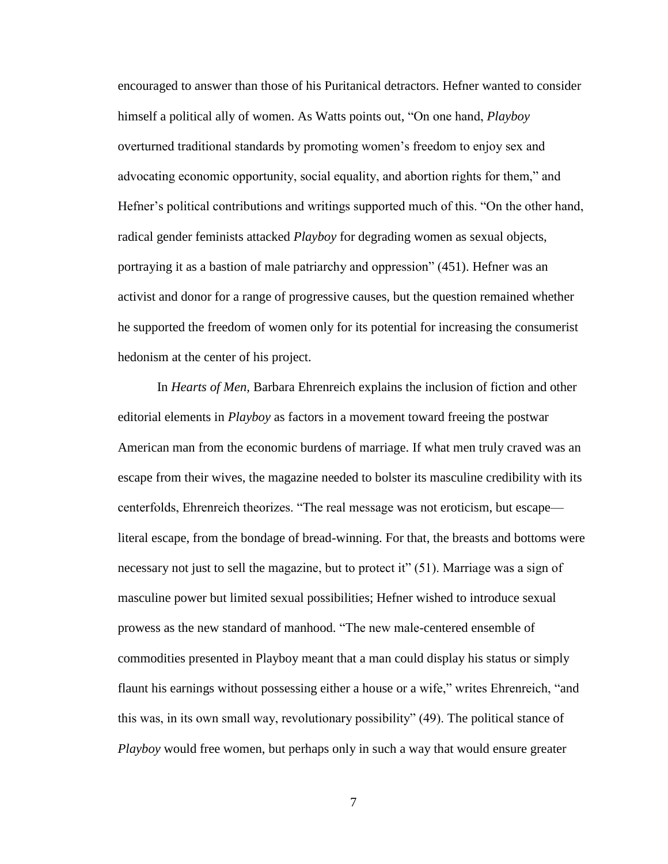encouraged to answer than those of his Puritanical detractors. Hefner wanted to consider himself a political ally of women. As Watts points out, "On one hand, *Playboy*  overturned traditional standards by promoting women's freedom to enjoy sex and advocating economic opportunity, social equality, and abortion rights for them," and Hefner's political contributions and writings supported much of this. "On the other hand, radical gender feminists attacked *Playboy* for degrading women as sexual objects, portraying it as a bastion of male patriarchy and oppression" (451). Hefner was an activist and donor for a range of progressive causes, but the question remained whether he supported the freedom of women only for its potential for increasing the consumerist hedonism at the center of his project.

In *Hearts of Men,* Barbara Ehrenreich explains the inclusion of fiction and other editorial elements in *Playboy* as factors in a movement toward freeing the postwar American man from the economic burdens of marriage. If what men truly craved was an escape from their wives, the magazine needed to bolster its masculine credibility with its centerfolds, Ehrenreich theorizes. "The real message was not eroticism, but escape literal escape, from the bondage of bread-winning. For that, the breasts and bottoms were necessary not just to sell the magazine, but to protect it" (51). Marriage was a sign of masculine power but limited sexual possibilities; Hefner wished to introduce sexual prowess as the new standard of manhood. "The new male-centered ensemble of commodities presented in Playboy meant that a man could display his status or simply flaunt his earnings without possessing either a house or a wife," writes Ehrenreich, "and this was, in its own small way, revolutionary possibility" (49). The political stance of *Playboy* would free women, but perhaps only in such a way that would ensure greater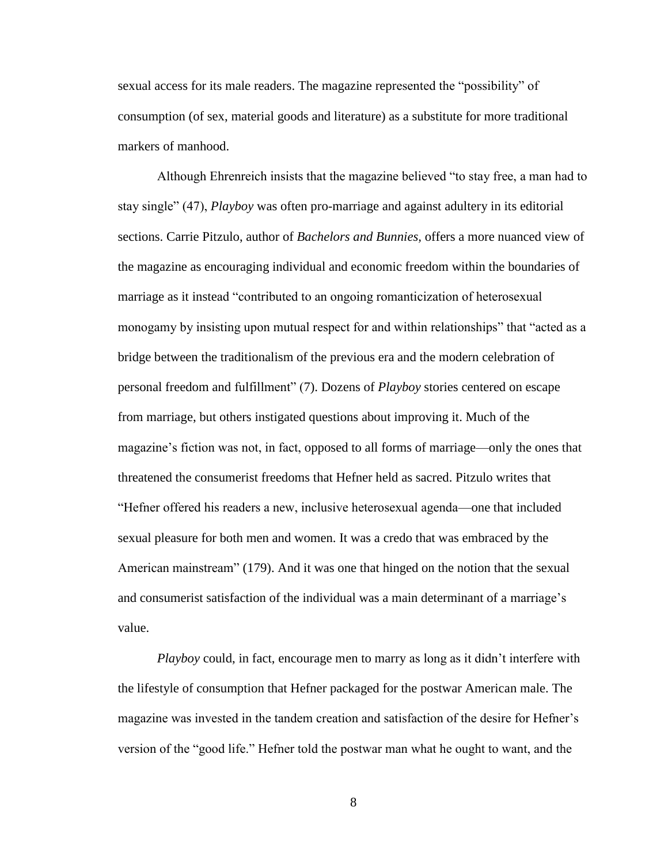sexual access for its male readers. The magazine represented the "possibility" of consumption (of sex, material goods and literature) as a substitute for more traditional markers of manhood.

Although Ehrenreich insists that the magazine believed "to stay free, a man had to stay single" (47), *Playboy* was often pro-marriage and against adultery in its editorial sections. Carrie Pitzulo, author of *Bachelors and Bunnies,* offers a more nuanced view of the magazine as encouraging individual and economic freedom within the boundaries of marriage as it instead "contributed to an ongoing romanticization of heterosexual monogamy by insisting upon mutual respect for and within relationships" that "acted as a bridge between the traditionalism of the previous era and the modern celebration of personal freedom and fulfillment" (7). Dozens of *Playboy* stories centered on escape from marriage, but others instigated questions about improving it. Much of the magazine's fiction was not, in fact, opposed to all forms of marriage—only the ones that threatened the consumerist freedoms that Hefner held as sacred. Pitzulo writes that "Hefner offered his readers a new, inclusive heterosexual agenda—one that included sexual pleasure for both men and women. It was a credo that was embraced by the American mainstream" (179). And it was one that hinged on the notion that the sexual and consumerist satisfaction of the individual was a main determinant of a marriage's value.

*Playboy* could, in fact, encourage men to marry as long as it didn't interfere with the lifestyle of consumption that Hefner packaged for the postwar American male. The magazine was invested in the tandem creation and satisfaction of the desire for Hefner's version of the "good life." Hefner told the postwar man what he ought to want, and the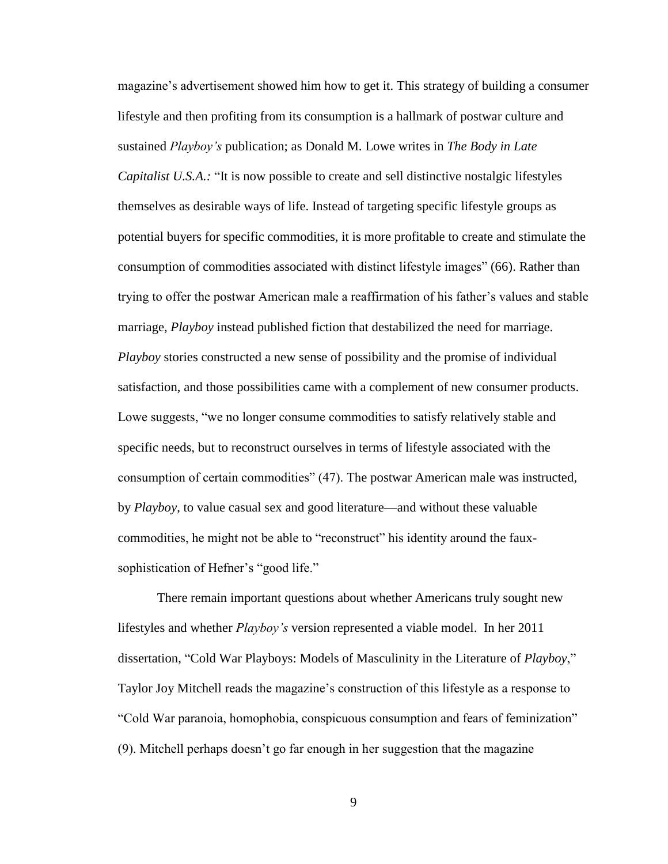magazine's advertisement showed him how to get it. This strategy of building a consumer lifestyle and then profiting from its consumption is a hallmark of postwar culture and sustained *Playboy's* publication; as Donald M. Lowe writes in *The Body in Late Capitalist U.S.A.:* "It is now possible to create and sell distinctive nostalgic lifestyles themselves as desirable ways of life. Instead of targeting specific lifestyle groups as potential buyers for specific commodities, it is more profitable to create and stimulate the consumption of commodities associated with distinct lifestyle images" (66). Rather than trying to offer the postwar American male a reaffirmation of his father's values and stable marriage, *Playboy* instead published fiction that destabilized the need for marriage. *Playboy* stories constructed a new sense of possibility and the promise of individual satisfaction, and those possibilities came with a complement of new consumer products. Lowe suggests, "we no longer consume commodities to satisfy relatively stable and specific needs, but to reconstruct ourselves in terms of lifestyle associated with the consumption of certain commodities" (47). The postwar American male was instructed, by *Playboy*, to value casual sex and good literature—and without these valuable commodities, he might not be able to "reconstruct" his identity around the fauxsophistication of Hefner's "good life."

There remain important questions about whether Americans truly sought new lifestyles and whether *Playboy's* version represented a viable model. In her 2011 dissertation, "Cold War Playboys: Models of Masculinity in the Literature of *Playboy*," Taylor Joy Mitchell reads the magazine's construction of this lifestyle as a response to "Cold War paranoia, homophobia, conspicuous consumption and fears of feminization" (9). Mitchell perhaps doesn't go far enough in her suggestion that the magazine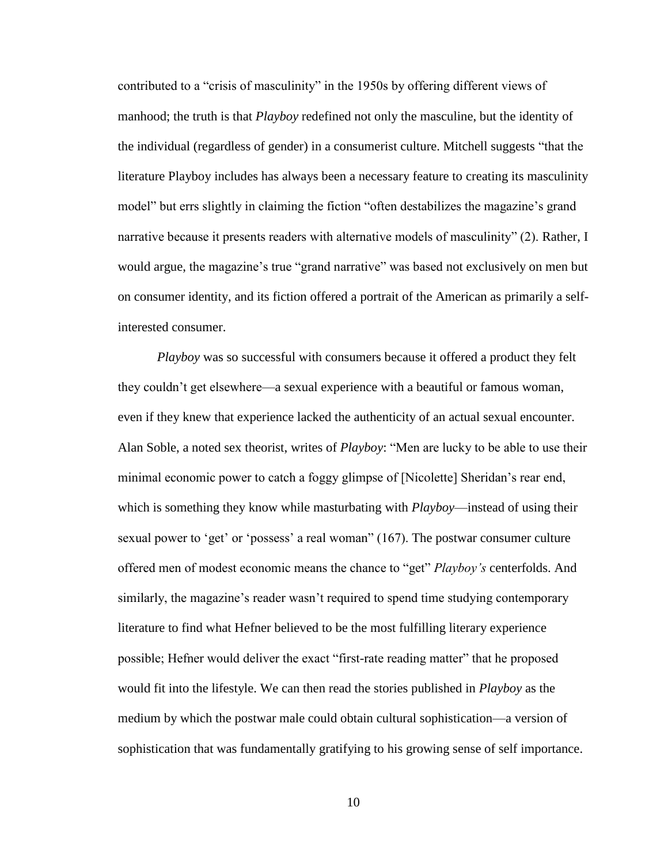contributed to a "crisis of masculinity" in the 1950s by offering different views of manhood; the truth is that *Playboy* redefined not only the masculine, but the identity of the individual (regardless of gender) in a consumerist culture. Mitchell suggests "that the literature Playboy includes has always been a necessary feature to creating its masculinity model" but errs slightly in claiming the fiction "often destabilizes the magazine's grand narrative because it presents readers with alternative models of masculinity" (2). Rather, I would argue, the magazine's true "grand narrative" was based not exclusively on men but on consumer identity, and its fiction offered a portrait of the American as primarily a selfinterested consumer.

*Playboy* was so successful with consumers because it offered a product they felt they couldn't get elsewhere—a sexual experience with a beautiful or famous woman, even if they knew that experience lacked the authenticity of an actual sexual encounter. Alan Soble, a noted sex theorist, writes of *Playboy*: "Men are lucky to be able to use their minimal economic power to catch a foggy glimpse of [Nicolette] Sheridan's rear end, which is something they know while masturbating with *Playboy*—instead of using their sexual power to 'get' or 'possess' a real woman" (167). The postwar consumer culture offered men of modest economic means the chance to "get" *Playboy's* centerfolds. And similarly, the magazine's reader wasn't required to spend time studying contemporary literature to find what Hefner believed to be the most fulfilling literary experience possible; Hefner would deliver the exact "first-rate reading matter" that he proposed would fit into the lifestyle. We can then read the stories published in *Playboy* as the medium by which the postwar male could obtain cultural sophistication—a version of sophistication that was fundamentally gratifying to his growing sense of self importance.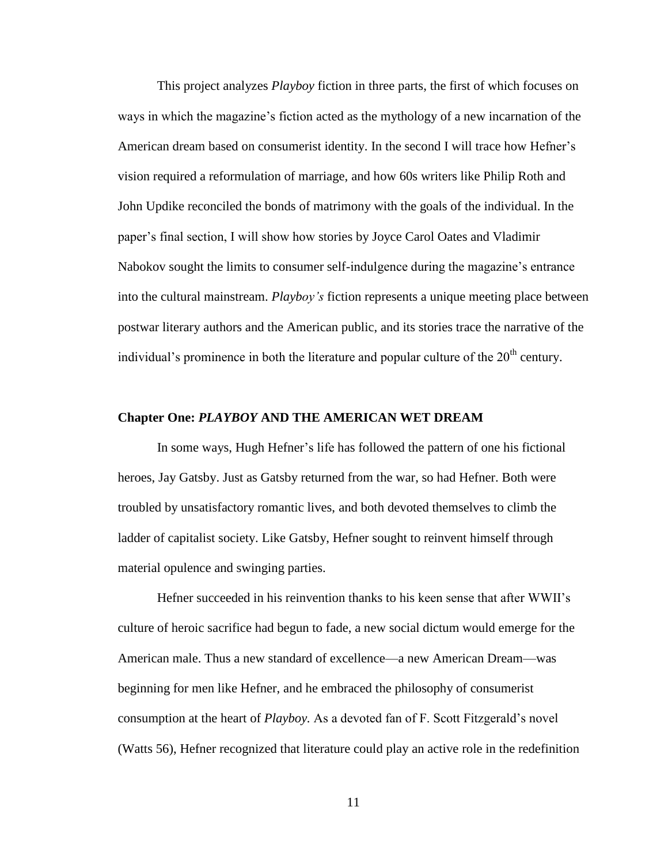This project analyzes *Playboy* fiction in three parts, the first of which focuses on ways in which the magazine's fiction acted as the mythology of a new incarnation of the American dream based on consumerist identity. In the second I will trace how Hefner's vision required a reformulation of marriage, and how 60s writers like Philip Roth and John Updike reconciled the bonds of matrimony with the goals of the individual. In the paper's final section, I will show how stories by Joyce Carol Oates and Vladimir Nabokov sought the limits to consumer self-indulgence during the magazine's entrance into the cultural mainstream. *Playboy's* fiction represents a unique meeting place between postwar literary authors and the American public, and its stories trace the narrative of the individual's prominence in both the literature and popular culture of the  $20<sup>th</sup>$  century.

#### **Chapter One:** *PLAYBOY* **AND THE AMERICAN WET DREAM**

In some ways, Hugh Hefner's life has followed the pattern of one his fictional heroes, Jay Gatsby. Just as Gatsby returned from the war, so had Hefner. Both were troubled by unsatisfactory romantic lives, and both devoted themselves to climb the ladder of capitalist society. Like Gatsby, Hefner sought to reinvent himself through material opulence and swinging parties.

Hefner succeeded in his reinvention thanks to his keen sense that after WWII's culture of heroic sacrifice had begun to fade, a new social dictum would emerge for the American male. Thus a new standard of excellence—a new American Dream—was beginning for men like Hefner, and he embraced the philosophy of consumerist consumption at the heart of *Playboy.* As a devoted fan of F. Scott Fitzgerald's novel (Watts 56), Hefner recognized that literature could play an active role in the redefinition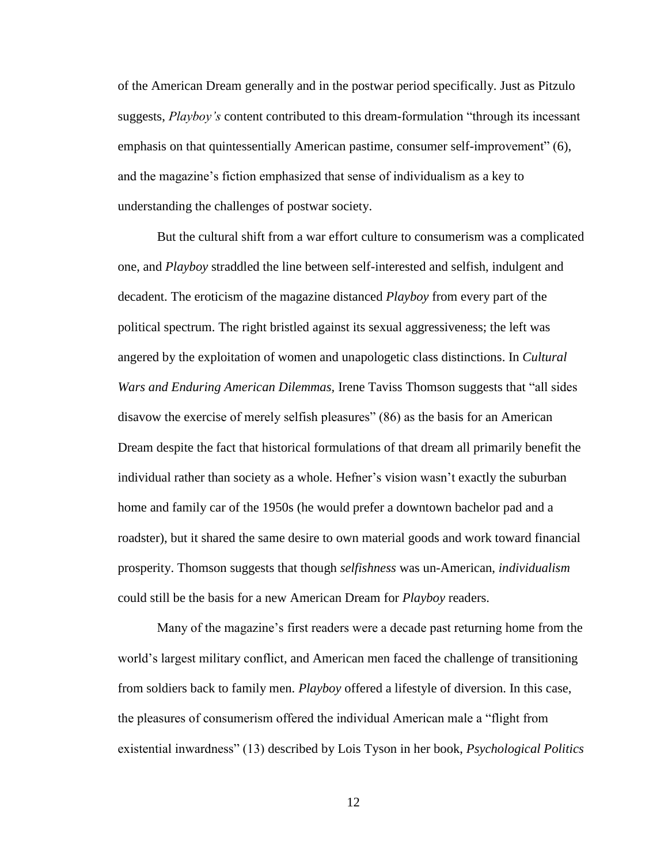of the American Dream generally and in the postwar period specifically. Just as Pitzulo suggests, *Playboy's* content contributed to this dream-formulation "through its incessant emphasis on that quintessentially American pastime, consumer self-improvement" (6), and the magazine's fiction emphasized that sense of individualism as a key to understanding the challenges of postwar society.

But the cultural shift from a war effort culture to consumerism was a complicated one, and *Playboy* straddled the line between self-interested and selfish, indulgent and decadent. The eroticism of the magazine distanced *Playboy* from every part of the political spectrum. The right bristled against its sexual aggressiveness; the left was angered by the exploitation of women and unapologetic class distinctions. In *Cultural Wars and Enduring American Dilemmas,* Irene Taviss Thomson suggests that "all sides disavow the exercise of merely selfish pleasures" (86) as the basis for an American Dream despite the fact that historical formulations of that dream all primarily benefit the individual rather than society as a whole. Hefner's vision wasn't exactly the suburban home and family car of the 1950s (he would prefer a downtown bachelor pad and a roadster), but it shared the same desire to own material goods and work toward financial prosperity. Thomson suggests that though *selfishness* was un-American, *individualism*  could still be the basis for a new American Dream for *Playboy* readers.

Many of the magazine's first readers were a decade past returning home from the world's largest military conflict, and American men faced the challenge of transitioning from soldiers back to family men. *Playboy* offered a lifestyle of diversion. In this case, the pleasures of consumerism offered the individual American male a "flight from existential inwardness" (13) described by Lois Tyson in her book, *Psychological Politics*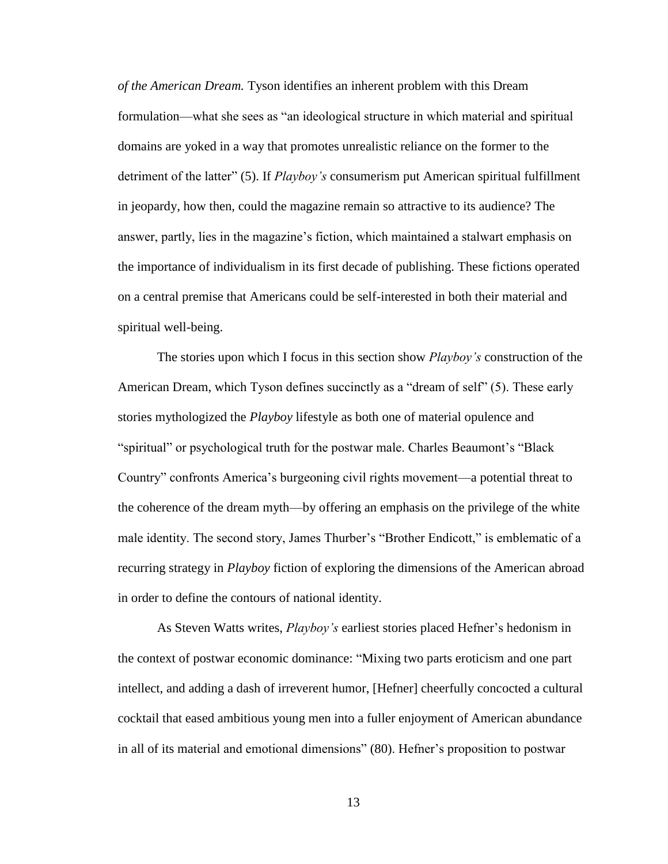*of the American Dream.* Tyson identifies an inherent problem with this Dream formulation—what she sees as "an ideological structure in which material and spiritual domains are yoked in a way that promotes unrealistic reliance on the former to the detriment of the latter" (5). If *Playboy's* consumerism put American spiritual fulfillment in jeopardy, how then, could the magazine remain so attractive to its audience? The answer, partly, lies in the magazine's fiction, which maintained a stalwart emphasis on the importance of individualism in its first decade of publishing. These fictions operated on a central premise that Americans could be self-interested in both their material and spiritual well-being.

The stories upon which I focus in this section show *Playboy's* construction of the American Dream, which Tyson defines succinctly as a "dream of self" (5). These early stories mythologized the *Playboy* lifestyle as both one of material opulence and "spiritual" or psychological truth for the postwar male. Charles Beaumont's "Black Country" confronts America's burgeoning civil rights movement—a potential threat to the coherence of the dream myth—by offering an emphasis on the privilege of the white male identity. The second story, James Thurber's "Brother Endicott," is emblematic of a recurring strategy in *Playboy* fiction of exploring the dimensions of the American abroad in order to define the contours of national identity.

As Steven Watts writes, *Playboy's* earliest stories placed Hefner's hedonism in the context of postwar economic dominance: "Mixing two parts eroticism and one part intellect, and adding a dash of irreverent humor, [Hefner] cheerfully concocted a cultural cocktail that eased ambitious young men into a fuller enjoyment of American abundance in all of its material and emotional dimensions" (80). Hefner's proposition to postwar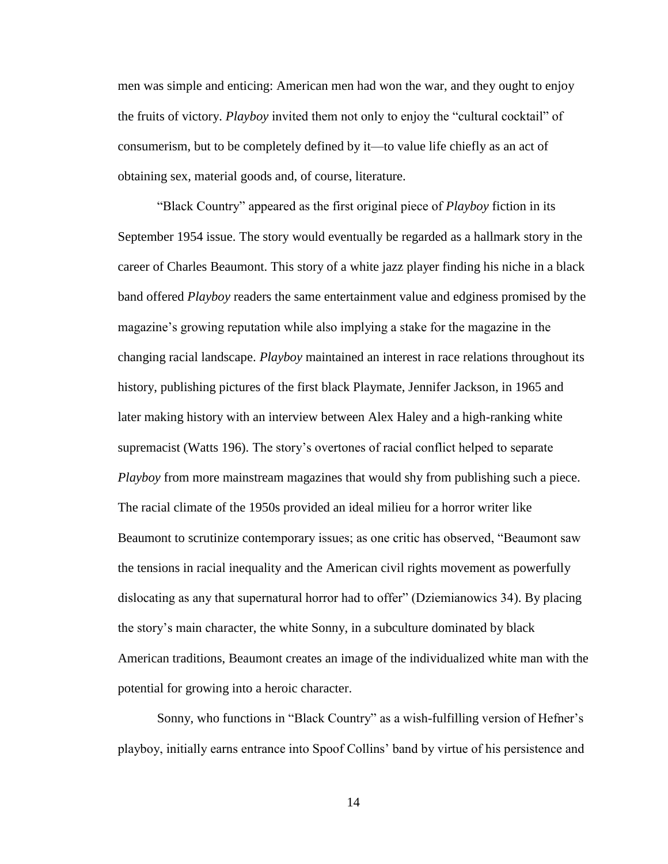men was simple and enticing: American men had won the war, and they ought to enjoy the fruits of victory. *Playboy* invited them not only to enjoy the "cultural cocktail" of consumerism, but to be completely defined by it—to value life chiefly as an act of obtaining sex, material goods and, of course, literature.

"Black Country" appeared as the first original piece of *Playboy* fiction in its September 1954 issue. The story would eventually be regarded as a hallmark story in the career of Charles Beaumont. This story of a white jazz player finding his niche in a black band offered *Playboy* readers the same entertainment value and edginess promised by the magazine's growing reputation while also implying a stake for the magazine in the changing racial landscape. *Playboy* maintained an interest in race relations throughout its history, publishing pictures of the first black Playmate, Jennifer Jackson, in 1965 and later making history with an interview between Alex Haley and a high-ranking white supremacist (Watts 196). The story's overtones of racial conflict helped to separate *Playboy* from more mainstream magazines that would shy from publishing such a piece. The racial climate of the 1950s provided an ideal milieu for a horror writer like Beaumont to scrutinize contemporary issues; as one critic has observed, "Beaumont saw the tensions in racial inequality and the American civil rights movement as powerfully dislocating as any that supernatural horror had to offer" (Dziemianowics 34). By placing the story's main character, the white Sonny, in a subculture dominated by black American traditions, Beaumont creates an image of the individualized white man with the potential for growing into a heroic character.

Sonny, who functions in "Black Country" as a wish-fulfilling version of Hefner's playboy, initially earns entrance into Spoof Collins' band by virtue of his persistence and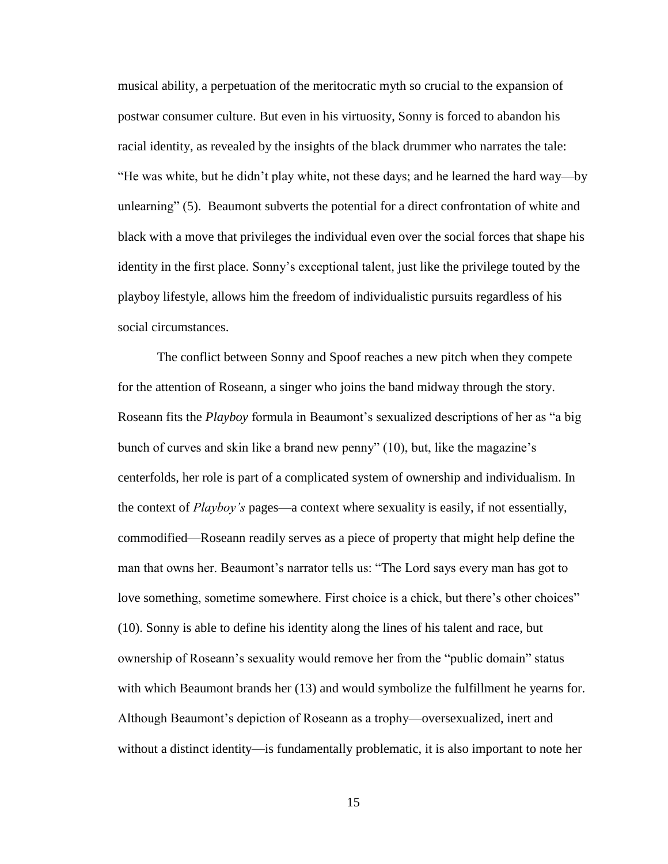musical ability, a perpetuation of the meritocratic myth so crucial to the expansion of postwar consumer culture. But even in his virtuosity, Sonny is forced to abandon his racial identity, as revealed by the insights of the black drummer who narrates the tale: "He was white, but he didn't play white, not these days; and he learned the hard way—by unlearning" (5). Beaumont subverts the potential for a direct confrontation of white and black with a move that privileges the individual even over the social forces that shape his identity in the first place. Sonny's exceptional talent, just like the privilege touted by the playboy lifestyle, allows him the freedom of individualistic pursuits regardless of his social circumstances.

The conflict between Sonny and Spoof reaches a new pitch when they compete for the attention of Roseann, a singer who joins the band midway through the story. Roseann fits the *Playboy* formula in Beaumont's sexualized descriptions of her as "a big bunch of curves and skin like a brand new penny" (10), but, like the magazine's centerfolds, her role is part of a complicated system of ownership and individualism. In the context of *Playboy's* pages—a context where sexuality is easily, if not essentially, commodified—Roseann readily serves as a piece of property that might help define the man that owns her. Beaumont's narrator tells us: "The Lord says every man has got to love something, sometime somewhere. First choice is a chick, but there's other choices" (10). Sonny is able to define his identity along the lines of his talent and race, but ownership of Roseann's sexuality would remove her from the "public domain" status with which Beaumont brands her (13) and would symbolize the fulfillment he yearns for. Although Beaumont's depiction of Roseann as a trophy—oversexualized, inert and without a distinct identity—is fundamentally problematic, it is also important to note her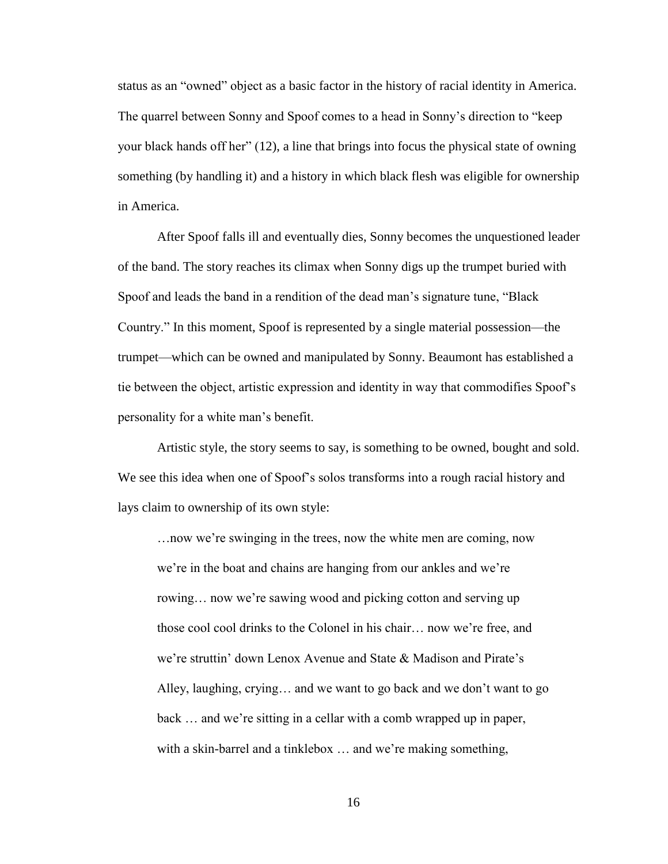status as an "owned" object as a basic factor in the history of racial identity in America. The quarrel between Sonny and Spoof comes to a head in Sonny's direction to "keep your black hands off her" (12), a line that brings into focus the physical state of owning something (by handling it) and a history in which black flesh was eligible for ownership in America.

After Spoof falls ill and eventually dies, Sonny becomes the unquestioned leader of the band. The story reaches its climax when Sonny digs up the trumpet buried with Spoof and leads the band in a rendition of the dead man's signature tune, "Black Country." In this moment, Spoof is represented by a single material possession—the trumpet—which can be owned and manipulated by Sonny. Beaumont has established a tie between the object, artistic expression and identity in way that commodifies Spoof's personality for a white man's benefit.

Artistic style, the story seems to say, is something to be owned, bought and sold. We see this idea when one of Spoof's solos transforms into a rough racial history and lays claim to ownership of its own style:

…now we're swinging in the trees, now the white men are coming, now we're in the boat and chains are hanging from our ankles and we're rowing… now we're sawing wood and picking cotton and serving up those cool cool drinks to the Colonel in his chair… now we're free, and we're struttin' down Lenox Avenue and State & Madison and Pirate's Alley, laughing, crying… and we want to go back and we don't want to go back … and we're sitting in a cellar with a comb wrapped up in paper, with a skin-barrel and a tinklebox ... and we're making something,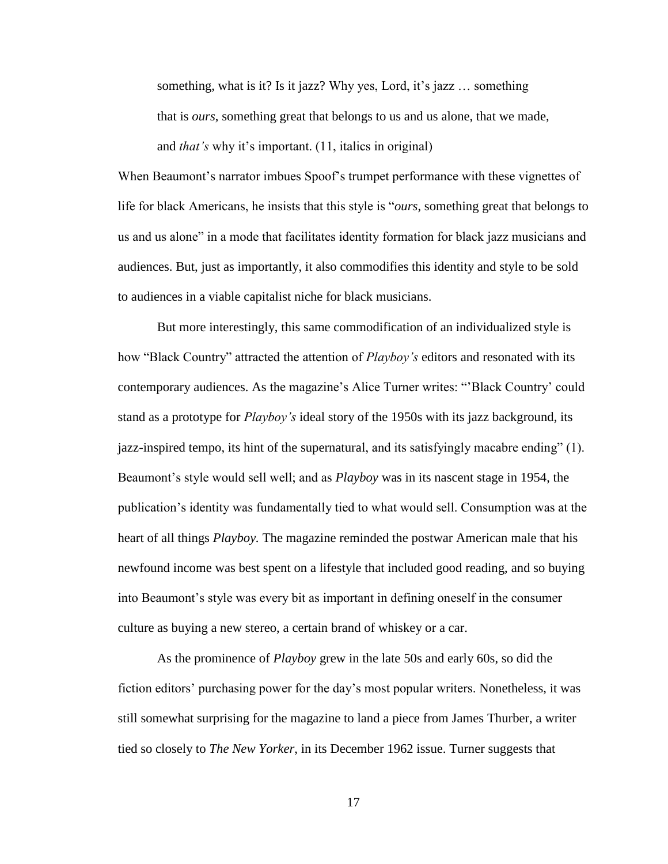something, what is it? Is it jazz? Why yes, Lord, it's jazz … something that is *ours*, something great that belongs to us and us alone, that we made, and *that's* why it's important. (11, italics in original)

When Beaumont's narrator imbues Spoof's trumpet performance with these vignettes of life for black Americans, he insists that this style is "*ours*, something great that belongs to us and us alone" in a mode that facilitates identity formation for black jazz musicians and audiences. But, just as importantly, it also commodifies this identity and style to be sold to audiences in a viable capitalist niche for black musicians.

But more interestingly, this same commodification of an individualized style is how "Black Country" attracted the attention of *Playboy's* editors and resonated with its contemporary audiences. As the magazine's Alice Turner writes: "'Black Country' could stand as a prototype for *Playboy's* ideal story of the 1950s with its jazz background, its jazz-inspired tempo, its hint of the supernatural, and its satisfyingly macabre ending" (1). Beaumont's style would sell well; and as *Playboy* was in its nascent stage in 1954, the publication's identity was fundamentally tied to what would sell. Consumption was at the heart of all things *Playboy.* The magazine reminded the postwar American male that his newfound income was best spent on a lifestyle that included good reading, and so buying into Beaumont's style was every bit as important in defining oneself in the consumer culture as buying a new stereo, a certain brand of whiskey or a car.

As the prominence of *Playboy* grew in the late 50s and early 60s, so did the fiction editors' purchasing power for the day's most popular writers. Nonetheless, it was still somewhat surprising for the magazine to land a piece from James Thurber, a writer tied so closely to *The New Yorker*, in its December 1962 issue. Turner suggests that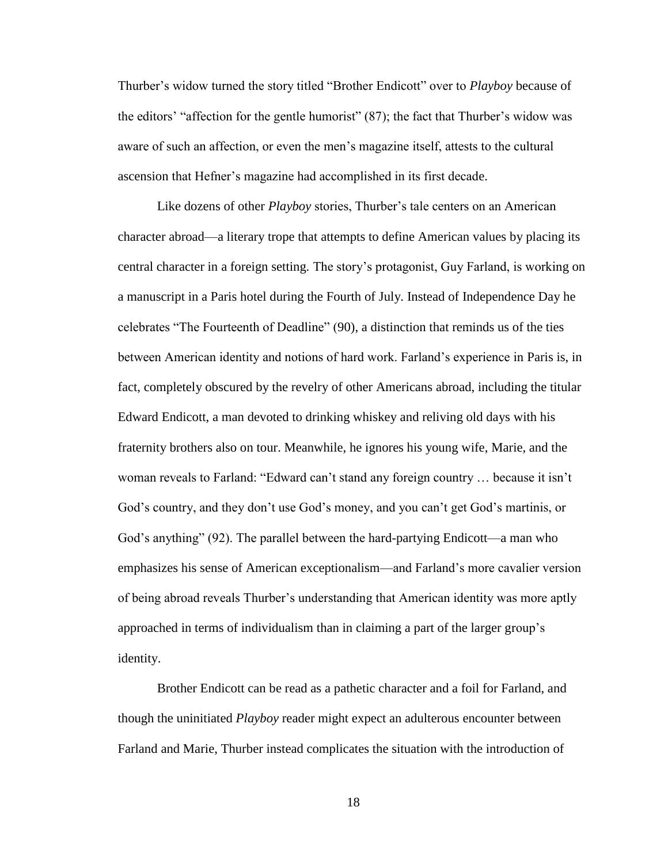Thurber's widow turned the story titled "Brother Endicott" over to *Playboy* because of the editors' "affection for the gentle humorist" (87); the fact that Thurber's widow was aware of such an affection, or even the men's magazine itself, attests to the cultural ascension that Hefner's magazine had accomplished in its first decade.

Like dozens of other *Playboy* stories, Thurber's tale centers on an American character abroad—a literary trope that attempts to define American values by placing its central character in a foreign setting. The story's protagonist, Guy Farland, is working on a manuscript in a Paris hotel during the Fourth of July. Instead of Independence Day he celebrates "The Fourteenth of Deadline" (90), a distinction that reminds us of the ties between American identity and notions of hard work. Farland's experience in Paris is, in fact, completely obscured by the revelry of other Americans abroad, including the titular Edward Endicott, a man devoted to drinking whiskey and reliving old days with his fraternity brothers also on tour. Meanwhile, he ignores his young wife, Marie, and the woman reveals to Farland: "Edward can't stand any foreign country … because it isn't God's country, and they don't use God's money, and you can't get God's martinis, or God's anything" (92). The parallel between the hard-partying Endicott—a man who emphasizes his sense of American exceptionalism—and Farland's more cavalier version of being abroad reveals Thurber's understanding that American identity was more aptly approached in terms of individualism than in claiming a part of the larger group's identity.

Brother Endicott can be read as a pathetic character and a foil for Farland, and though the uninitiated *Playboy* reader might expect an adulterous encounter between Farland and Marie, Thurber instead complicates the situation with the introduction of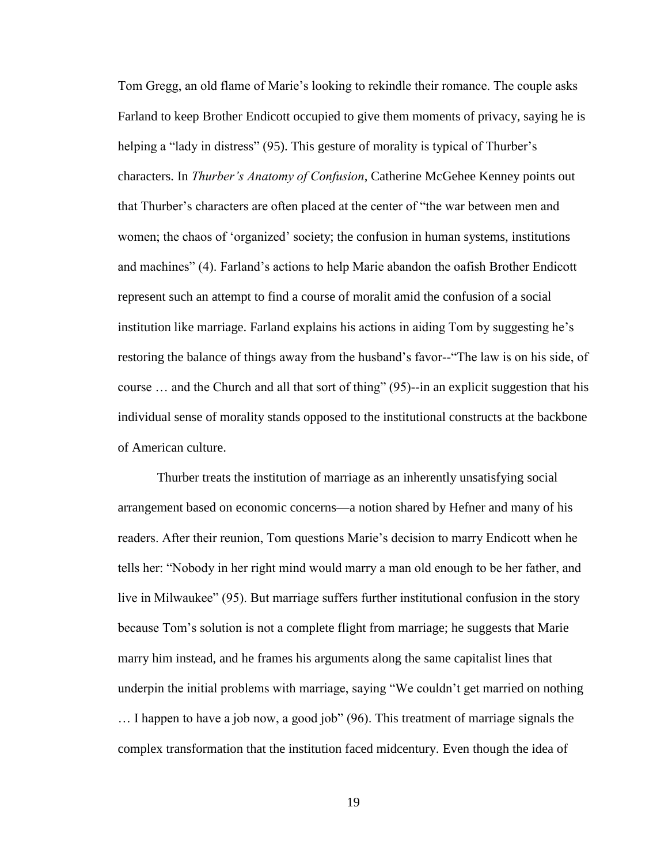Tom Gregg, an old flame of Marie's looking to rekindle their romance. The couple asks Farland to keep Brother Endicott occupied to give them moments of privacy, saying he is helping a "lady in distress" (95). This gesture of morality is typical of Thurber's characters. In *Thurber's Anatomy of Confusion*, Catherine McGehee Kenney points out that Thurber's characters are often placed at the center of "the war between men and women; the chaos of 'organized' society; the confusion in human systems, institutions and machines" (4). Farland's actions to help Marie abandon the oafish Brother Endicott represent such an attempt to find a course of moralit amid the confusion of a social institution like marriage. Farland explains his actions in aiding Tom by suggesting he's restoring the balance of things away from the husband's favor--"The law is on his side, of course … and the Church and all that sort of thing" (95)--in an explicit suggestion that his individual sense of morality stands opposed to the institutional constructs at the backbone of American culture.

Thurber treats the institution of marriage as an inherently unsatisfying social arrangement based on economic concerns—a notion shared by Hefner and many of his readers. After their reunion, Tom questions Marie's decision to marry Endicott when he tells her: "Nobody in her right mind would marry a man old enough to be her father, and live in Milwaukee" (95). But marriage suffers further institutional confusion in the story because Tom's solution is not a complete flight from marriage; he suggests that Marie marry him instead, and he frames his arguments along the same capitalist lines that underpin the initial problems with marriage, saying "We couldn't get married on nothing

… I happen to have a job now, a good job" (96). This treatment of marriage signals the complex transformation that the institution faced midcentury. Even though the idea of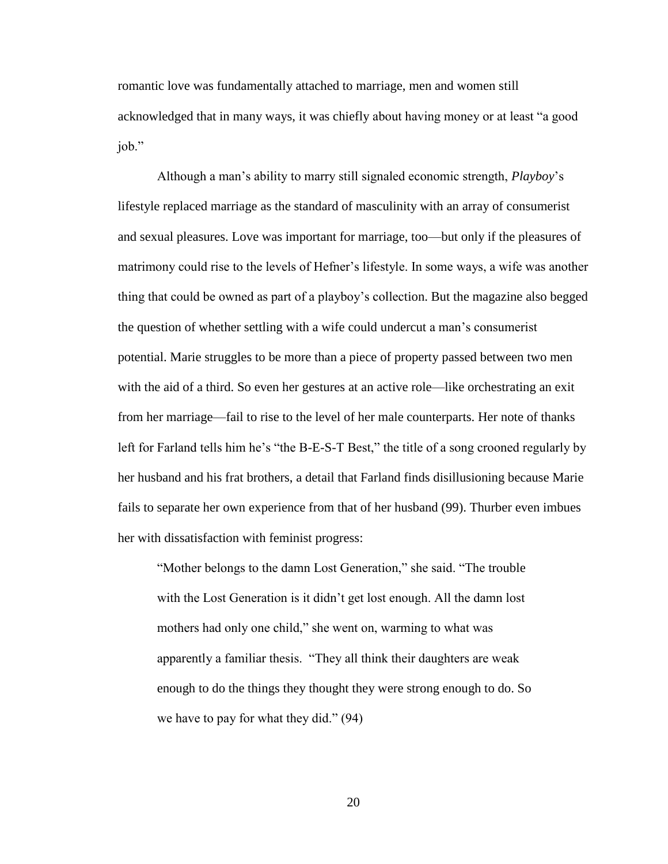romantic love was fundamentally attached to marriage, men and women still acknowledged that in many ways, it was chiefly about having money or at least "a good job."

Although a man's ability to marry still signaled economic strength, *Playboy*'s lifestyle replaced marriage as the standard of masculinity with an array of consumerist and sexual pleasures. Love was important for marriage, too—but only if the pleasures of matrimony could rise to the levels of Hefner's lifestyle. In some ways, a wife was another thing that could be owned as part of a playboy's collection. But the magazine also begged the question of whether settling with a wife could undercut a man's consumerist potential. Marie struggles to be more than a piece of property passed between two men with the aid of a third. So even her gestures at an active role—like orchestrating an exit from her marriage—fail to rise to the level of her male counterparts. Her note of thanks left for Farland tells him he's "the B-E-S-T Best," the title of a song crooned regularly by her husband and his frat brothers, a detail that Farland finds disillusioning because Marie fails to separate her own experience from that of her husband (99). Thurber even imbues her with dissatisfaction with feminist progress:

"Mother belongs to the damn Lost Generation," she said. "The trouble with the Lost Generation is it didn't get lost enough. All the damn lost mothers had only one child," she went on, warming to what was apparently a familiar thesis. "They all think their daughters are weak enough to do the things they thought they were strong enough to do. So we have to pay for what they did." (94)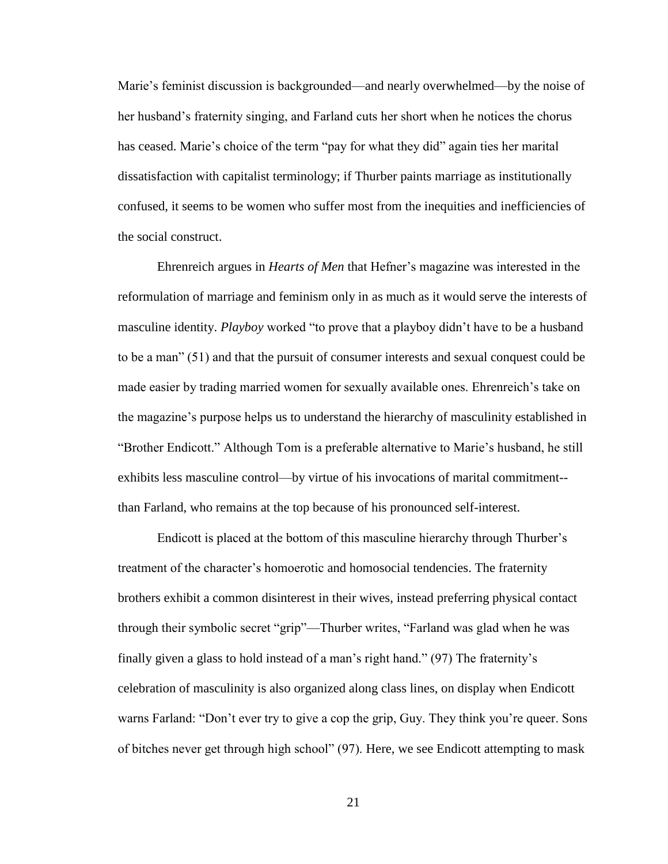Marie's feminist discussion is backgrounded—and nearly overwhelmed—by the noise of her husband's fraternity singing, and Farland cuts her short when he notices the chorus has ceased. Marie's choice of the term "pay for what they did" again ties her marital dissatisfaction with capitalist terminology; if Thurber paints marriage as institutionally confused, it seems to be women who suffer most from the inequities and inefficiencies of the social construct.

Ehrenreich argues in *Hearts of Men* that Hefner's magazine was interested in the reformulation of marriage and feminism only in as much as it would serve the interests of masculine identity. *Playboy* worked "to prove that a playboy didn't have to be a husband to be a man" (51) and that the pursuit of consumer interests and sexual conquest could be made easier by trading married women for sexually available ones. Ehrenreich's take on the magazine's purpose helps us to understand the hierarchy of masculinity established in "Brother Endicott." Although Tom is a preferable alternative to Marie's husband, he still exhibits less masculine control—by virtue of his invocations of marital commitment- than Farland, who remains at the top because of his pronounced self-interest.

Endicott is placed at the bottom of this masculine hierarchy through Thurber's treatment of the character's homoerotic and homosocial tendencies. The fraternity brothers exhibit a common disinterest in their wives, instead preferring physical contact through their symbolic secret "grip"—Thurber writes, "Farland was glad when he was finally given a glass to hold instead of a man's right hand." (97) The fraternity's celebration of masculinity is also organized along class lines, on display when Endicott warns Farland: "Don't ever try to give a cop the grip, Guy. They think you're queer. Sons of bitches never get through high school" (97). Here, we see Endicott attempting to mask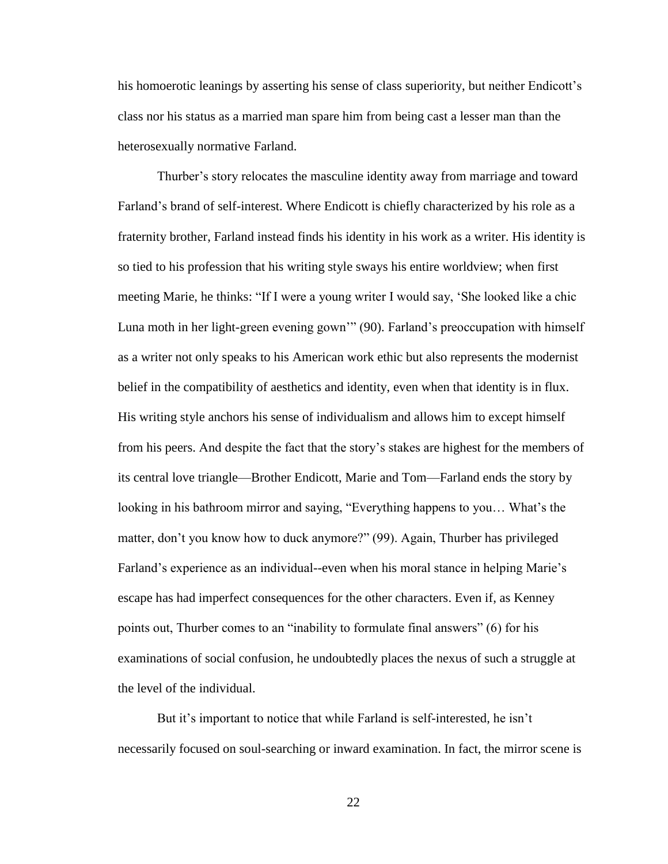his homoerotic leanings by asserting his sense of class superiority, but neither Endicott's class nor his status as a married man spare him from being cast a lesser man than the heterosexually normative Farland.

Thurber's story relocates the masculine identity away from marriage and toward Farland's brand of self-interest. Where Endicott is chiefly characterized by his role as a fraternity brother, Farland instead finds his identity in his work as a writer. His identity is so tied to his profession that his writing style sways his entire worldview; when first meeting Marie, he thinks: "If I were a young writer I would say, 'She looked like a chic Luna moth in her light-green evening gown'" (90). Farland's preoccupation with himself as a writer not only speaks to his American work ethic but also represents the modernist belief in the compatibility of aesthetics and identity, even when that identity is in flux. His writing style anchors his sense of individualism and allows him to except himself from his peers. And despite the fact that the story's stakes are highest for the members of its central love triangle—Brother Endicott, Marie and Tom—Farland ends the story by looking in his bathroom mirror and saying, "Everything happens to you… What's the matter, don't you know how to duck anymore?" (99). Again, Thurber has privileged Farland's experience as an individual--even when his moral stance in helping Marie's escape has had imperfect consequences for the other characters. Even if, as Kenney points out, Thurber comes to an "inability to formulate final answers" (6) for his examinations of social confusion, he undoubtedly places the nexus of such a struggle at the level of the individual.

But it's important to notice that while Farland is self-interested, he isn't necessarily focused on soul-searching or inward examination. In fact, the mirror scene is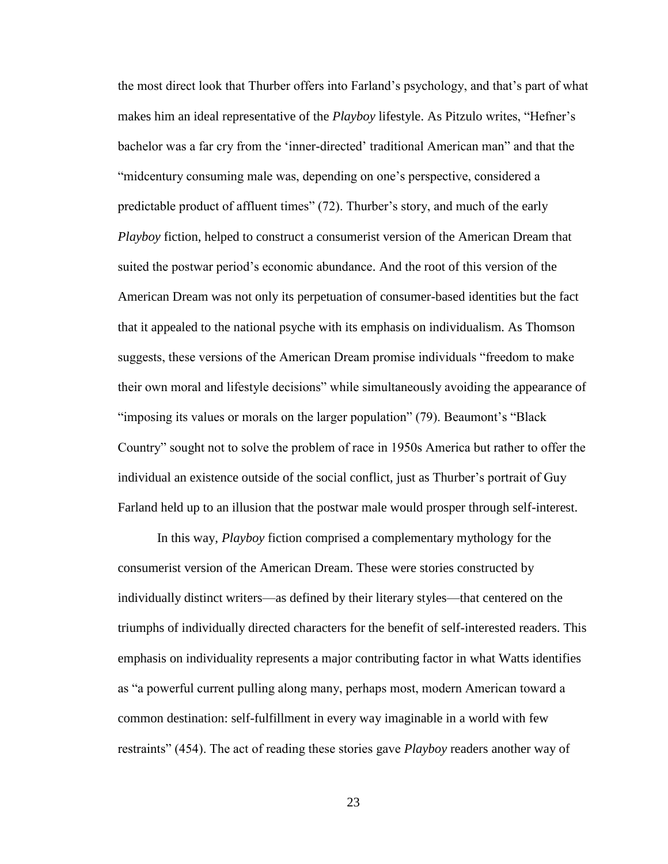the most direct look that Thurber offers into Farland's psychology, and that's part of what makes him an ideal representative of the *Playboy* lifestyle. As Pitzulo writes, "Hefner's bachelor was a far cry from the 'inner-directed' traditional American man" and that the "midcentury consuming male was, depending on one's perspective, considered a predictable product of affluent times" (72). Thurber's story, and much of the early *Playboy* fiction, helped to construct a consumerist version of the American Dream that suited the postwar period's economic abundance. And the root of this version of the American Dream was not only its perpetuation of consumer-based identities but the fact that it appealed to the national psyche with its emphasis on individualism. As Thomson suggests, these versions of the American Dream promise individuals "freedom to make their own moral and lifestyle decisions" while simultaneously avoiding the appearance of "imposing its values or morals on the larger population" (79). Beaumont's "Black Country" sought not to solve the problem of race in 1950s America but rather to offer the individual an existence outside of the social conflict, just as Thurber's portrait of Guy Farland held up to an illusion that the postwar male would prosper through self-interest.

In this way, *Playboy* fiction comprised a complementary mythology for the consumerist version of the American Dream. These were stories constructed by individually distinct writers—as defined by their literary styles—that centered on the triumphs of individually directed characters for the benefit of self-interested readers. This emphasis on individuality represents a major contributing factor in what Watts identifies as "a powerful current pulling along many, perhaps most, modern American toward a common destination: self-fulfillment in every way imaginable in a world with few restraints" (454). The act of reading these stories gave *Playboy* readers another way of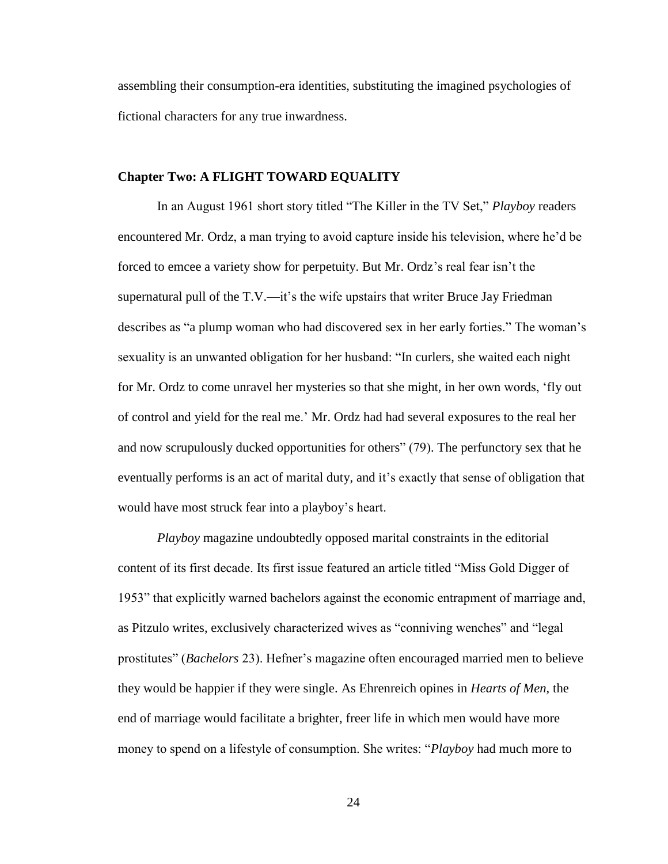assembling their consumption-era identities, substituting the imagined psychologies of fictional characters for any true inwardness.

### **Chapter Two: A FLIGHT TOWARD EQUALITY**

In an August 1961 short story titled "The Killer in the TV Set," *Playboy* readers encountered Mr. Ordz, a man trying to avoid capture inside his television, where he'd be forced to emcee a variety show for perpetuity. But Mr. Ordz's real fear isn't the supernatural pull of the T.V.—it's the wife upstairs that writer Bruce Jay Friedman describes as "a plump woman who had discovered sex in her early forties." The woman's sexuality is an unwanted obligation for her husband: "In curlers, she waited each night for Mr. Ordz to come unravel her mysteries so that she might, in her own words, 'fly out of control and yield for the real me.' Mr. Ordz had had several exposures to the real her and now scrupulously ducked opportunities for others" (79). The perfunctory sex that he eventually performs is an act of marital duty, and it's exactly that sense of obligation that would have most struck fear into a playboy's heart.

*Playboy* magazine undoubtedly opposed marital constraints in the editorial content of its first decade. Its first issue featured an article titled "Miss Gold Digger of 1953" that explicitly warned bachelors against the economic entrapment of marriage and, as Pitzulo writes, exclusively characterized wives as "conniving wenches" and "legal prostitutes" (*Bachelors* 23). Hefner's magazine often encouraged married men to believe they would be happier if they were single. As Ehrenreich opines in *Hearts of Men,* the end of marriage would facilitate a brighter, freer life in which men would have more money to spend on a lifestyle of consumption. She writes: "*Playboy* had much more to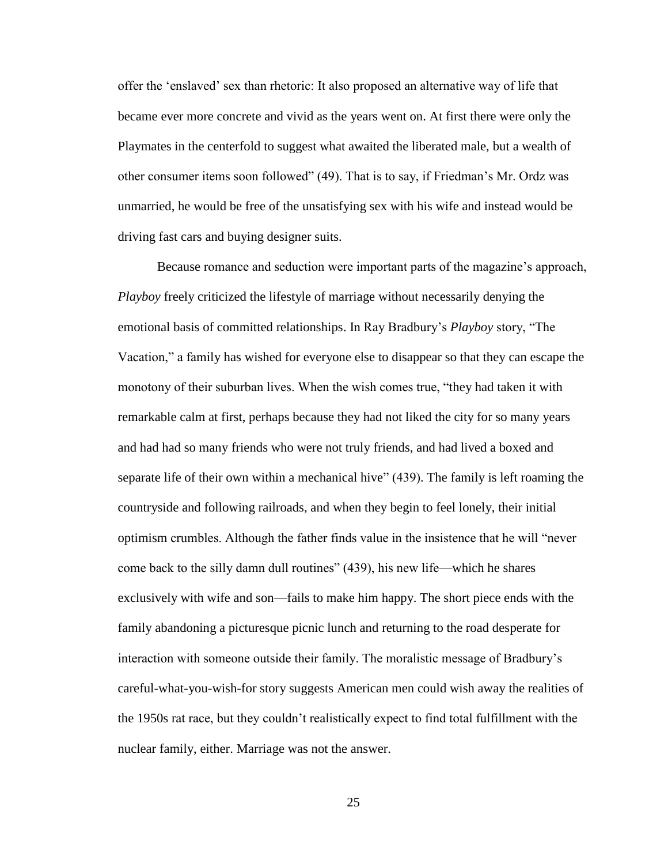offer the 'enslaved' sex than rhetoric: It also proposed an alternative way of life that became ever more concrete and vivid as the years went on. At first there were only the Playmates in the centerfold to suggest what awaited the liberated male, but a wealth of other consumer items soon followed" (49). That is to say, if Friedman's Mr. Ordz was unmarried, he would be free of the unsatisfying sex with his wife and instead would be driving fast cars and buying designer suits.

Because romance and seduction were important parts of the magazine's approach, *Playboy* freely criticized the lifestyle of marriage without necessarily denying the emotional basis of committed relationships. In Ray Bradbury's *Playboy* story, "The Vacation," a family has wished for everyone else to disappear so that they can escape the monotony of their suburban lives. When the wish comes true, "they had taken it with remarkable calm at first, perhaps because they had not liked the city for so many years and had had so many friends who were not truly friends, and had lived a boxed and separate life of their own within a mechanical hive" (439). The family is left roaming the countryside and following railroads, and when they begin to feel lonely, their initial optimism crumbles. Although the father finds value in the insistence that he will "never come back to the silly damn dull routines" (439), his new life—which he shares exclusively with wife and son—fails to make him happy. The short piece ends with the family abandoning a picturesque picnic lunch and returning to the road desperate for interaction with someone outside their family. The moralistic message of Bradbury's careful-what-you-wish-for story suggests American men could wish away the realities of the 1950s rat race, but they couldn't realistically expect to find total fulfillment with the nuclear family, either. Marriage was not the answer.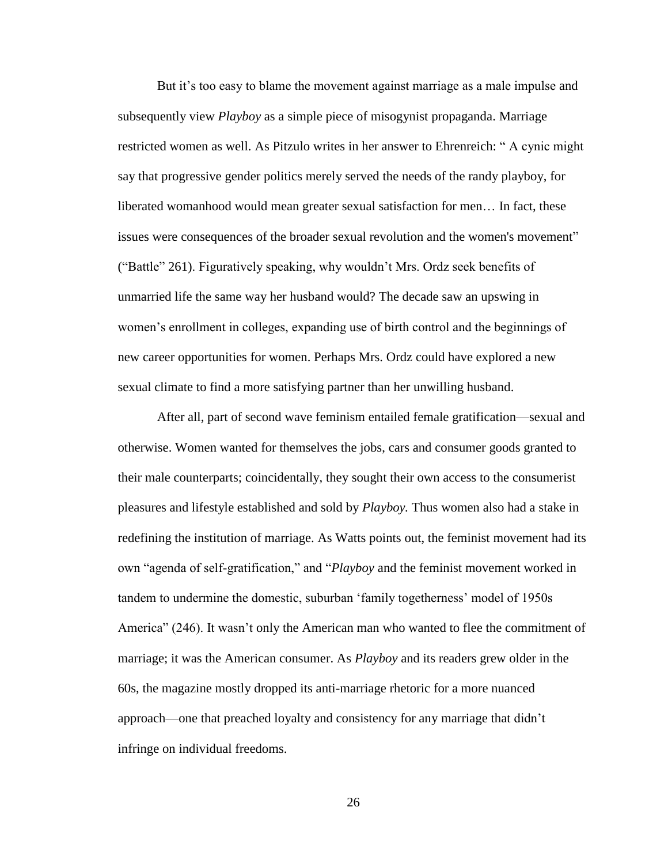But it's too easy to blame the movement against marriage as a male impulse and subsequently view *Playboy* as a simple piece of misogynist propaganda. Marriage restricted women as well. As Pitzulo writes in her answer to Ehrenreich: " A cynic might say that progressive gender politics merely served the needs of the randy playboy, for liberated womanhood would mean greater sexual satisfaction for men… In fact, these issues were consequences of the broader sexual revolution and the women's movement" ("Battle" 261). Figuratively speaking, why wouldn't Mrs. Ordz seek benefits of unmarried life the same way her husband would? The decade saw an upswing in women's enrollment in colleges, expanding use of birth control and the beginnings of new career opportunities for women. Perhaps Mrs. Ordz could have explored a new sexual climate to find a more satisfying partner than her unwilling husband.

After all, part of second wave feminism entailed female gratification—sexual and otherwise. Women wanted for themselves the jobs, cars and consumer goods granted to their male counterparts; coincidentally, they sought their own access to the consumerist pleasures and lifestyle established and sold by *Playboy.* Thus women also had a stake in redefining the institution of marriage. As Watts points out, the feminist movement had its own "agenda of self-gratification," and "*Playboy* and the feminist movement worked in tandem to undermine the domestic, suburban 'family togetherness' model of 1950s America" (246). It wasn't only the American man who wanted to flee the commitment of marriage; it was the American consumer. As *Playboy* and its readers grew older in the 60s, the magazine mostly dropped its anti-marriage rhetoric for a more nuanced approach—one that preached loyalty and consistency for any marriage that didn't infringe on individual freedoms.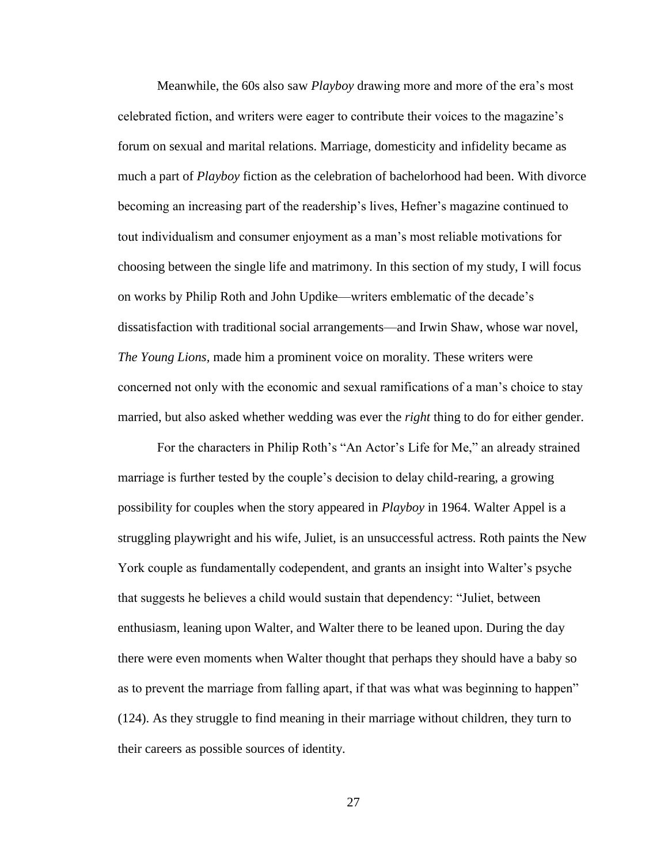Meanwhile, the 60s also saw *Playboy* drawing more and more of the era's most celebrated fiction, and writers were eager to contribute their voices to the magazine's forum on sexual and marital relations. Marriage, domesticity and infidelity became as much a part of *Playboy* fiction as the celebration of bachelorhood had been. With divorce becoming an increasing part of the readership's lives, Hefner's magazine continued to tout individualism and consumer enjoyment as a man's most reliable motivations for choosing between the single life and matrimony. In this section of my study, I will focus on works by Philip Roth and John Updike—writers emblematic of the decade's dissatisfaction with traditional social arrangements—and Irwin Shaw, whose war novel, *The Young Lions,* made him a prominent voice on morality. These writers were concerned not only with the economic and sexual ramifications of a man's choice to stay married, but also asked whether wedding was ever the *right* thing to do for either gender.

For the characters in Philip Roth's "An Actor's Life for Me," an already strained marriage is further tested by the couple's decision to delay child-rearing, a growing possibility for couples when the story appeared in *Playboy* in 1964. Walter Appel is a struggling playwright and his wife, Juliet, is an unsuccessful actress. Roth paints the New York couple as fundamentally codependent, and grants an insight into Walter's psyche that suggests he believes a child would sustain that dependency: "Juliet, between enthusiasm, leaning upon Walter, and Walter there to be leaned upon. During the day there were even moments when Walter thought that perhaps they should have a baby so as to prevent the marriage from falling apart, if that was what was beginning to happen" (124). As they struggle to find meaning in their marriage without children, they turn to their careers as possible sources of identity.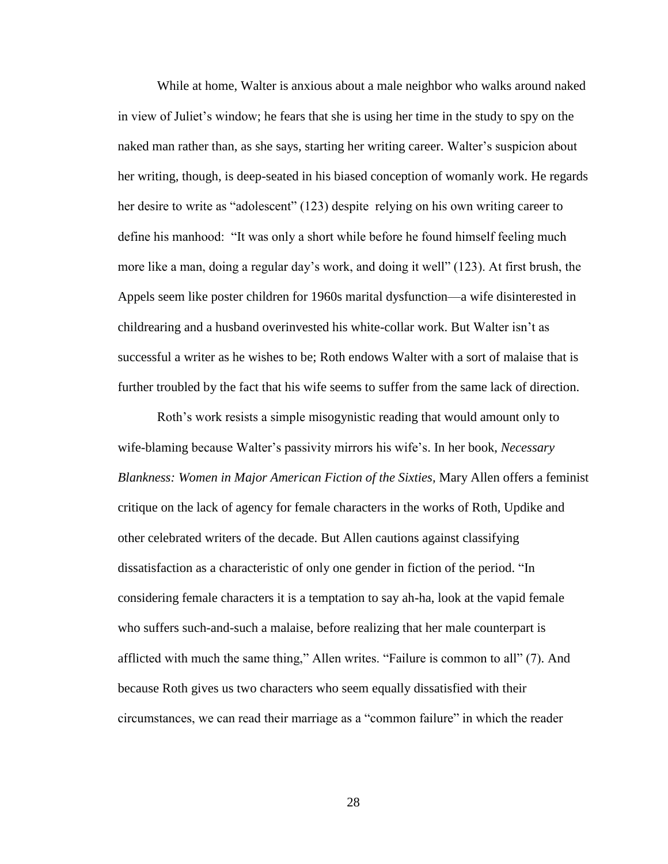While at home, Walter is anxious about a male neighbor who walks around naked in view of Juliet's window; he fears that she is using her time in the study to spy on the naked man rather than, as she says, starting her writing career. Walter's suspicion about her writing, though, is deep-seated in his biased conception of womanly work. He regards her desire to write as "adolescent" (123) despite relying on his own writing career to define his manhood: "It was only a short while before he found himself feeling much more like a man, doing a regular day's work, and doing it well" (123). At first brush, the Appels seem like poster children for 1960s marital dysfunction—a wife disinterested in childrearing and a husband overinvested his white-collar work. But Walter isn't as successful a writer as he wishes to be; Roth endows Walter with a sort of malaise that is further troubled by the fact that his wife seems to suffer from the same lack of direction.

Roth's work resists a simple misogynistic reading that would amount only to wife-blaming because Walter's passivity mirrors his wife's. In her book, *Necessary Blankness: Women in Major American Fiction of the Sixties,* Mary Allen offers a feminist critique on the lack of agency for female characters in the works of Roth, Updike and other celebrated writers of the decade. But Allen cautions against classifying dissatisfaction as a characteristic of only one gender in fiction of the period. "In considering female characters it is a temptation to say ah-ha, look at the vapid female who suffers such-and-such a malaise, before realizing that her male counterpart is afflicted with much the same thing," Allen writes. "Failure is common to all" (7). And because Roth gives us two characters who seem equally dissatisfied with their circumstances, we can read their marriage as a "common failure" in which the reader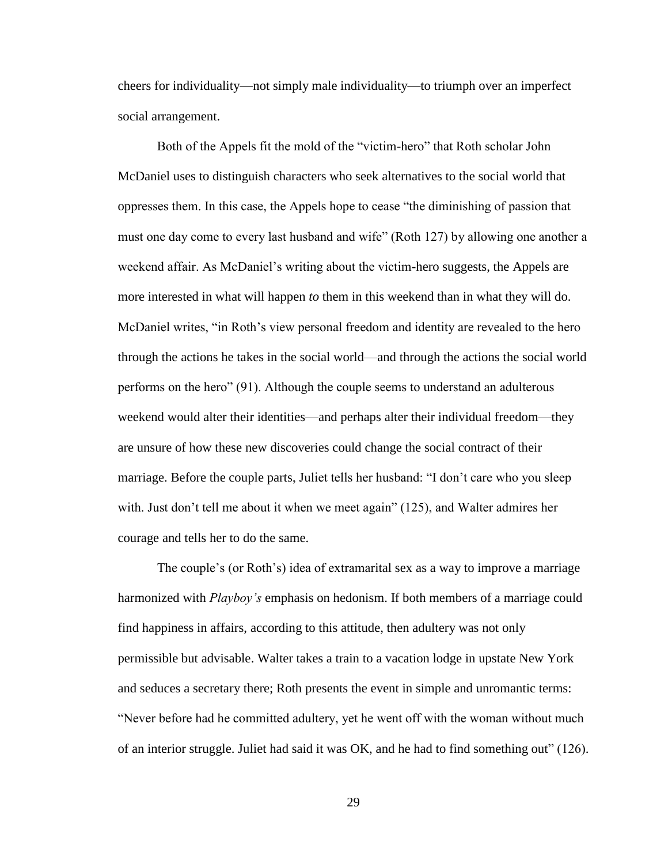cheers for individuality—not simply male individuality—to triumph over an imperfect social arrangement.

Both of the Appels fit the mold of the "victim-hero" that Roth scholar John McDaniel uses to distinguish characters who seek alternatives to the social world that oppresses them. In this case, the Appels hope to cease "the diminishing of passion that must one day come to every last husband and wife" (Roth 127) by allowing one another a weekend affair. As McDaniel's writing about the victim-hero suggests, the Appels are more interested in what will happen *to* them in this weekend than in what they will do. McDaniel writes, "in Roth's view personal freedom and identity are revealed to the hero through the actions he takes in the social world—and through the actions the social world performs on the hero" (91). Although the couple seems to understand an adulterous weekend would alter their identities—and perhaps alter their individual freedom—they are unsure of how these new discoveries could change the social contract of their marriage. Before the couple parts, Juliet tells her husband: "I don't care who you sleep with. Just don't tell me about it when we meet again" (125), and Walter admires her courage and tells her to do the same.

The couple's (or Roth's) idea of extramarital sex as a way to improve a marriage harmonized with *Playboy's* emphasis on hedonism. If both members of a marriage could find happiness in affairs, according to this attitude, then adultery was not only permissible but advisable. Walter takes a train to a vacation lodge in upstate New York and seduces a secretary there; Roth presents the event in simple and unromantic terms: "Never before had he committed adultery, yet he went off with the woman without much of an interior struggle. Juliet had said it was OK, and he had to find something out" (126).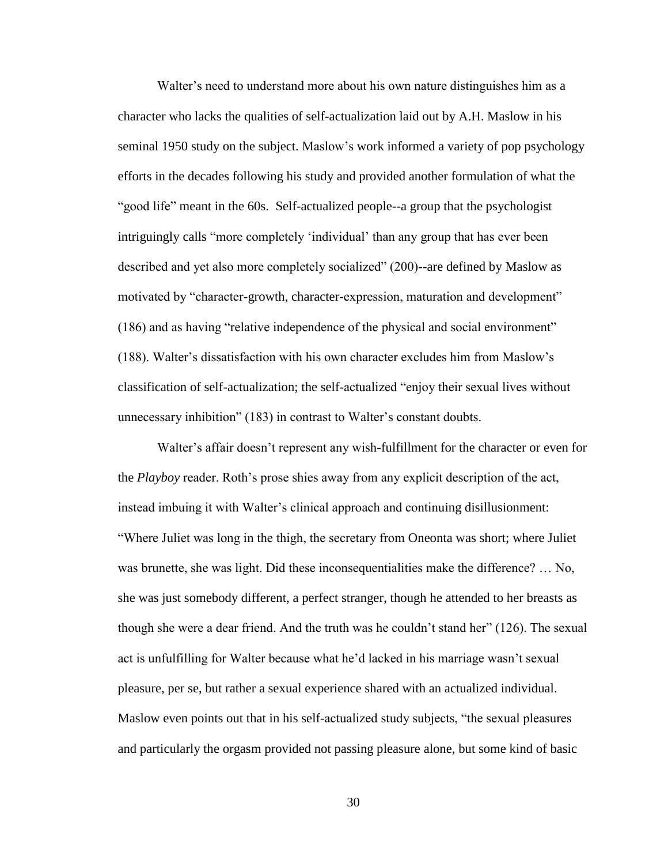Walter's need to understand more about his own nature distinguishes him as a character who lacks the qualities of self-actualization laid out by A.H. Maslow in his seminal 1950 study on the subject. Maslow's work informed a variety of pop psychology efforts in the decades following his study and provided another formulation of what the "good life" meant in the 60s. Self-actualized people--a group that the psychologist intriguingly calls "more completely 'individual' than any group that has ever been described and yet also more completely socialized" (200)--are defined by Maslow as motivated by "character-growth, character-expression, maturation and development" (186) and as having "relative independence of the physical and social environment" (188). Walter's dissatisfaction with his own character excludes him from Maslow's classification of self-actualization; the self-actualized "enjoy their sexual lives without unnecessary inhibition" (183) in contrast to Walter's constant doubts.

Walter's affair doesn't represent any wish-fulfillment for the character or even for the *Playboy* reader. Roth's prose shies away from any explicit description of the act, instead imbuing it with Walter's clinical approach and continuing disillusionment: "Where Juliet was long in the thigh, the secretary from Oneonta was short; where Juliet was brunette, she was light. Did these inconsequentialities make the difference? … No, she was just somebody different, a perfect stranger, though he attended to her breasts as though she were a dear friend. And the truth was he couldn't stand her" (126). The sexual act is unfulfilling for Walter because what he'd lacked in his marriage wasn't sexual pleasure, per se, but rather a sexual experience shared with an actualized individual. Maslow even points out that in his self-actualized study subjects, "the sexual pleasures and particularly the orgasm provided not passing pleasure alone, but some kind of basic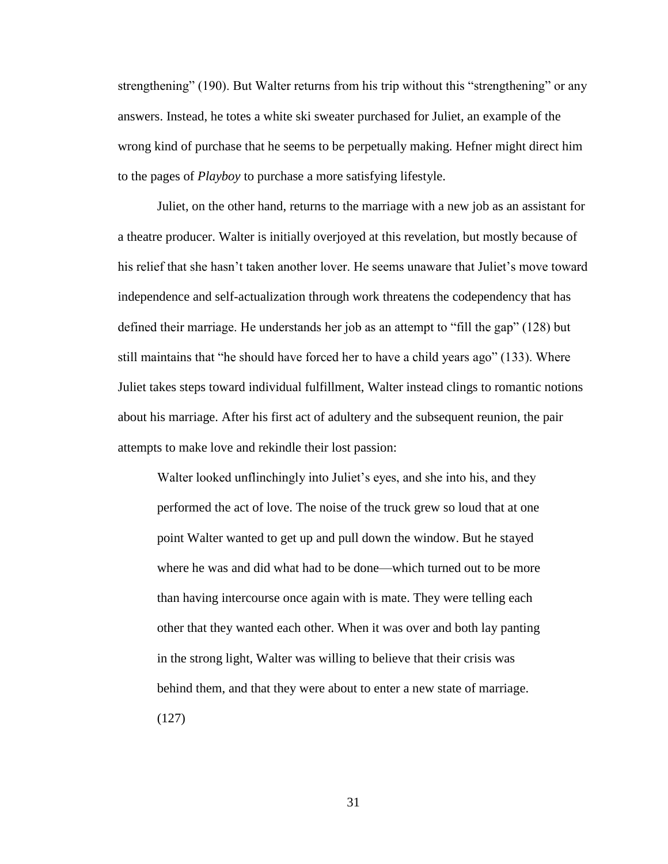strengthening" (190). But Walter returns from his trip without this "strengthening" or any answers. Instead, he totes a white ski sweater purchased for Juliet, an example of the wrong kind of purchase that he seems to be perpetually making. Hefner might direct him to the pages of *Playboy* to purchase a more satisfying lifestyle.

Juliet, on the other hand, returns to the marriage with a new job as an assistant for a theatre producer. Walter is initially overjoyed at this revelation, but mostly because of his relief that she hasn't taken another lover. He seems unaware that Juliet's move toward independence and self-actualization through work threatens the codependency that has defined their marriage. He understands her job as an attempt to "fill the gap" (128) but still maintains that "he should have forced her to have a child years ago" (133). Where Juliet takes steps toward individual fulfillment, Walter instead clings to romantic notions about his marriage. After his first act of adultery and the subsequent reunion, the pair attempts to make love and rekindle their lost passion:

Walter looked unflinchingly into Juliet's eyes, and she into his, and they performed the act of love. The noise of the truck grew so loud that at one point Walter wanted to get up and pull down the window. But he stayed where he was and did what had to be done—which turned out to be more than having intercourse once again with is mate. They were telling each other that they wanted each other. When it was over and both lay panting in the strong light, Walter was willing to believe that their crisis was behind them, and that they were about to enter a new state of marriage. (127)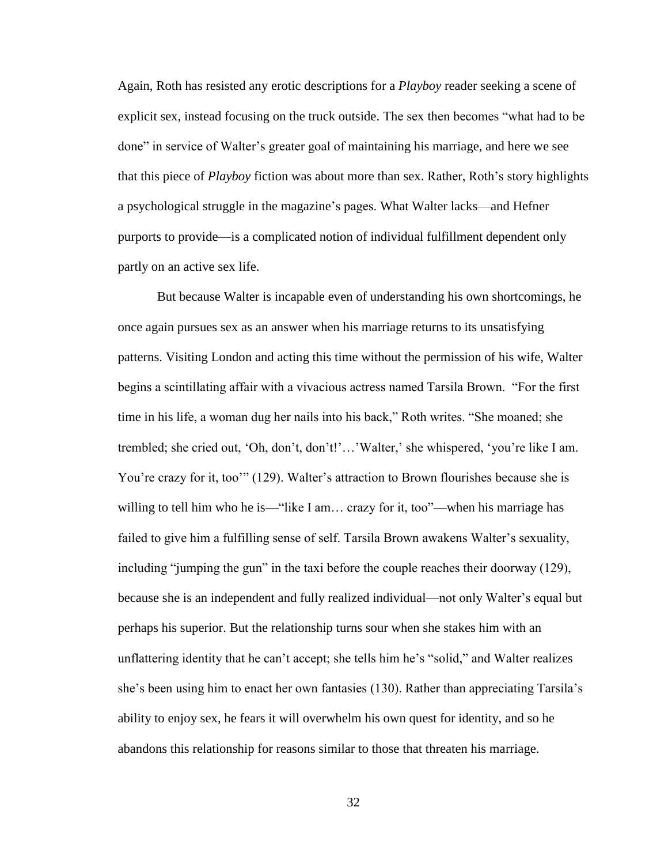Again, Roth has resisted any erotic descriptions for a *Playboy* reader seeking a scene of explicit sex, instead focusing on the truck outside. The sex then becomes "what had to be done" in service of Walter's greater goal of maintaining his marriage, and here we see that this piece of *Playboy* fiction was about more than sex. Rather, Roth's story highlights a psychological struggle in the magazine's pages. What Walter lacks—and Hefner purports to provide—is a complicated notion of individual fulfillment dependent only partly on an active sex life.

But because Walter is incapable even of understanding his own shortcomings, he once again pursues sex as an answer when his marriage returns to its unsatisfying patterns. Visiting London and acting this time without the permission of his wife, Walter begins a scintillating affair with a vivacious actress named Tarsila Brown. "For the first time in his life, a woman dug her nails into his back," Roth writes. "She moaned; she trembled; she cried out, 'Oh, don't, don't!'…'Walter,' she whispered, 'you're like I am. You're crazy for it, too'" (129). Walter's attraction to Brown flourishes because she is willing to tell him who he is—"like I am... crazy for it, too"—when his marriage has failed to give him a fulfilling sense of self. Tarsila Brown awakens Walter's sexuality, including "jumping the gun" in the taxi before the couple reaches their doorway (129), because she is an independent and fully realized individual—not only Walter's equal but perhaps his superior. But the relationship turns sour when she stakes him with an unflattering identity that he can't accept; she tells him he's "solid," and Walter realizes she's been using him to enact her own fantasies (130). Rather than appreciating Tarsila's ability to enjoy sex, he fears it will overwhelm his own quest for identity, and so he abandons this relationship for reasons similar to those that threaten his marriage.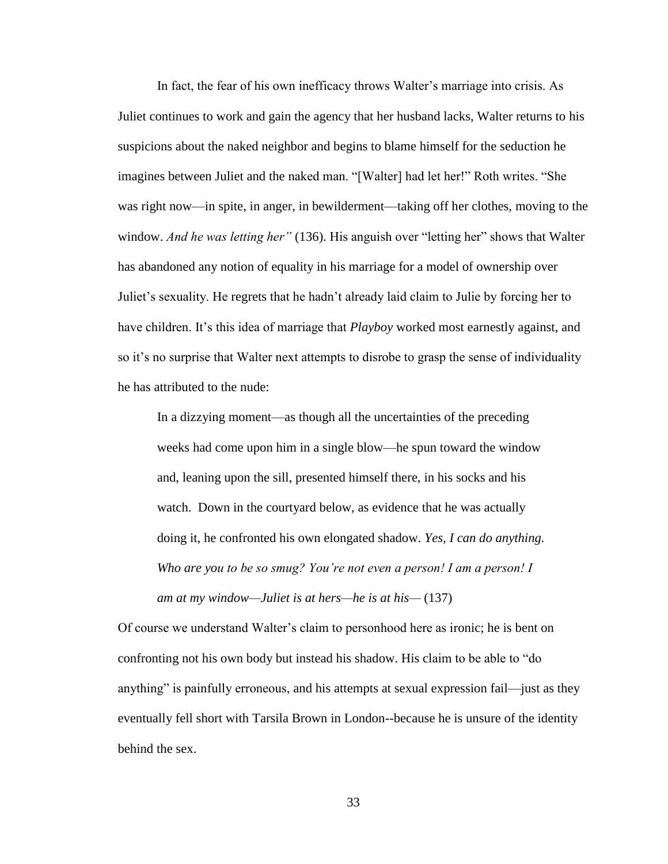In fact, the fear of his own inefficacy throws Walter's marriage into crisis. As Juliet continues to work and gain the agency that her husband lacks, Walter returns to his suspicions about the naked neighbor and begins to blame himself for the seduction he imagines between Juliet and the naked man. "[Walter] had let her!" Roth writes. "She was right now—in spite, in anger, in bewilderment—taking off her clothes, moving to the window. *And he was letting her"* (136). His anguish over "letting her" shows that Walter has abandoned any notion of equality in his marriage for a model of ownership over Juliet's sexuality. He regrets that he hadn't already laid claim to Julie by forcing her to have children. It's this idea of marriage that *Playboy* worked most earnestly against, and so it's no surprise that Walter next attempts to disrobe to grasp the sense of individuality he has attributed to the nude:

In a dizzying moment—as though all the uncertainties of the preceding weeks had come upon him in a single blow—he spun toward the window and, leaning upon the sill, presented himself there, in his socks and his watch. Down in the courtyard below, as evidence that he was actually doing it, he confronted his own elongated shadow. *Yes, I can do anything. Who are you to be so smug? You're not even a person! I am a person! I am at my window—Juliet is at hers—he is at his—* (137)

Of course we understand Walter's claim to personhood here as ironic; he is bent on confronting not his own body but instead his shadow. His claim to be able to "do anything" is painfully erroneous, and his attempts at sexual expression fail—just as they eventually fell short with Tarsila Brown in London--because he is unsure of the identity behind the sex.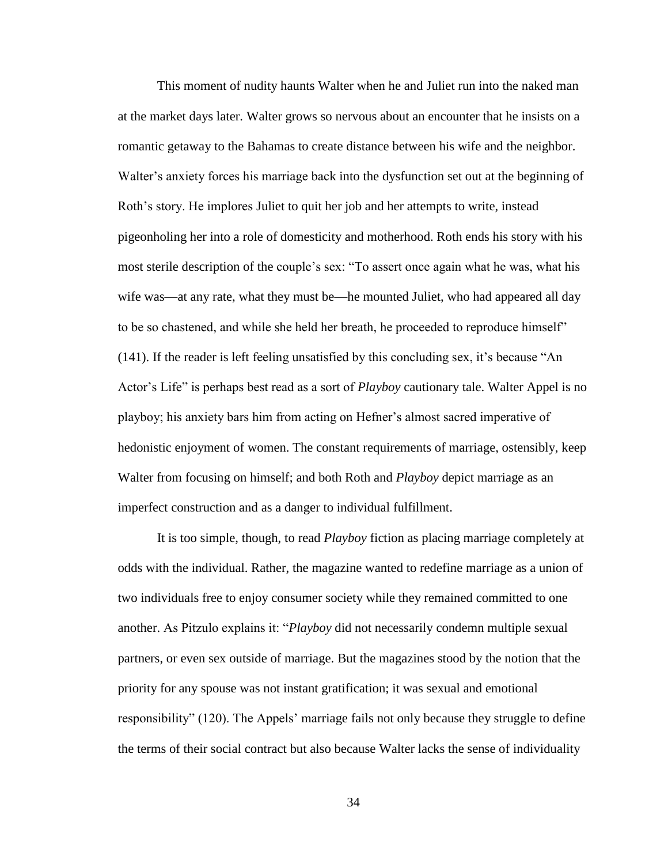This moment of nudity haunts Walter when he and Juliet run into the naked man at the market days later. Walter grows so nervous about an encounter that he insists on a romantic getaway to the Bahamas to create distance between his wife and the neighbor. Walter's anxiety forces his marriage back into the dysfunction set out at the beginning of Roth's story. He implores Juliet to quit her job and her attempts to write, instead pigeonholing her into a role of domesticity and motherhood. Roth ends his story with his most sterile description of the couple's sex: "To assert once again what he was, what his wife was—at any rate, what they must be—he mounted Juliet, who had appeared all day to be so chastened, and while she held her breath, he proceeded to reproduce himself" (141). If the reader is left feeling unsatisfied by this concluding sex, it's because "An Actor's Life" is perhaps best read as a sort of *Playboy* cautionary tale. Walter Appel is no playboy; his anxiety bars him from acting on Hefner's almost sacred imperative of hedonistic enjoyment of women. The constant requirements of marriage, ostensibly, keep Walter from focusing on himself; and both Roth and *Playboy* depict marriage as an imperfect construction and as a danger to individual fulfillment.

It is too simple, though, to read *Playboy* fiction as placing marriage completely at odds with the individual. Rather, the magazine wanted to redefine marriage as a union of two individuals free to enjoy consumer society while they remained committed to one another. As Pitzulo explains it: "*Playboy* did not necessarily condemn multiple sexual partners, or even sex outside of marriage. But the magazines stood by the notion that the priority for any spouse was not instant gratification; it was sexual and emotional responsibility" (120). The Appels' marriage fails not only because they struggle to define the terms of their social contract but also because Walter lacks the sense of individuality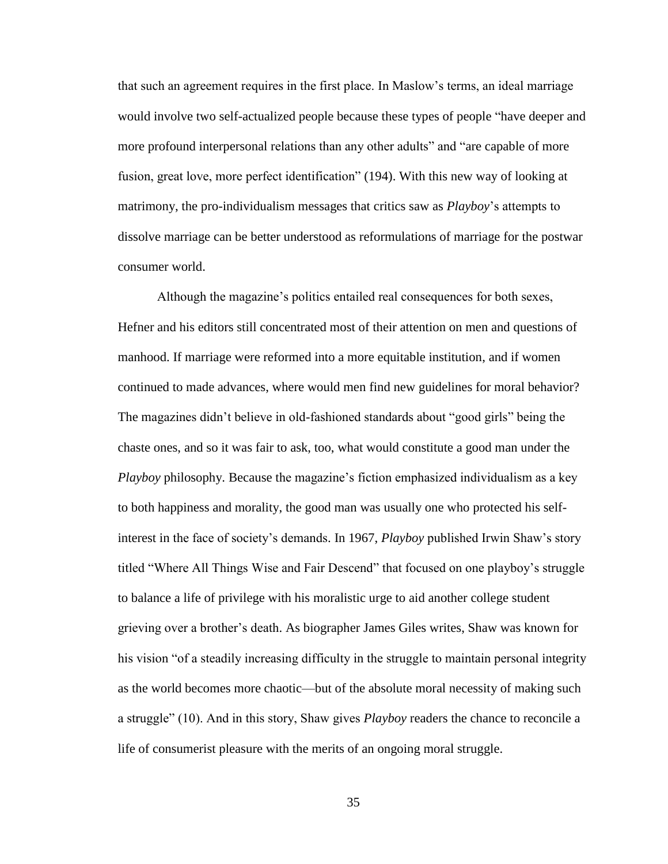that such an agreement requires in the first place. In Maslow's terms, an ideal marriage would involve two self-actualized people because these types of people "have deeper and more profound interpersonal relations than any other adults" and "are capable of more fusion, great love, more perfect identification" (194). With this new way of looking at matrimony, the pro-individualism messages that critics saw as *Playboy*'s attempts to dissolve marriage can be better understood as reformulations of marriage for the postwar consumer world.

Although the magazine's politics entailed real consequences for both sexes, Hefner and his editors still concentrated most of their attention on men and questions of manhood. If marriage were reformed into a more equitable institution, and if women continued to made advances, where would men find new guidelines for moral behavior? The magazines didn't believe in old-fashioned standards about "good girls" being the chaste ones, and so it was fair to ask, too, what would constitute a good man under the *Playboy* philosophy. Because the magazine's fiction emphasized individualism as a key to both happiness and morality, the good man was usually one who protected his selfinterest in the face of society's demands. In 1967, *Playboy* published Irwin Shaw's story titled "Where All Things Wise and Fair Descend" that focused on one playboy's struggle to balance a life of privilege with his moralistic urge to aid another college student grieving over a brother's death. As biographer James Giles writes, Shaw was known for his vision "of a steadily increasing difficulty in the struggle to maintain personal integrity as the world becomes more chaotic—but of the absolute moral necessity of making such a struggle" (10). And in this story, Shaw gives *Playboy* readers the chance to reconcile a life of consumerist pleasure with the merits of an ongoing moral struggle.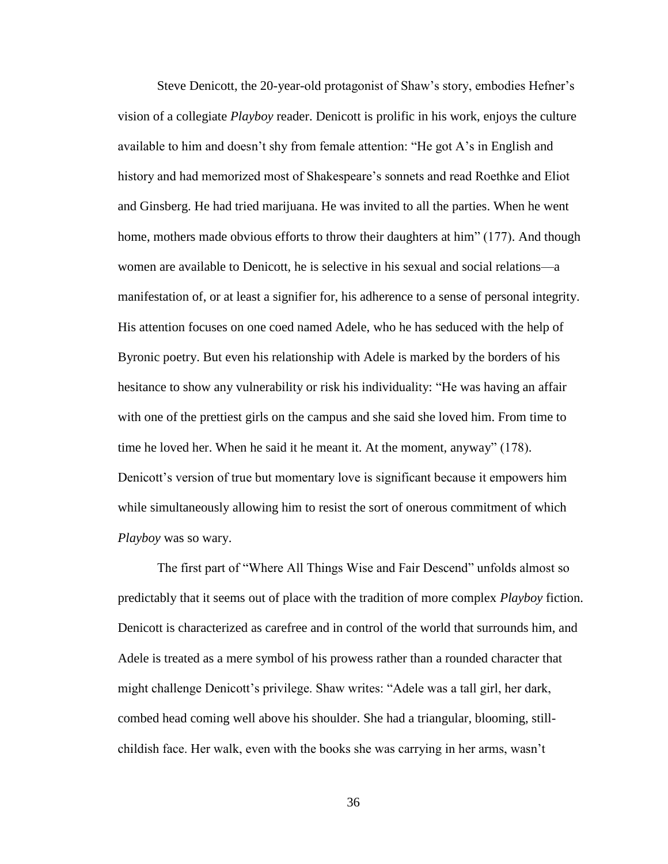Steve Denicott, the 20-year-old protagonist of Shaw's story, embodies Hefner's vision of a collegiate *Playboy* reader. Denicott is prolific in his work, enjoys the culture available to him and doesn't shy from female attention: "He got A's in English and history and had memorized most of Shakespeare's sonnets and read Roethke and Eliot and Ginsberg. He had tried marijuana. He was invited to all the parties. When he went home, mothers made obvious efforts to throw their daughters at him" (177). And though women are available to Denicott, he is selective in his sexual and social relations—a manifestation of, or at least a signifier for, his adherence to a sense of personal integrity. His attention focuses on one coed named Adele, who he has seduced with the help of Byronic poetry. But even his relationship with Adele is marked by the borders of his hesitance to show any vulnerability or risk his individuality: "He was having an affair with one of the prettiest girls on the campus and she said she loved him. From time to time he loved her. When he said it he meant it. At the moment, anyway" (178). Denicott's version of true but momentary love is significant because it empowers him while simultaneously allowing him to resist the sort of onerous commitment of which *Playboy* was so wary.

The first part of "Where All Things Wise and Fair Descend" unfolds almost so predictably that it seems out of place with the tradition of more complex *Playboy* fiction. Denicott is characterized as carefree and in control of the world that surrounds him, and Adele is treated as a mere symbol of his prowess rather than a rounded character that might challenge Denicott's privilege. Shaw writes: "Adele was a tall girl, her dark, combed head coming well above his shoulder. She had a triangular, blooming, stillchildish face. Her walk, even with the books she was carrying in her arms, wasn't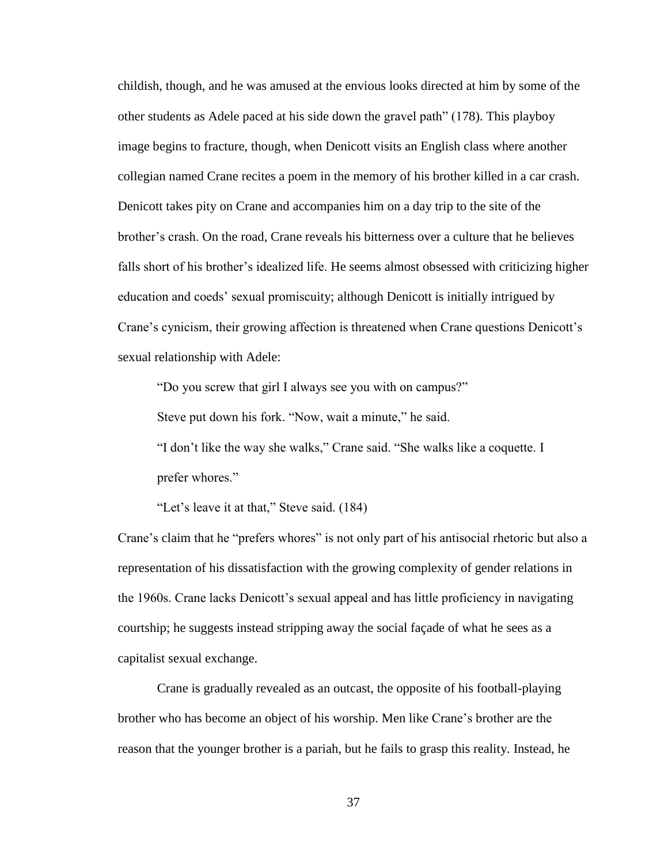childish, though, and he was amused at the envious looks directed at him by some of the other students as Adele paced at his side down the gravel path" (178). This playboy image begins to fracture, though, when Denicott visits an English class where another collegian named Crane recites a poem in the memory of his brother killed in a car crash. Denicott takes pity on Crane and accompanies him on a day trip to the site of the brother's crash. On the road, Crane reveals his bitterness over a culture that he believes falls short of his brother's idealized life. He seems almost obsessed with criticizing higher education and coeds' sexual promiscuity; although Denicott is initially intrigued by Crane's cynicism, their growing affection is threatened when Crane questions Denicott's sexual relationship with Adele:

"Do you screw that girl I always see you with on campus?"

Steve put down his fork. "Now, wait a minute," he said.

"I don't like the way she walks," Crane said. "She walks like a coquette. I prefer whores."

"Let's leave it at that," Steve said. (184)

Crane's claim that he "prefers whores" is not only part of his antisocial rhetoric but also a representation of his dissatisfaction with the growing complexity of gender relations in the 1960s. Crane lacks Denicott's sexual appeal and has little proficiency in navigating courtship; he suggests instead stripping away the social façade of what he sees as a capitalist sexual exchange.

Crane is gradually revealed as an outcast, the opposite of his football-playing brother who has become an object of his worship. Men like Crane's brother are the reason that the younger brother is a pariah, but he fails to grasp this reality. Instead, he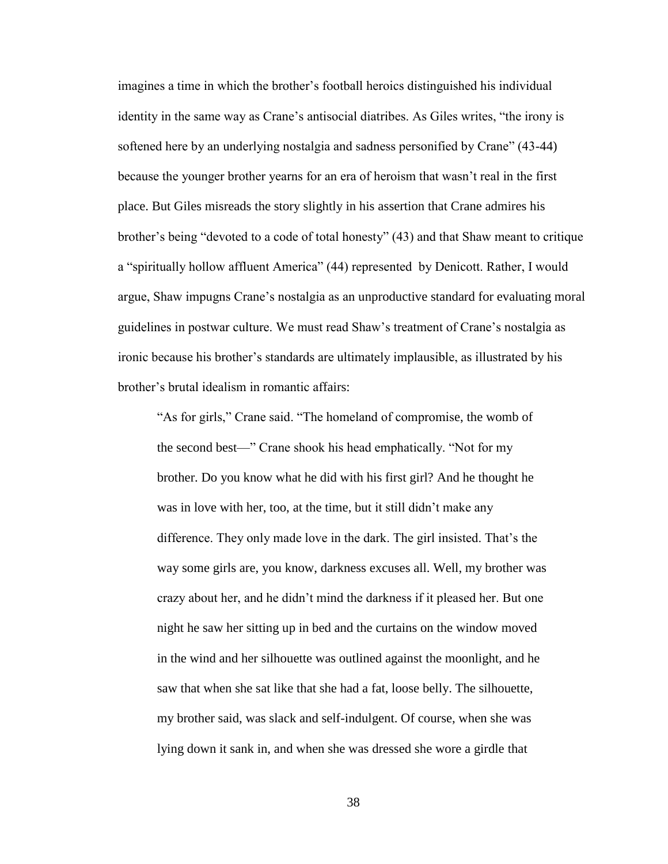imagines a time in which the brother's football heroics distinguished his individual identity in the same way as Crane's antisocial diatribes. As Giles writes, "the irony is softened here by an underlying nostalgia and sadness personified by Crane" (43-44) because the younger brother yearns for an era of heroism that wasn't real in the first place. But Giles misreads the story slightly in his assertion that Crane admires his brother's being "devoted to a code of total honesty" (43) and that Shaw meant to critique a "spiritually hollow affluent America" (44) represented by Denicott. Rather, I would argue, Shaw impugns Crane's nostalgia as an unproductive standard for evaluating moral guidelines in postwar culture. We must read Shaw's treatment of Crane's nostalgia as ironic because his brother's standards are ultimately implausible, as illustrated by his brother's brutal idealism in romantic affairs:

"As for girls," Crane said. "The homeland of compromise, the womb of the second best—" Crane shook his head emphatically. "Not for my brother. Do you know what he did with his first girl? And he thought he was in love with her, too, at the time, but it still didn't make any difference. They only made love in the dark. The girl insisted. That's the way some girls are, you know, darkness excuses all. Well, my brother was crazy about her, and he didn't mind the darkness if it pleased her. But one night he saw her sitting up in bed and the curtains on the window moved in the wind and her silhouette was outlined against the moonlight, and he saw that when she sat like that she had a fat, loose belly. The silhouette, my brother said, was slack and self-indulgent. Of course, when she was lying down it sank in, and when she was dressed she wore a girdle that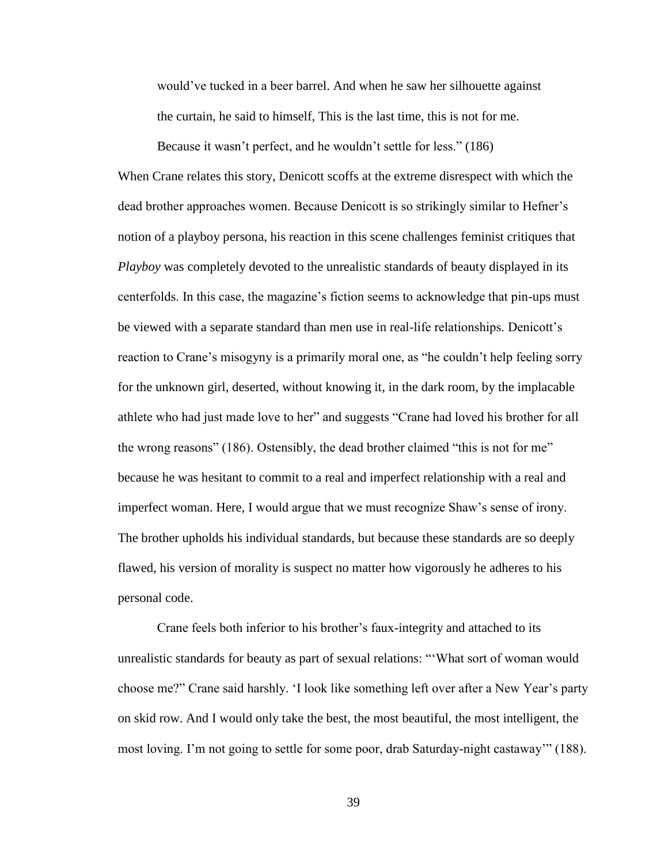would've tucked in a beer barrel. And when he saw her silhouette against the curtain, he said to himself, This is the last time, this is not for me.

Because it wasn't perfect, and he wouldn't settle for less." (186)

When Crane relates this story, Denicott scoffs at the extreme disrespect with which the dead brother approaches women. Because Denicott is so strikingly similar to Hefner's notion of a playboy persona, his reaction in this scene challenges feminist critiques that *Playboy* was completely devoted to the unrealistic standards of beauty displayed in its centerfolds. In this case, the magazine's fiction seems to acknowledge that pin-ups must be viewed with a separate standard than men use in real-life relationships. Denicott's reaction to Crane's misogyny is a primarily moral one, as "he couldn't help feeling sorry for the unknown girl, deserted, without knowing it, in the dark room, by the implacable athlete who had just made love to her" and suggests "Crane had loved his brother for all the wrong reasons" (186). Ostensibly, the dead brother claimed "this is not for me" because he was hesitant to commit to a real and imperfect relationship with a real and imperfect woman. Here, I would argue that we must recognize Shaw's sense of irony. The brother upholds his individual standards, but because these standards are so deeply flawed, his version of morality is suspect no matter how vigorously he adheres to his personal code.

Crane feels both inferior to his brother's faux-integrity and attached to its unrealistic standards for beauty as part of sexual relations: "'What sort of woman would choose me?" Crane said harshly. 'I look like something left over after a New Year's party on skid row. And I would only take the best, the most beautiful, the most intelligent, the most loving. I'm not going to settle for some poor, drab Saturday-night castaway'" (188).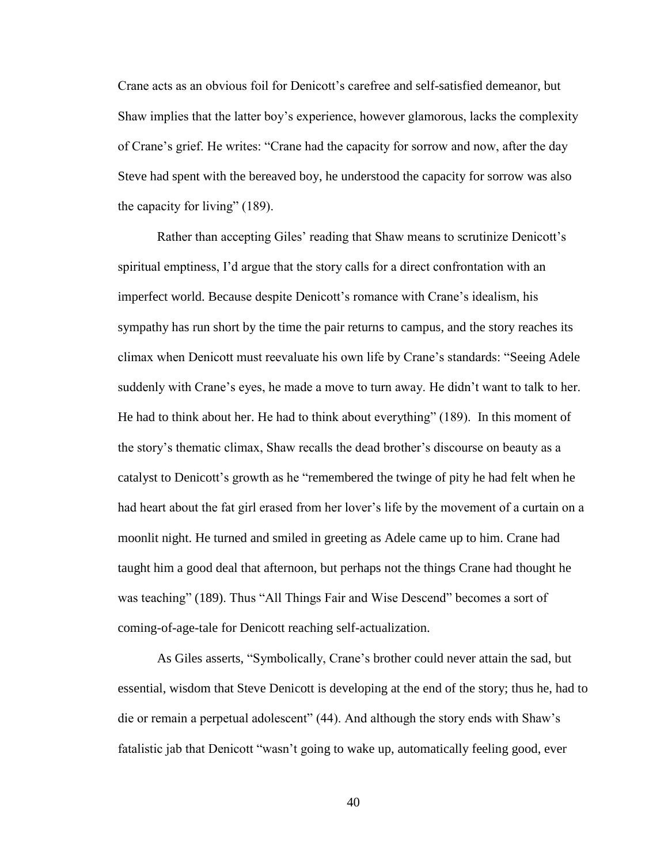Crane acts as an obvious foil for Denicott's carefree and self-satisfied demeanor, but Shaw implies that the latter boy's experience, however glamorous, lacks the complexity of Crane's grief. He writes: "Crane had the capacity for sorrow and now, after the day Steve had spent with the bereaved boy, he understood the capacity for sorrow was also the capacity for living" (189).

Rather than accepting Giles' reading that Shaw means to scrutinize Denicott's spiritual emptiness, I'd argue that the story calls for a direct confrontation with an imperfect world. Because despite Denicott's romance with Crane's idealism, his sympathy has run short by the time the pair returns to campus, and the story reaches its climax when Denicott must reevaluate his own life by Crane's standards: "Seeing Adele suddenly with Crane's eyes, he made a move to turn away. He didn't want to talk to her. He had to think about her. He had to think about everything" (189). In this moment of the story's thematic climax, Shaw recalls the dead brother's discourse on beauty as a catalyst to Denicott's growth as he "remembered the twinge of pity he had felt when he had heart about the fat girl erased from her lover's life by the movement of a curtain on a moonlit night. He turned and smiled in greeting as Adele came up to him. Crane had taught him a good deal that afternoon, but perhaps not the things Crane had thought he was teaching" (189). Thus "All Things Fair and Wise Descend" becomes a sort of coming-of-age-tale for Denicott reaching self-actualization.

As Giles asserts, "Symbolically, Crane's brother could never attain the sad, but essential, wisdom that Steve Denicott is developing at the end of the story; thus he, had to die or remain a perpetual adolescent" (44). And although the story ends with Shaw's fatalistic jab that Denicott "wasn't going to wake up, automatically feeling good, ever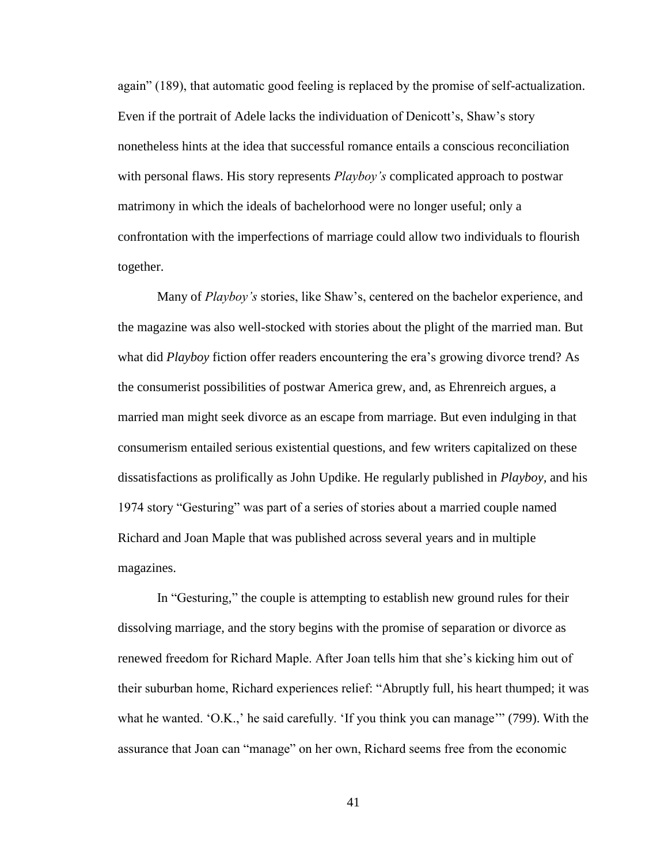again" (189), that automatic good feeling is replaced by the promise of self-actualization. Even if the portrait of Adele lacks the individuation of Denicott's, Shaw's story nonetheless hints at the idea that successful romance entails a conscious reconciliation with personal flaws. His story represents *Playboy's* complicated approach to postwar matrimony in which the ideals of bachelorhood were no longer useful; only a confrontation with the imperfections of marriage could allow two individuals to flourish together.

Many of *Playboy's* stories, like Shaw's, centered on the bachelor experience, and the magazine was also well-stocked with stories about the plight of the married man. But what did *Playboy* fiction offer readers encountering the era's growing divorce trend? As the consumerist possibilities of postwar America grew, and, as Ehrenreich argues, a married man might seek divorce as an escape from marriage. But even indulging in that consumerism entailed serious existential questions, and few writers capitalized on these dissatisfactions as prolifically as John Updike. He regularly published in *Playboy,* and his 1974 story "Gesturing" was part of a series of stories about a married couple named Richard and Joan Maple that was published across several years and in multiple magazines.

In "Gesturing," the couple is attempting to establish new ground rules for their dissolving marriage, and the story begins with the promise of separation or divorce as renewed freedom for Richard Maple. After Joan tells him that she's kicking him out of their suburban home, Richard experiences relief: "Abruptly full, his heart thumped; it was what he wanted. 'O.K.,' he said carefully. 'If you think you can manage'" (799). With the assurance that Joan can "manage" on her own, Richard seems free from the economic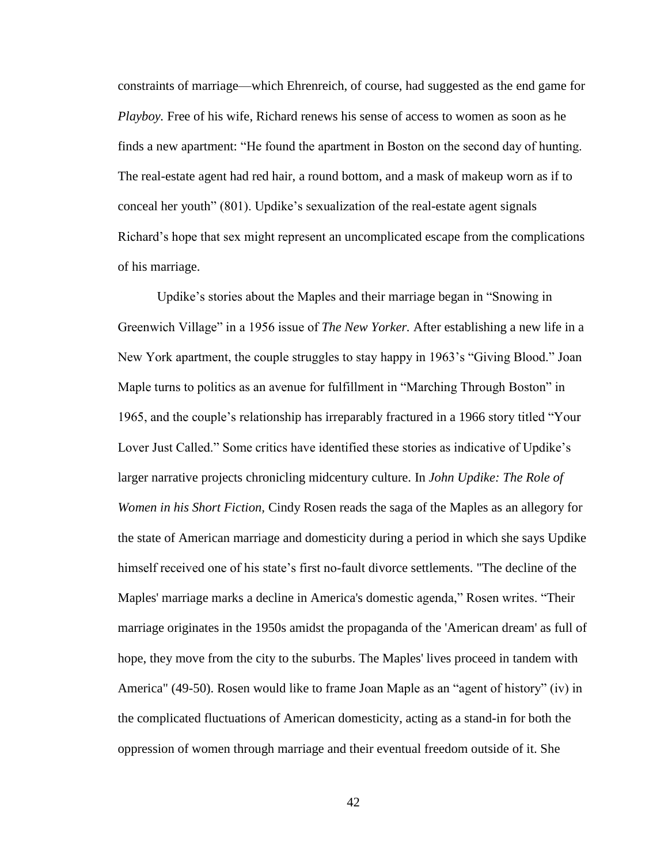constraints of marriage—which Ehrenreich, of course, had suggested as the end game for *Playboy.* Free of his wife, Richard renews his sense of access to women as soon as he finds a new apartment: "He found the apartment in Boston on the second day of hunting. The real-estate agent had red hair, a round bottom, and a mask of makeup worn as if to conceal her youth" (801). Updike's sexualization of the real-estate agent signals Richard's hope that sex might represent an uncomplicated escape from the complications of his marriage.

Updike's stories about the Maples and their marriage began in "Snowing in Greenwich Village" in a 1956 issue of *The New Yorker.* After establishing a new life in a New York apartment, the couple struggles to stay happy in 1963's "Giving Blood." Joan Maple turns to politics as an avenue for fulfillment in "Marching Through Boston" in 1965, and the couple's relationship has irreparably fractured in a 1966 story titled "Your Lover Just Called." Some critics have identified these stories as indicative of Updike's larger narrative projects chronicling midcentury culture. In *John Updike: The Role of Women in his Short Fiction,* Cindy Rosen reads the saga of the Maples as an allegory for the state of American marriage and domesticity during a period in which she says Updike himself received one of his state's first no-fault divorce settlements. "The decline of the Maples' marriage marks a decline in America's domestic agenda," Rosen writes. "Their marriage originates in the 1950s amidst the propaganda of the 'American dream' as full of hope, they move from the city to the suburbs. The Maples' lives proceed in tandem with America" (49-50). Rosen would like to frame Joan Maple as an "agent of history" (iv) in the complicated fluctuations of American domesticity, acting as a stand-in for both the oppression of women through marriage and their eventual freedom outside of it. She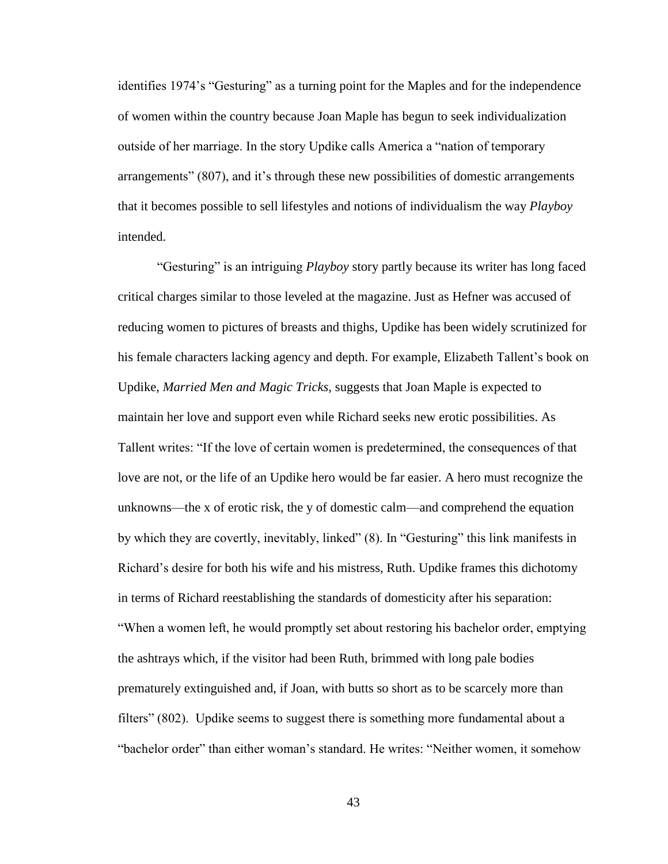identifies 1974's "Gesturing" as a turning point for the Maples and for the independence of women within the country because Joan Maple has begun to seek individualization outside of her marriage. In the story Updike calls America a "nation of temporary arrangements" (807), and it's through these new possibilities of domestic arrangements that it becomes possible to sell lifestyles and notions of individualism the way *Playboy* intended.

"Gesturing" is an intriguing *Playboy* story partly because its writer has long faced critical charges similar to those leveled at the magazine. Just as Hefner was accused of reducing women to pictures of breasts and thighs, Updike has been widely scrutinized for his female characters lacking agency and depth. For example, Elizabeth Tallent's book on Updike, *Married Men and Magic Tricks,* suggests that Joan Maple is expected to maintain her love and support even while Richard seeks new erotic possibilities. As Tallent writes: "If the love of certain women is predetermined, the consequences of that love are not, or the life of an Updike hero would be far easier. A hero must recognize the unknowns—the x of erotic risk, the y of domestic calm—and comprehend the equation by which they are covertly, inevitably, linked" (8). In "Gesturing" this link manifests in Richard's desire for both his wife and his mistress, Ruth. Updike frames this dichotomy in terms of Richard reestablishing the standards of domesticity after his separation: "When a women left, he would promptly set about restoring his bachelor order, emptying the ashtrays which, if the visitor had been Ruth, brimmed with long pale bodies prematurely extinguished and, if Joan, with butts so short as to be scarcely more than filters" (802). Updike seems to suggest there is something more fundamental about a "bachelor order" than either woman's standard. He writes: "Neither women, it somehow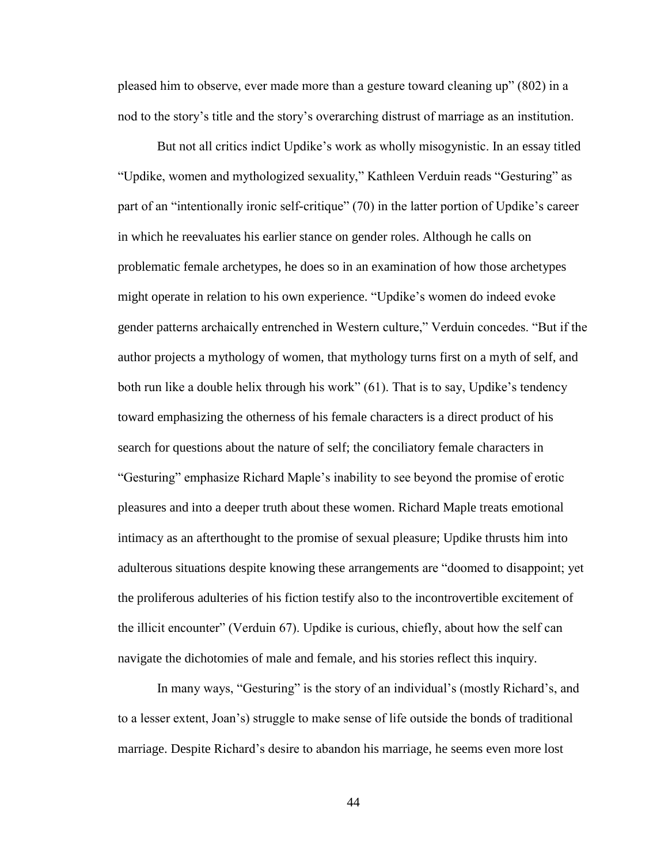pleased him to observe, ever made more than a gesture toward cleaning up" (802) in a nod to the story's title and the story's overarching distrust of marriage as an institution.

But not all critics indict Updike's work as wholly misogynistic. In an essay titled "Updike, women and mythologized sexuality," Kathleen Verduin reads "Gesturing" as part of an "intentionally ironic self-critique" (70) in the latter portion of Updike's career in which he reevaluates his earlier stance on gender roles. Although he calls on problematic female archetypes, he does so in an examination of how those archetypes might operate in relation to his own experience. "Updike's women do indeed evoke gender patterns archaically entrenched in Western culture," Verduin concedes. "But if the author projects a mythology of women, that mythology turns first on a myth of self, and both run like a double helix through his work" (61). That is to say, Updike's tendency toward emphasizing the otherness of his female characters is a direct product of his search for questions about the nature of self; the conciliatory female characters in "Gesturing" emphasize Richard Maple's inability to see beyond the promise of erotic pleasures and into a deeper truth about these women. Richard Maple treats emotional intimacy as an afterthought to the promise of sexual pleasure; Updike thrusts him into adulterous situations despite knowing these arrangements are "doomed to disappoint; yet the proliferous adulteries of his fiction testify also to the incontrovertible excitement of the illicit encounter" (Verduin 67). Updike is curious, chiefly, about how the self can navigate the dichotomies of male and female, and his stories reflect this inquiry.

In many ways, "Gesturing" is the story of an individual's (mostly Richard's, and to a lesser extent, Joan's) struggle to make sense of life outside the bonds of traditional marriage. Despite Richard's desire to abandon his marriage, he seems even more lost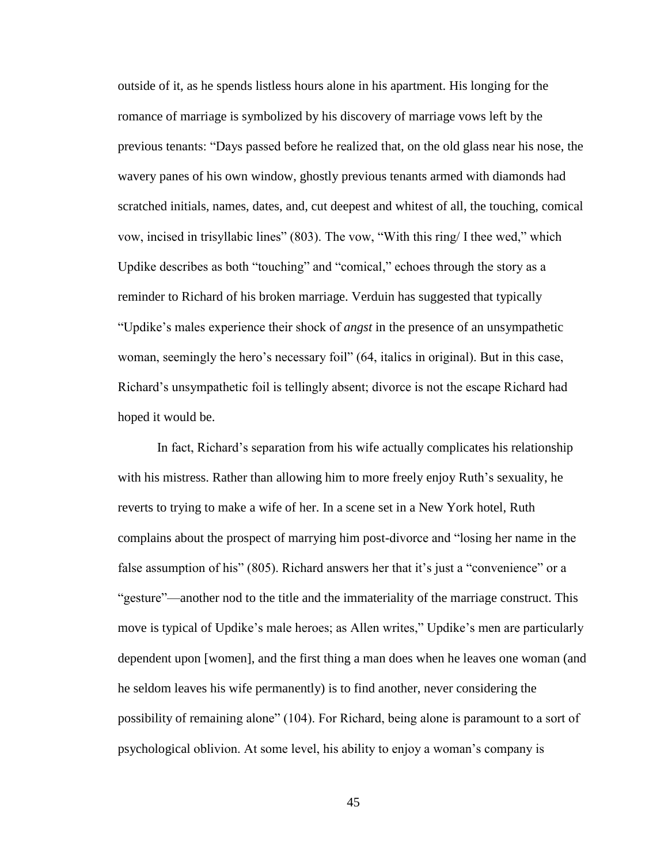outside of it, as he spends listless hours alone in his apartment. His longing for the romance of marriage is symbolized by his discovery of marriage vows left by the previous tenants: "Days passed before he realized that, on the old glass near his nose, the wavery panes of his own window, ghostly previous tenants armed with diamonds had scratched initials, names, dates, and, cut deepest and whitest of all, the touching, comical vow, incised in trisyllabic lines" (803). The vow, "With this ring/ I thee wed," which Updike describes as both "touching" and "comical," echoes through the story as a reminder to Richard of his broken marriage. Verduin has suggested that typically "Updike's males experience their shock of *angst* in the presence of an unsympathetic woman, seemingly the hero's necessary foil" (64, italics in original). But in this case, Richard's unsympathetic foil is tellingly absent; divorce is not the escape Richard had hoped it would be.

In fact, Richard's separation from his wife actually complicates his relationship with his mistress. Rather than allowing him to more freely enjoy Ruth's sexuality, he reverts to trying to make a wife of her. In a scene set in a New York hotel, Ruth complains about the prospect of marrying him post-divorce and "losing her name in the false assumption of his" (805). Richard answers her that it's just a "convenience" or a "gesture"—another nod to the title and the immateriality of the marriage construct. This move is typical of Updike's male heroes; as Allen writes," Updike's men are particularly dependent upon [women], and the first thing a man does when he leaves one woman (and he seldom leaves his wife permanently) is to find another, never considering the possibility of remaining alone" (104). For Richard, being alone is paramount to a sort of psychological oblivion. At some level, his ability to enjoy a woman's company is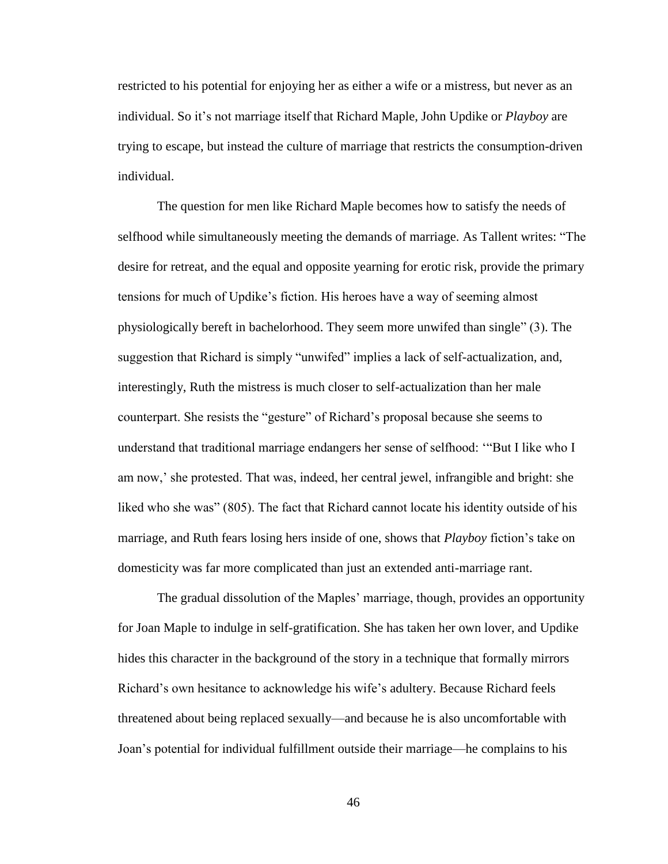restricted to his potential for enjoying her as either a wife or a mistress, but never as an individual. So it's not marriage itself that Richard Maple, John Updike or *Playboy* are trying to escape, but instead the culture of marriage that restricts the consumption-driven individual.

The question for men like Richard Maple becomes how to satisfy the needs of selfhood while simultaneously meeting the demands of marriage. As Tallent writes: "The desire for retreat, and the equal and opposite yearning for erotic risk, provide the primary tensions for much of Updike's fiction. His heroes have a way of seeming almost physiologically bereft in bachelorhood. They seem more unwifed than single" (3). The suggestion that Richard is simply "unwifed" implies a lack of self-actualization, and, interestingly, Ruth the mistress is much closer to self-actualization than her male counterpart. She resists the "gesture" of Richard's proposal because she seems to understand that traditional marriage endangers her sense of selfhood: '"But I like who I am now,' she protested. That was, indeed, her central jewel, infrangible and bright: she liked who she was" (805). The fact that Richard cannot locate his identity outside of his marriage, and Ruth fears losing hers inside of one, shows that *Playboy* fiction's take on domesticity was far more complicated than just an extended anti-marriage rant.

The gradual dissolution of the Maples' marriage, though, provides an opportunity for Joan Maple to indulge in self-gratification. She has taken her own lover, and Updike hides this character in the background of the story in a technique that formally mirrors Richard's own hesitance to acknowledge his wife's adultery. Because Richard feels threatened about being replaced sexually—and because he is also uncomfortable with Joan's potential for individual fulfillment outside their marriage—he complains to his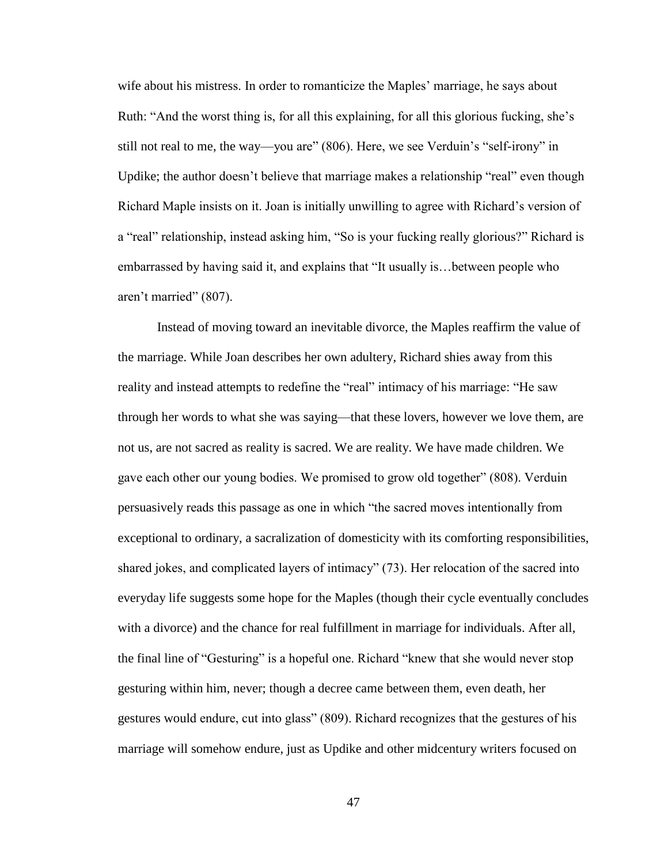wife about his mistress. In order to romanticize the Maples' marriage, he says about Ruth: "And the worst thing is, for all this explaining, for all this glorious fucking, she's still not real to me, the way—you are" (806). Here, we see Verduin's "self-irony" in Updike; the author doesn't believe that marriage makes a relationship "real" even though Richard Maple insists on it. Joan is initially unwilling to agree with Richard's version of a "real" relationship, instead asking him, "So is your fucking really glorious?" Richard is embarrassed by having said it, and explains that "It usually is…between people who aren't married" (807).

Instead of moving toward an inevitable divorce, the Maples reaffirm the value of the marriage. While Joan describes her own adultery, Richard shies away from this reality and instead attempts to redefine the "real" intimacy of his marriage: "He saw through her words to what she was saying—that these lovers, however we love them, are not us, are not sacred as reality is sacred. We are reality. We have made children. We gave each other our young bodies. We promised to grow old together" (808). Verduin persuasively reads this passage as one in which "the sacred moves intentionally from exceptional to ordinary, a sacralization of domesticity with its comforting responsibilities, shared jokes, and complicated layers of intimacy" (73). Her relocation of the sacred into everyday life suggests some hope for the Maples (though their cycle eventually concludes with a divorce) and the chance for real fulfillment in marriage for individuals. After all, the final line of "Gesturing" is a hopeful one. Richard "knew that she would never stop gesturing within him, never; though a decree came between them, even death, her gestures would endure, cut into glass" (809). Richard recognizes that the gestures of his marriage will somehow endure, just as Updike and other midcentury writers focused on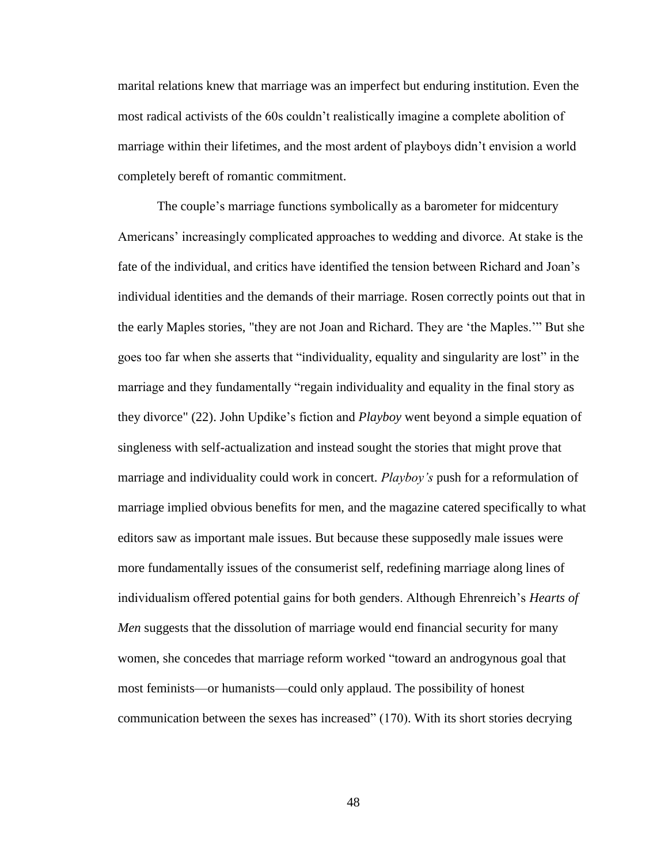marital relations knew that marriage was an imperfect but enduring institution. Even the most radical activists of the 60s couldn't realistically imagine a complete abolition of marriage within their lifetimes, and the most ardent of playboys didn't envision a world completely bereft of romantic commitment.

The couple's marriage functions symbolically as a barometer for midcentury Americans' increasingly complicated approaches to wedding and divorce. At stake is the fate of the individual, and critics have identified the tension between Richard and Joan's individual identities and the demands of their marriage. Rosen correctly points out that in the early Maples stories, "they are not Joan and Richard. They are 'the Maples.'" But she goes too far when she asserts that "individuality, equality and singularity are lost" in the marriage and they fundamentally "regain individuality and equality in the final story as they divorce" (22). John Updike's fiction and *Playboy* went beyond a simple equation of singleness with self-actualization and instead sought the stories that might prove that marriage and individuality could work in concert. *Playboy's* push for a reformulation of marriage implied obvious benefits for men, and the magazine catered specifically to what editors saw as important male issues. But because these supposedly male issues were more fundamentally issues of the consumerist self, redefining marriage along lines of individualism offered potential gains for both genders. Although Ehrenreich's *Hearts of Men* suggests that the dissolution of marriage would end financial security for many women, she concedes that marriage reform worked "toward an androgynous goal that most feminists—or humanists—could only applaud. The possibility of honest communication between the sexes has increased" (170). With its short stories decrying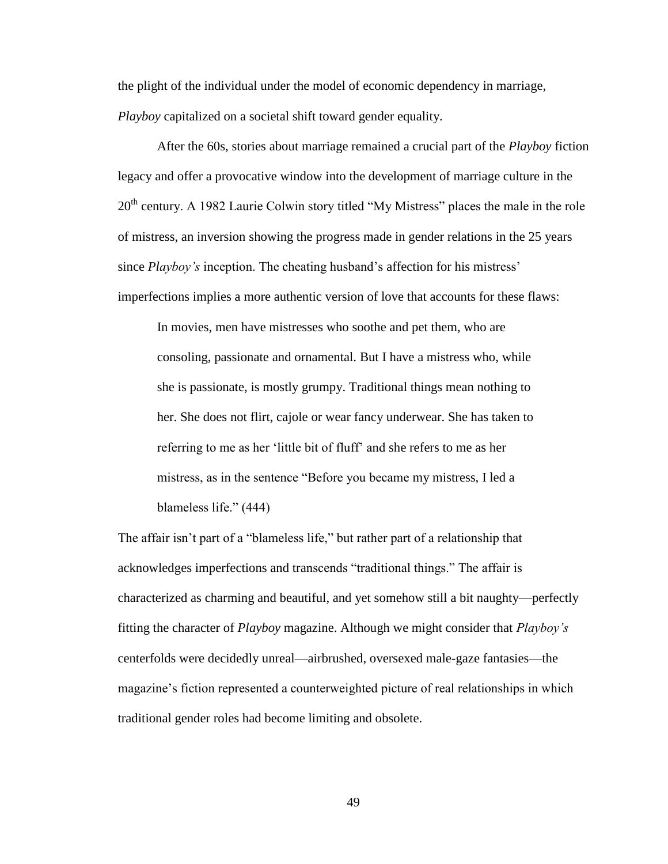the plight of the individual under the model of economic dependency in marriage, *Playboy* capitalized on a societal shift toward gender equality.

After the 60s, stories about marriage remained a crucial part of the *Playboy* fiction legacy and offer a provocative window into the development of marriage culture in the 20<sup>th</sup> century. A 1982 Laurie Colwin story titled "My Mistress" places the male in the role of mistress, an inversion showing the progress made in gender relations in the 25 years since *Playboy's* inception. The cheating husband's affection for his mistress' imperfections implies a more authentic version of love that accounts for these flaws:

In movies, men have mistresses who soothe and pet them, who are consoling, passionate and ornamental. But I have a mistress who, while she is passionate, is mostly grumpy. Traditional things mean nothing to her. She does not flirt, cajole or wear fancy underwear. She has taken to referring to me as her 'little bit of fluff' and she refers to me as her mistress, as in the sentence "Before you became my mistress, I led a blameless life." (444)

The affair isn't part of a "blameless life," but rather part of a relationship that acknowledges imperfections and transcends "traditional things." The affair is characterized as charming and beautiful, and yet somehow still a bit naughty—perfectly fitting the character of *Playboy* magazine. Although we might consider that *Playboy's* centerfolds were decidedly unreal—airbrushed, oversexed male-gaze fantasies—the magazine's fiction represented a counterweighted picture of real relationships in which traditional gender roles had become limiting and obsolete.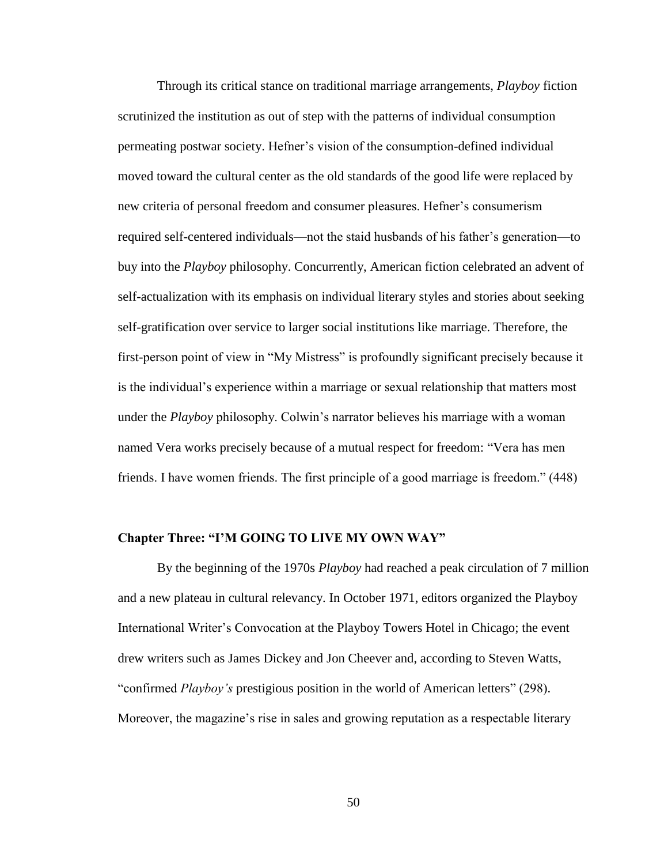Through its critical stance on traditional marriage arrangements, *Playboy* fiction scrutinized the institution as out of step with the patterns of individual consumption permeating postwar society. Hefner's vision of the consumption-defined individual moved toward the cultural center as the old standards of the good life were replaced by new criteria of personal freedom and consumer pleasures. Hefner's consumerism required self-centered individuals—not the staid husbands of his father's generation—to buy into the *Playboy* philosophy. Concurrently, American fiction celebrated an advent of self-actualization with its emphasis on individual literary styles and stories about seeking self-gratification over service to larger social institutions like marriage. Therefore, the first-person point of view in "My Mistress" is profoundly significant precisely because it is the individual's experience within a marriage or sexual relationship that matters most under the *Playboy* philosophy. Colwin's narrator believes his marriage with a woman named Vera works precisely because of a mutual respect for freedom: "Vera has men friends. I have women friends. The first principle of a good marriage is freedom." (448)

## **Chapter Three: "I'M GOING TO LIVE MY OWN WAY"**

By the beginning of the 1970s *Playboy* had reached a peak circulation of 7 million and a new plateau in cultural relevancy. In October 1971, editors organized the Playboy International Writer's Convocation at the Playboy Towers Hotel in Chicago; the event drew writers such as James Dickey and Jon Cheever and, according to Steven Watts, "confirmed *Playboy's* prestigious position in the world of American letters" (298). Moreover, the magazine's rise in sales and growing reputation as a respectable literary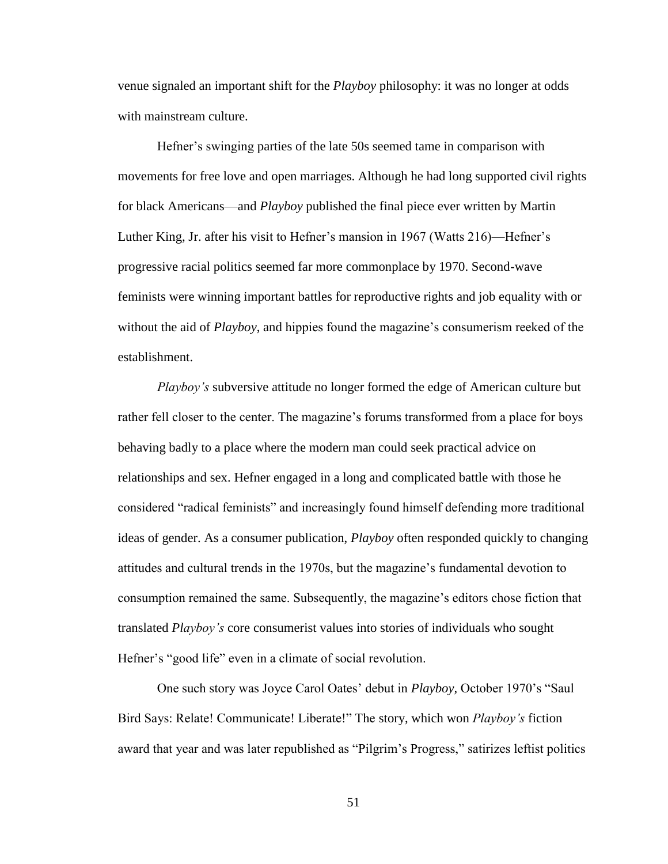venue signaled an important shift for the *Playboy* philosophy: it was no longer at odds with mainstream culture.

Hefner's swinging parties of the late 50s seemed tame in comparison with movements for free love and open marriages. Although he had long supported civil rights for black Americans—and *Playboy* published the final piece ever written by Martin Luther King, Jr. after his visit to Hefner's mansion in 1967 (Watts 216)—Hefner's progressive racial politics seemed far more commonplace by 1970. Second-wave feminists were winning important battles for reproductive rights and job equality with or without the aid of *Playboy*, and hippies found the magazine's consumerism reeked of the establishment.

*Playboy's* subversive attitude no longer formed the edge of American culture but rather fell closer to the center. The magazine's forums transformed from a place for boys behaving badly to a place where the modern man could seek practical advice on relationships and sex. Hefner engaged in a long and complicated battle with those he considered "radical feminists" and increasingly found himself defending more traditional ideas of gender. As a consumer publication, *Playboy* often responded quickly to changing attitudes and cultural trends in the 1970s, but the magazine's fundamental devotion to consumption remained the same. Subsequently, the magazine's editors chose fiction that translated *Playboy's* core consumerist values into stories of individuals who sought Hefner's "good life" even in a climate of social revolution.

One such story was Joyce Carol Oates' debut in *Playboy,* October 1970's "Saul Bird Says: Relate! Communicate! Liberate!" The story, which won *Playboy's* fiction award that year and was later republished as "Pilgrim's Progress," satirizes leftist politics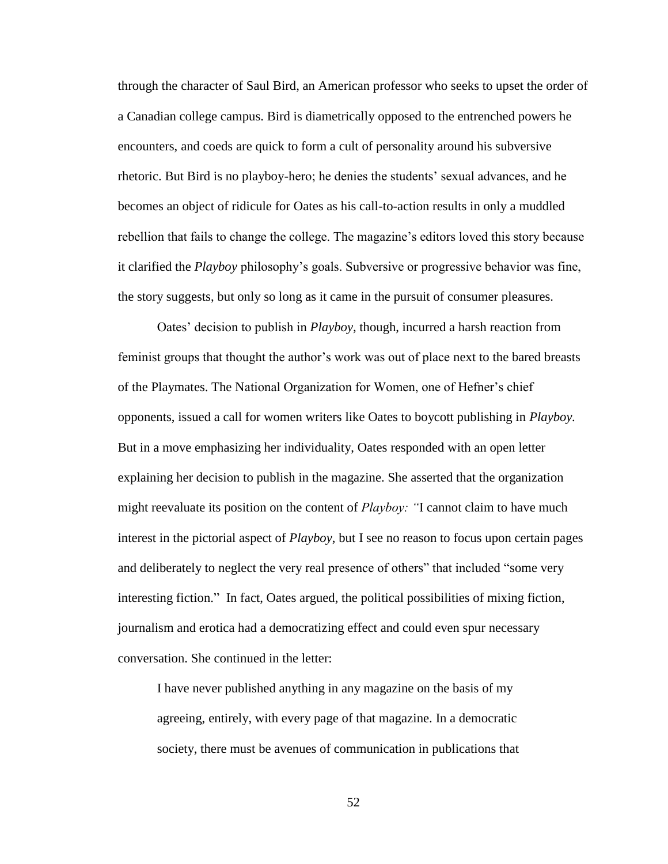through the character of Saul Bird, an American professor who seeks to upset the order of a Canadian college campus. Bird is diametrically opposed to the entrenched powers he encounters, and coeds are quick to form a cult of personality around his subversive rhetoric. But Bird is no playboy-hero; he denies the students' sexual advances, and he becomes an object of ridicule for Oates as his call-to-action results in only a muddled rebellion that fails to change the college. The magazine's editors loved this story because it clarified the *Playboy* philosophy's goals. Subversive or progressive behavior was fine, the story suggests, but only so long as it came in the pursuit of consumer pleasures.

Oates' decision to publish in *Playboy*, though, incurred a harsh reaction from feminist groups that thought the author's work was out of place next to the bared breasts of the Playmates. The National Organization for Women, one of Hefner's chief opponents, issued a call for women writers like Oates to boycott publishing in *Playboy.*  But in a move emphasizing her individuality, Oates responded with an open letter explaining her decision to publish in the magazine. She asserted that the organization might reevaluate its position on the content of *Playboy: "*I cannot claim to have much interest in the pictorial aspect of *Playboy*, but I see no reason to focus upon certain pages and deliberately to neglect the very real presence of others" that included "some very interesting fiction." In fact, Oates argued, the political possibilities of mixing fiction, journalism and erotica had a democratizing effect and could even spur necessary conversation. She continued in the letter:

I have never published anything in any magazine on the basis of my agreeing, entirely, with every page of that magazine. In a democratic society, there must be avenues of communication in publications that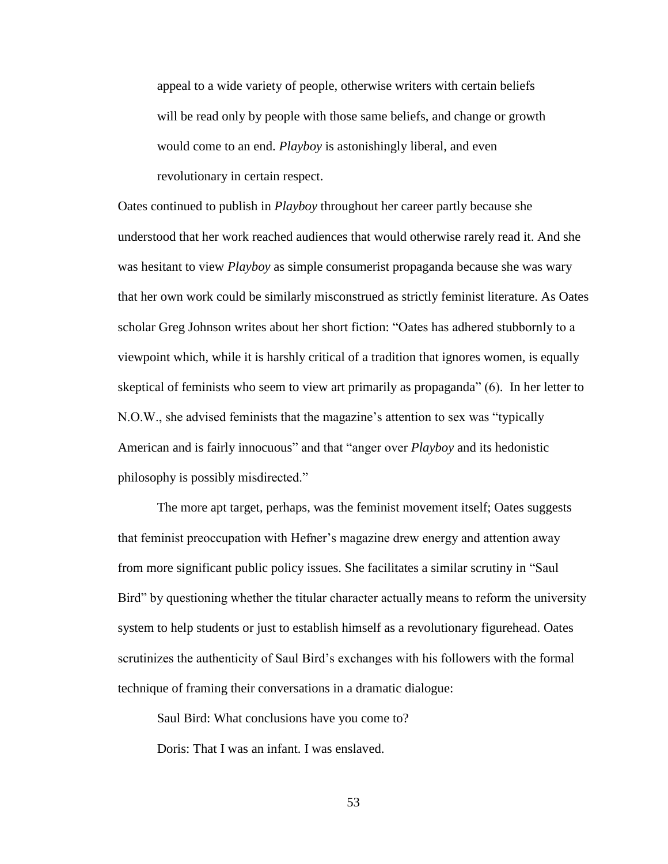appeal to a wide variety of people, otherwise writers with certain beliefs will be read only by people with those same beliefs, and change or growth would come to an end. *Playboy* is astonishingly liberal, and even revolutionary in certain respect.

Oates continued to publish in *Playboy* throughout her career partly because she understood that her work reached audiences that would otherwise rarely read it. And she was hesitant to view *Playboy* as simple consumerist propaganda because she was wary that her own work could be similarly misconstrued as strictly feminist literature. As Oates scholar Greg Johnson writes about her short fiction: "Oates has adhered stubbornly to a viewpoint which, while it is harshly critical of a tradition that ignores women, is equally skeptical of feminists who seem to view art primarily as propaganda" (6). In her letter to N.O.W., she advised feminists that the magazine's attention to sex was "typically American and is fairly innocuous" and that "anger over *Playboy* and its hedonistic philosophy is possibly misdirected."

The more apt target, perhaps, was the feminist movement itself; Oates suggests that feminist preoccupation with Hefner's magazine drew energy and attention away from more significant public policy issues. She facilitates a similar scrutiny in "Saul Bird" by questioning whether the titular character actually means to reform the university system to help students or just to establish himself as a revolutionary figurehead. Oates scrutinizes the authenticity of Saul Bird's exchanges with his followers with the formal technique of framing their conversations in a dramatic dialogue:

Saul Bird: What conclusions have you come to?

Doris: That I was an infant. I was enslaved.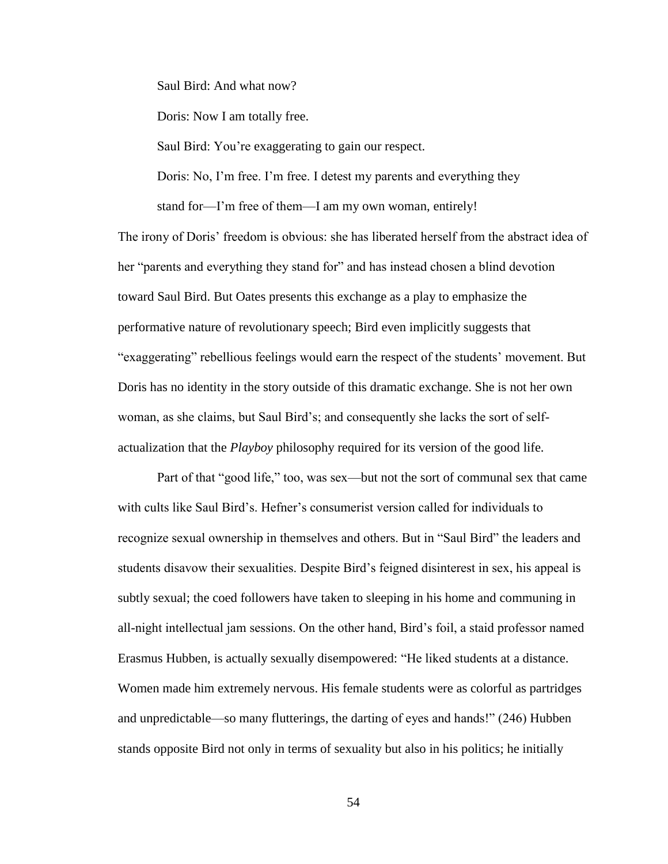Saul Bird: And what now?

Doris: Now I am totally free.

Saul Bird: You're exaggerating to gain our respect.

Doris: No, I'm free. I'm free. I detest my parents and everything they stand for—I'm free of them—I am my own woman, entirely!

The irony of Doris' freedom is obvious: she has liberated herself from the abstract idea of her "parents and everything they stand for" and has instead chosen a blind devotion toward Saul Bird. But Oates presents this exchange as a play to emphasize the performative nature of revolutionary speech; Bird even implicitly suggests that "exaggerating" rebellious feelings would earn the respect of the students' movement. But Doris has no identity in the story outside of this dramatic exchange. She is not her own woman, as she claims, but Saul Bird's; and consequently she lacks the sort of selfactualization that the *Playboy* philosophy required for its version of the good life.

Part of that "good life," too, was sex—but not the sort of communal sex that came with cults like Saul Bird's. Hefner's consumerist version called for individuals to recognize sexual ownership in themselves and others. But in "Saul Bird" the leaders and students disavow their sexualities. Despite Bird's feigned disinterest in sex, his appeal is subtly sexual; the coed followers have taken to sleeping in his home and communing in all-night intellectual jam sessions. On the other hand, Bird's foil, a staid professor named Erasmus Hubben, is actually sexually disempowered: "He liked students at a distance. Women made him extremely nervous. His female students were as colorful as partridges and unpredictable—so many flutterings, the darting of eyes and hands!" (246) Hubben stands opposite Bird not only in terms of sexuality but also in his politics; he initially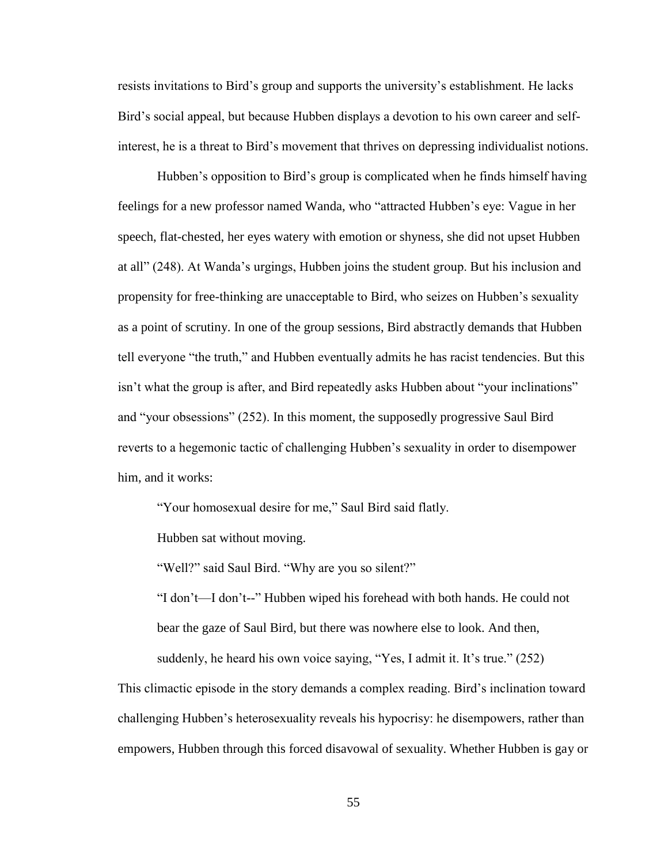resists invitations to Bird's group and supports the university's establishment. He lacks Bird's social appeal, but because Hubben displays a devotion to his own career and selfinterest, he is a threat to Bird's movement that thrives on depressing individualist notions.

Hubben's opposition to Bird's group is complicated when he finds himself having feelings for a new professor named Wanda, who "attracted Hubben's eye: Vague in her speech, flat-chested, her eyes watery with emotion or shyness, she did not upset Hubben at all" (248). At Wanda's urgings, Hubben joins the student group. But his inclusion and propensity for free-thinking are unacceptable to Bird, who seizes on Hubben's sexuality as a point of scrutiny. In one of the group sessions, Bird abstractly demands that Hubben tell everyone "the truth," and Hubben eventually admits he has racist tendencies. But this isn't what the group is after, and Bird repeatedly asks Hubben about "your inclinations" and "your obsessions" (252). In this moment, the supposedly progressive Saul Bird reverts to a hegemonic tactic of challenging Hubben's sexuality in order to disempower him, and it works:

"Your homosexual desire for me," Saul Bird said flatly.

Hubben sat without moving.

"Well?" said Saul Bird. "Why are you so silent?"

"I don't—I don't--" Hubben wiped his forehead with both hands. He could not bear the gaze of Saul Bird, but there was nowhere else to look. And then, suddenly, he heard his own voice saying, "Yes, I admit it. It's true." (252)

This climactic episode in the story demands a complex reading. Bird's inclination toward challenging Hubben's heterosexuality reveals his hypocrisy: he disempowers, rather than empowers, Hubben through this forced disavowal of sexuality. Whether Hubben is gay or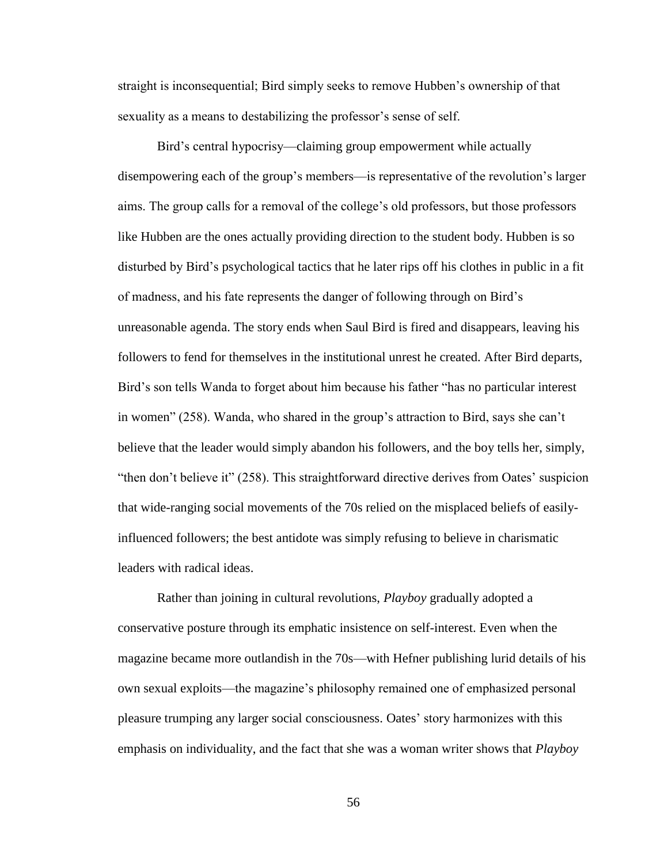straight is inconsequential; Bird simply seeks to remove Hubben's ownership of that sexuality as a means to destabilizing the professor's sense of self.

Bird's central hypocrisy—claiming group empowerment while actually disempowering each of the group's members—is representative of the revolution's larger aims. The group calls for a removal of the college's old professors, but those professors like Hubben are the ones actually providing direction to the student body. Hubben is so disturbed by Bird's psychological tactics that he later rips off his clothes in public in a fit of madness, and his fate represents the danger of following through on Bird's unreasonable agenda. The story ends when Saul Bird is fired and disappears, leaving his followers to fend for themselves in the institutional unrest he created. After Bird departs, Bird's son tells Wanda to forget about him because his father "has no particular interest in women" (258). Wanda, who shared in the group's attraction to Bird, says she can't believe that the leader would simply abandon his followers, and the boy tells her, simply, "then don't believe it" (258). This straightforward directive derives from Oates' suspicion that wide-ranging social movements of the 70s relied on the misplaced beliefs of easilyinfluenced followers; the best antidote was simply refusing to believe in charismatic leaders with radical ideas.

Rather than joining in cultural revolutions, *Playboy* gradually adopted a conservative posture through its emphatic insistence on self-interest. Even when the magazine became more outlandish in the 70s—with Hefner publishing lurid details of his own sexual exploits—the magazine's philosophy remained one of emphasized personal pleasure trumping any larger social consciousness. Oates' story harmonizes with this emphasis on individuality, and the fact that she was a woman writer shows that *Playboy*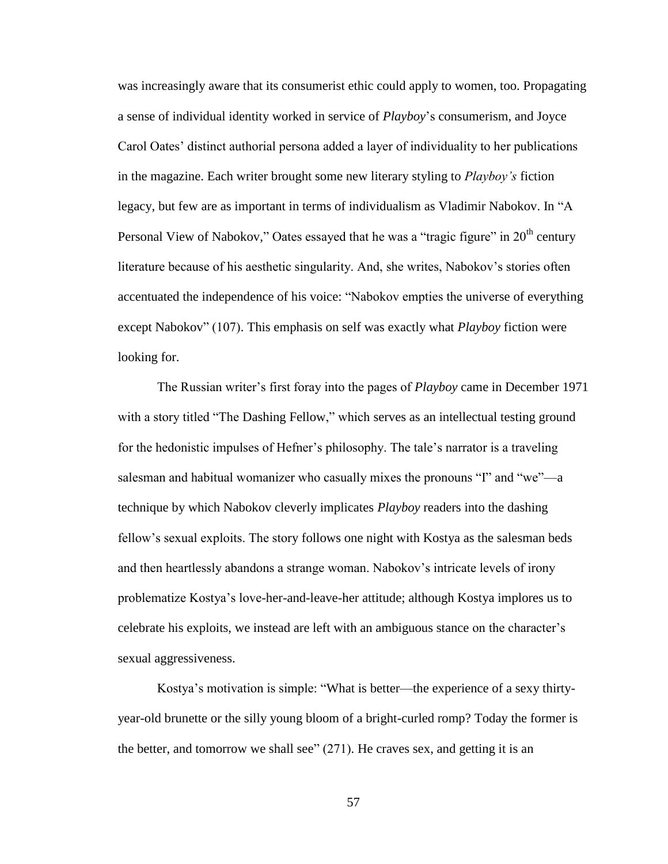was increasingly aware that its consumerist ethic could apply to women, too. Propagating a sense of individual identity worked in service of *Playboy*'s consumerism, and Joyce Carol Oates' distinct authorial persona added a layer of individuality to her publications in the magazine. Each writer brought some new literary styling to *Playboy's* fiction legacy, but few are as important in terms of individualism as Vladimir Nabokov. In "A Personal View of Nabokov," Oates essayed that he was a "tragic figure" in 20<sup>th</sup> century literature because of his aesthetic singularity. And, she writes, Nabokov's stories often accentuated the independence of his voice: "Nabokov empties the universe of everything except Nabokov" (107). This emphasis on self was exactly what *Playboy* fiction were looking for.

The Russian writer's first foray into the pages of *Playboy* came in December 1971 with a story titled "The Dashing Fellow," which serves as an intellectual testing ground for the hedonistic impulses of Hefner's philosophy. The tale's narrator is a traveling salesman and habitual womanizer who casually mixes the pronouns "I" and "we"—a technique by which Nabokov cleverly implicates *Playboy* readers into the dashing fellow's sexual exploits. The story follows one night with Kostya as the salesman beds and then heartlessly abandons a strange woman. Nabokov's intricate levels of irony problematize Kostya's love-her-and-leave-her attitude; although Kostya implores us to celebrate his exploits, we instead are left with an ambiguous stance on the character's sexual aggressiveness.

Kostya's motivation is simple: "What is better—the experience of a sexy thirtyyear-old brunette or the silly young bloom of a bright-curled romp? Today the former is the better, and tomorrow we shall see" (271). He craves sex, and getting it is an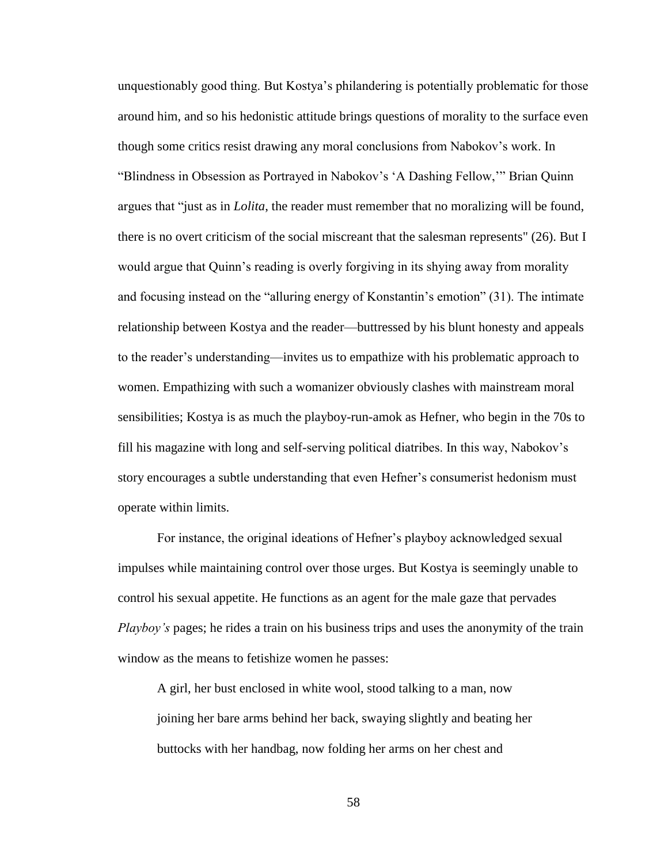unquestionably good thing. But Kostya's philandering is potentially problematic for those around him, and so his hedonistic attitude brings questions of morality to the surface even though some critics resist drawing any moral conclusions from Nabokov's work. In "Blindness in Obsession as Portrayed in Nabokov's 'A Dashing Fellow,'" Brian Quinn argues that "just as in *Lolita*, the reader must remember that no moralizing will be found, there is no overt criticism of the social miscreant that the salesman represents" (26). But I would argue that Quinn's reading is overly forgiving in its shying away from morality and focusing instead on the "alluring energy of Konstantin's emotion" (31). The intimate relationship between Kostya and the reader—buttressed by his blunt honesty and appeals to the reader's understanding—invites us to empathize with his problematic approach to women. Empathizing with such a womanizer obviously clashes with mainstream moral sensibilities; Kostya is as much the playboy-run-amok as Hefner, who begin in the 70s to fill his magazine with long and self-serving political diatribes. In this way, Nabokov's story encourages a subtle understanding that even Hefner's consumerist hedonism must operate within limits.

For instance, the original ideations of Hefner's playboy acknowledged sexual impulses while maintaining control over those urges. But Kostya is seemingly unable to control his sexual appetite. He functions as an agent for the male gaze that pervades *Playboy's* pages; he rides a train on his business trips and uses the anonymity of the train window as the means to fetishize women he passes:

A girl, her bust enclosed in white wool, stood talking to a man, now joining her bare arms behind her back, swaying slightly and beating her buttocks with her handbag, now folding her arms on her chest and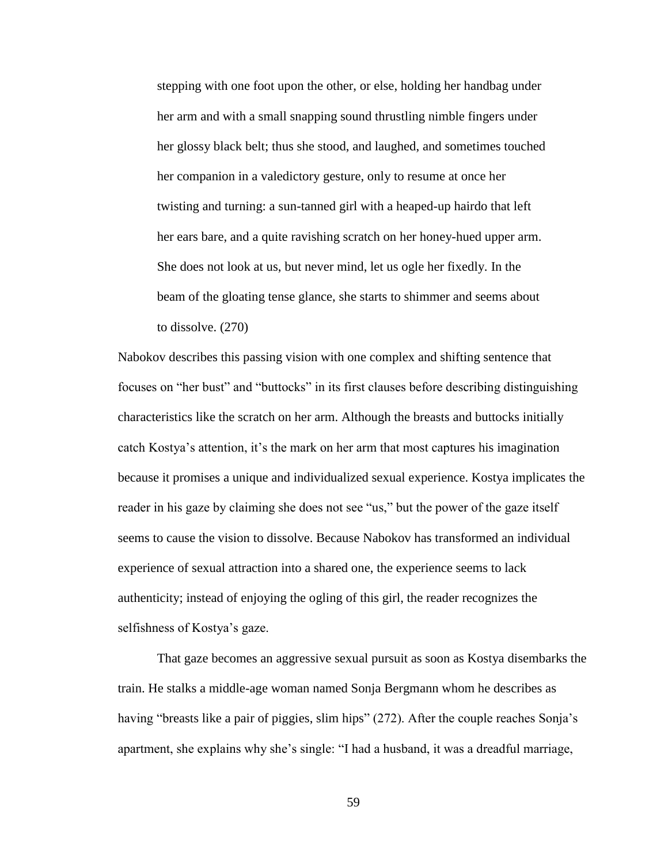stepping with one foot upon the other, or else, holding her handbag under her arm and with a small snapping sound thrustling nimble fingers under her glossy black belt; thus she stood, and laughed, and sometimes touched her companion in a valedictory gesture, only to resume at once her twisting and turning: a sun-tanned girl with a heaped-up hairdo that left her ears bare, and a quite ravishing scratch on her honey-hued upper arm. She does not look at us, but never mind, let us ogle her fixedly. In the beam of the gloating tense glance, she starts to shimmer and seems about to dissolve. (270)

Nabokov describes this passing vision with one complex and shifting sentence that focuses on "her bust" and "buttocks" in its first clauses before describing distinguishing characteristics like the scratch on her arm. Although the breasts and buttocks initially catch Kostya's attention, it's the mark on her arm that most captures his imagination because it promises a unique and individualized sexual experience. Kostya implicates the reader in his gaze by claiming she does not see "us," but the power of the gaze itself seems to cause the vision to dissolve. Because Nabokov has transformed an individual experience of sexual attraction into a shared one, the experience seems to lack authenticity; instead of enjoying the ogling of this girl, the reader recognizes the selfishness of Kostya's gaze.

That gaze becomes an aggressive sexual pursuit as soon as Kostya disembarks the train. He stalks a middle-age woman named Sonja Bergmann whom he describes as having "breasts like a pair of piggies, slim hips" (272). After the couple reaches Sonja's apartment, she explains why she's single: "I had a husband, it was a dreadful marriage,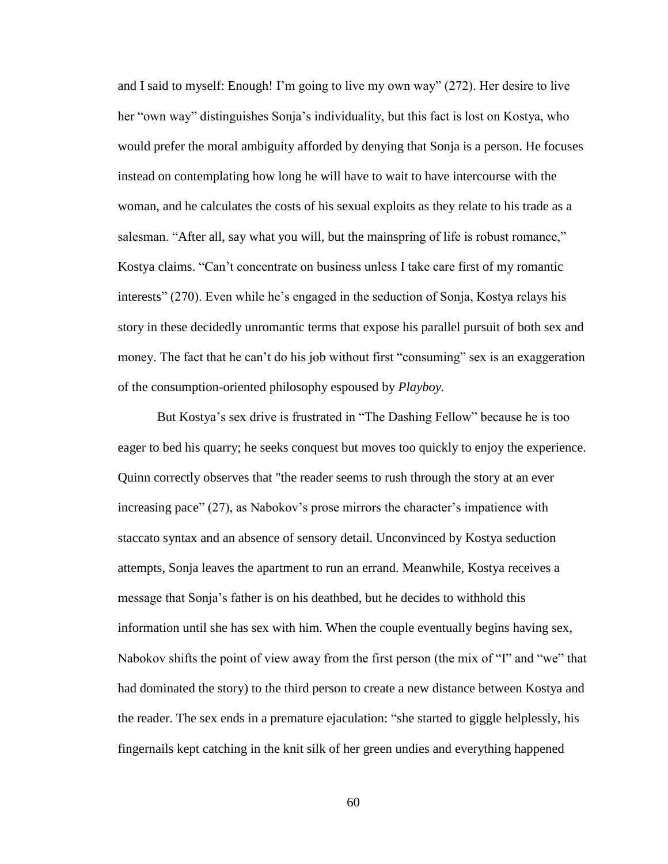and I said to myself: Enough! I'm going to live my own way" (272). Her desire to live her "own way" distinguishes Sonja's individuality, but this fact is lost on Kostya, who would prefer the moral ambiguity afforded by denying that Sonja is a person. He focuses instead on contemplating how long he will have to wait to have intercourse with the woman, and he calculates the costs of his sexual exploits as they relate to his trade as a salesman. "After all, say what you will, but the mainspring of life is robust romance," Kostya claims. "Can't concentrate on business unless I take care first of my romantic interests" (270). Even while he's engaged in the seduction of Sonja, Kostya relays his story in these decidedly unromantic terms that expose his parallel pursuit of both sex and money. The fact that he can't do his job without first "consuming" sex is an exaggeration of the consumption-oriented philosophy espoused by *Playboy.*

But Kostya's sex drive is frustrated in "The Dashing Fellow" because he is too eager to bed his quarry; he seeks conquest but moves too quickly to enjoy the experience. Quinn correctly observes that "the reader seems to rush through the story at an ever increasing pace" (27), as Nabokov's prose mirrors the character's impatience with staccato syntax and an absence of sensory detail. Unconvinced by Kostya seduction attempts, Sonja leaves the apartment to run an errand. Meanwhile, Kostya receives a message that Sonja's father is on his deathbed, but he decides to withhold this information until she has sex with him. When the couple eventually begins having sex, Nabokov shifts the point of view away from the first person (the mix of "I" and "we" that had dominated the story) to the third person to create a new distance between Kostya and the reader. The sex ends in a premature ejaculation: "she started to giggle helplessly, his fingernails kept catching in the knit silk of her green undies and everything happened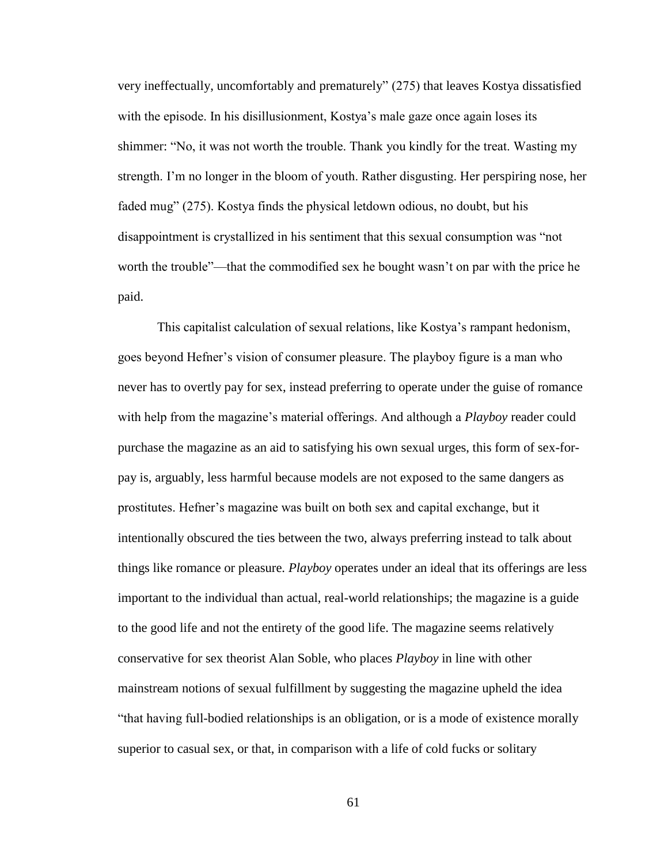very ineffectually, uncomfortably and prematurely" (275) that leaves Kostya dissatisfied with the episode. In his disillusionment, Kostya's male gaze once again loses its shimmer: "No, it was not worth the trouble. Thank you kindly for the treat. Wasting my strength. I'm no longer in the bloom of youth. Rather disgusting. Her perspiring nose, her faded mug" (275). Kostya finds the physical letdown odious, no doubt, but his disappointment is crystallized in his sentiment that this sexual consumption was "not worth the trouble"—that the commodified sex he bought wasn't on par with the price he paid.

This capitalist calculation of sexual relations, like Kostya's rampant hedonism, goes beyond Hefner's vision of consumer pleasure. The playboy figure is a man who never has to overtly pay for sex, instead preferring to operate under the guise of romance with help from the magazine's material offerings. And although a *Playboy* reader could purchase the magazine as an aid to satisfying his own sexual urges, this form of sex-forpay is, arguably, less harmful because models are not exposed to the same dangers as prostitutes. Hefner's magazine was built on both sex and capital exchange, but it intentionally obscured the ties between the two, always preferring instead to talk about things like romance or pleasure. *Playboy* operates under an ideal that its offerings are less important to the individual than actual, real-world relationships; the magazine is a guide to the good life and not the entirety of the good life. The magazine seems relatively conservative for sex theorist Alan Soble, who places *Playboy* in line with other mainstream notions of sexual fulfillment by suggesting the magazine upheld the idea "that having full-bodied relationships is an obligation, or is a mode of existence morally superior to casual sex, or that, in comparison with a life of cold fucks or solitary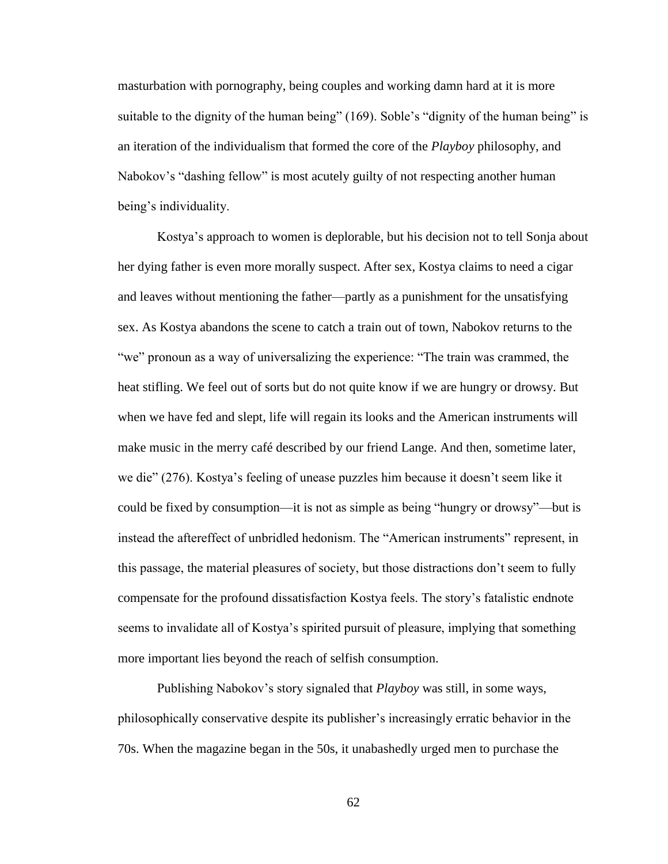masturbation with pornography, being couples and working damn hard at it is more suitable to the dignity of the human being" (169). Soble's "dignity of the human being" is an iteration of the individualism that formed the core of the *Playboy* philosophy, and Nabokov's "dashing fellow" is most acutely guilty of not respecting another human being's individuality.

Kostya's approach to women is deplorable, but his decision not to tell Sonja about her dying father is even more morally suspect. After sex, Kostya claims to need a cigar and leaves without mentioning the father—partly as a punishment for the unsatisfying sex. As Kostya abandons the scene to catch a train out of town, Nabokov returns to the "we" pronoun as a way of universalizing the experience: "The train was crammed, the heat stifling. We feel out of sorts but do not quite know if we are hungry or drowsy. But when we have fed and slept, life will regain its looks and the American instruments will make music in the merry café described by our friend Lange. And then, sometime later, we die" (276). Kostya's feeling of unease puzzles him because it doesn't seem like it could be fixed by consumption—it is not as simple as being "hungry or drowsy"—but is instead the aftereffect of unbridled hedonism. The "American instruments" represent, in this passage, the material pleasures of society, but those distractions don't seem to fully compensate for the profound dissatisfaction Kostya feels. The story's fatalistic endnote seems to invalidate all of Kostya's spirited pursuit of pleasure, implying that something more important lies beyond the reach of selfish consumption.

Publishing Nabokov's story signaled that *Playboy* was still, in some ways, philosophically conservative despite its publisher's increasingly erratic behavior in the 70s. When the magazine began in the 50s, it unabashedly urged men to purchase the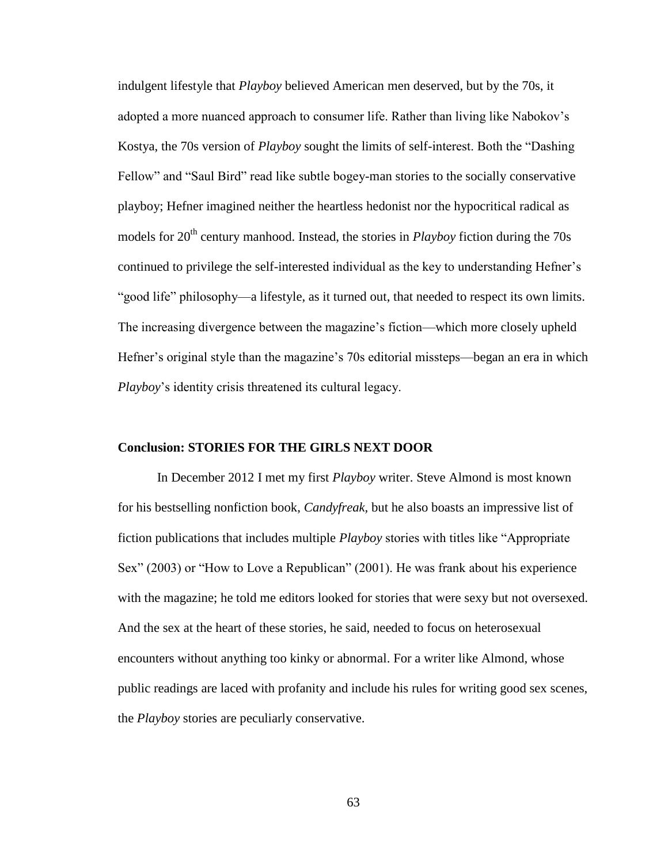indulgent lifestyle that *Playboy* believed American men deserved, but by the 70s, it adopted a more nuanced approach to consumer life. Rather than living like Nabokov's Kostya, the 70s version of *Playboy* sought the limits of self-interest. Both the "Dashing Fellow" and "Saul Bird" read like subtle bogey-man stories to the socially conservative playboy; Hefner imagined neither the heartless hedonist nor the hypocritical radical as models for 20<sup>th</sup> century manhood. Instead, the stories in *Playboy* fiction during the 70s continued to privilege the self-interested individual as the key to understanding Hefner's "good life" philosophy—a lifestyle, as it turned out, that needed to respect its own limits. The increasing divergence between the magazine's fiction—which more closely upheld Hefner's original style than the magazine's 70s editorial missteps—began an era in which *Playboy*'s identity crisis threatened its cultural legacy.

## **Conclusion: STORIES FOR THE GIRLS NEXT DOOR**

In December 2012 I met my first *Playboy* writer. Steve Almond is most known for his bestselling nonfiction book, *Candyfreak,* but he also boasts an impressive list of fiction publications that includes multiple *Playboy* stories with titles like "Appropriate Sex" (2003) or "How to Love a Republican" (2001). He was frank about his experience with the magazine; he told me editors looked for stories that were sexy but not oversexed. And the sex at the heart of these stories, he said, needed to focus on heterosexual encounters without anything too kinky or abnormal. For a writer like Almond, whose public readings are laced with profanity and include his rules for writing good sex scenes, the *Playboy* stories are peculiarly conservative.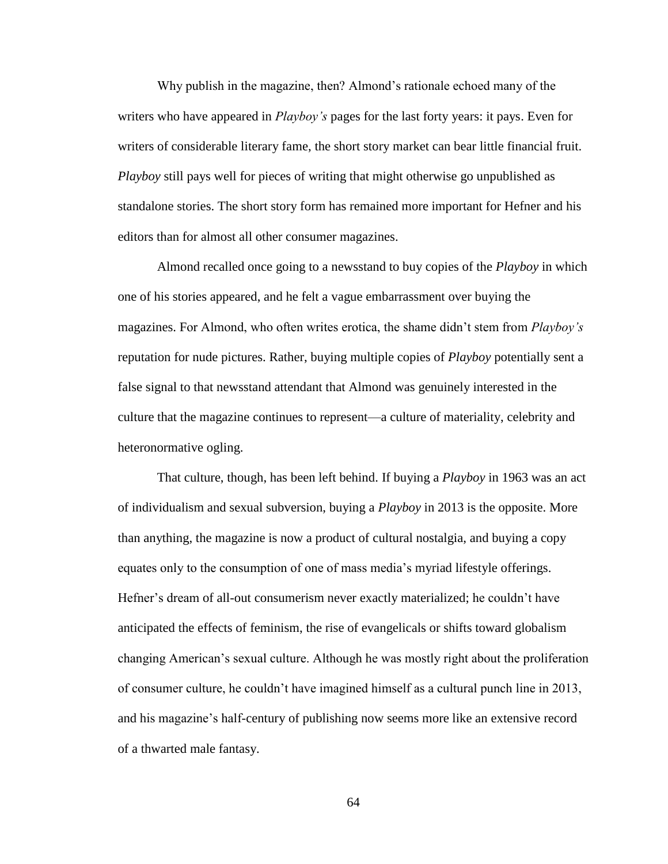Why publish in the magazine, then? Almond's rationale echoed many of the writers who have appeared in *Playboy's* pages for the last forty years: it pays. Even for writers of considerable literary fame, the short story market can bear little financial fruit. *Playboy* still pays well for pieces of writing that might otherwise go unpublished as standalone stories. The short story form has remained more important for Hefner and his editors than for almost all other consumer magazines.

Almond recalled once going to a newsstand to buy copies of the *Playboy* in which one of his stories appeared, and he felt a vague embarrassment over buying the magazines. For Almond, who often writes erotica, the shame didn't stem from *Playboy's* reputation for nude pictures. Rather, buying multiple copies of *Playboy* potentially sent a false signal to that newsstand attendant that Almond was genuinely interested in the culture that the magazine continues to represent—a culture of materiality, celebrity and heteronormative ogling.

That culture, though, has been left behind. If buying a *Playboy* in 1963 was an act of individualism and sexual subversion, buying a *Playboy* in 2013 is the opposite. More than anything, the magazine is now a product of cultural nostalgia, and buying a copy equates only to the consumption of one of mass media's myriad lifestyle offerings. Hefner's dream of all-out consumerism never exactly materialized; he couldn't have anticipated the effects of feminism, the rise of evangelicals or shifts toward globalism changing American's sexual culture. Although he was mostly right about the proliferation of consumer culture, he couldn't have imagined himself as a cultural punch line in 2013, and his magazine's half-century of publishing now seems more like an extensive record of a thwarted male fantasy.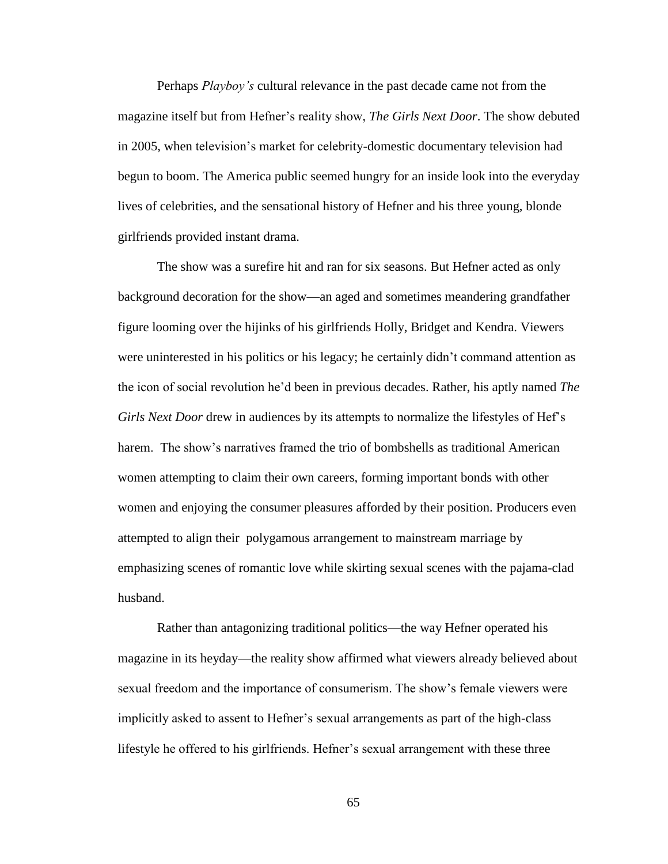Perhaps *Playboy's* cultural relevance in the past decade came not from the magazine itself but from Hefner's reality show, *The Girls Next Door*. The show debuted in 2005, when television's market for celebrity-domestic documentary television had begun to boom. The America public seemed hungry for an inside look into the everyday lives of celebrities, and the sensational history of Hefner and his three young, blonde girlfriends provided instant drama.

The show was a surefire hit and ran for six seasons. But Hefner acted as only background decoration for the show—an aged and sometimes meandering grandfather figure looming over the hijinks of his girlfriends Holly, Bridget and Kendra. Viewers were uninterested in his politics or his legacy; he certainly didn't command attention as the icon of social revolution he'd been in previous decades. Rather, his aptly named *The Girls Next Door* drew in audiences by its attempts to normalize the lifestyles of Hef's harem. The show's narratives framed the trio of bombshells as traditional American women attempting to claim their own careers, forming important bonds with other women and enjoying the consumer pleasures afforded by their position. Producers even attempted to align their polygamous arrangement to mainstream marriage by emphasizing scenes of romantic love while skirting sexual scenes with the pajama-clad husband.

Rather than antagonizing traditional politics—the way Hefner operated his magazine in its heyday—the reality show affirmed what viewers already believed about sexual freedom and the importance of consumerism. The show's female viewers were implicitly asked to assent to Hefner's sexual arrangements as part of the high-class lifestyle he offered to his girlfriends. Hefner's sexual arrangement with these three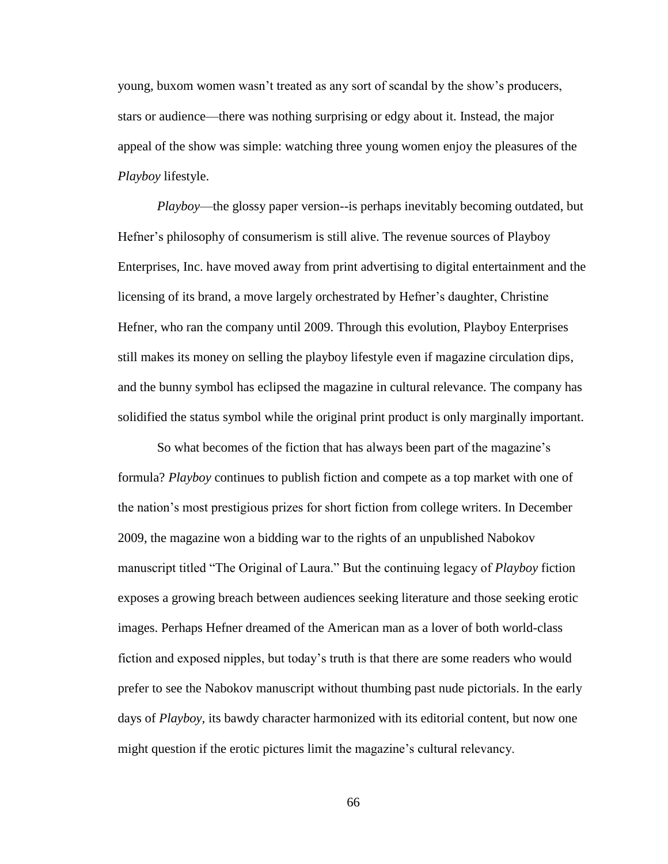young, buxom women wasn't treated as any sort of scandal by the show's producers, stars or audience—there was nothing surprising or edgy about it. Instead, the major appeal of the show was simple: watching three young women enjoy the pleasures of the *Playboy* lifestyle.

*Playboy*—the glossy paper version--is perhaps inevitably becoming outdated, but Hefner's philosophy of consumerism is still alive. The revenue sources of Playboy Enterprises, Inc. have moved away from print advertising to digital entertainment and the licensing of its brand, a move largely orchestrated by Hefner's daughter, Christine Hefner, who ran the company until 2009. Through this evolution, Playboy Enterprises still makes its money on selling the playboy lifestyle even if magazine circulation dips, and the bunny symbol has eclipsed the magazine in cultural relevance. The company has solidified the status symbol while the original print product is only marginally important.

So what becomes of the fiction that has always been part of the magazine's formula? *Playboy* continues to publish fiction and compete as a top market with one of the nation's most prestigious prizes for short fiction from college writers. In December 2009, the magazine won a bidding war to the rights of an unpublished Nabokov manuscript titled "The Original of Laura." But the continuing legacy of *Playboy* fiction exposes a growing breach between audiences seeking literature and those seeking erotic images. Perhaps Hefner dreamed of the American man as a lover of both world-class fiction and exposed nipples, but today's truth is that there are some readers who would prefer to see the Nabokov manuscript without thumbing past nude pictorials. In the early days of *Playboy*, its bawdy character harmonized with its editorial content, but now one might question if the erotic pictures limit the magazine's cultural relevancy.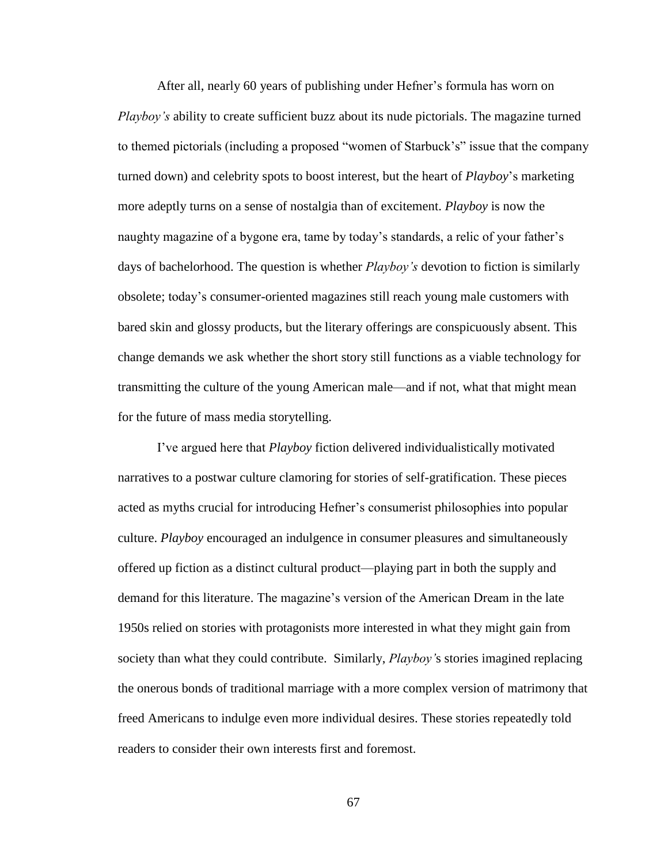After all, nearly 60 years of publishing under Hefner's formula has worn on *Playboy's* ability to create sufficient buzz about its nude pictorials. The magazine turned to themed pictorials (including a proposed "women of Starbuck's" issue that the company turned down) and celebrity spots to boost interest, but the heart of *Playboy*'s marketing more adeptly turns on a sense of nostalgia than of excitement. *Playboy* is now the naughty magazine of a bygone era, tame by today's standards, a relic of your father's days of bachelorhood. The question is whether *Playboy's* devotion to fiction is similarly obsolete; today's consumer-oriented magazines still reach young male customers with bared skin and glossy products, but the literary offerings are conspicuously absent. This change demands we ask whether the short story still functions as a viable technology for transmitting the culture of the young American male—and if not, what that might mean for the future of mass media storytelling.

I've argued here that *Playboy* fiction delivered individualistically motivated narratives to a postwar culture clamoring for stories of self-gratification. These pieces acted as myths crucial for introducing Hefner's consumerist philosophies into popular culture. *Playboy* encouraged an indulgence in consumer pleasures and simultaneously offered up fiction as a distinct cultural product—playing part in both the supply and demand for this literature. The magazine's version of the American Dream in the late 1950s relied on stories with protagonists more interested in what they might gain from society than what they could contribute. Similarly, *Playboy'*s stories imagined replacing the onerous bonds of traditional marriage with a more complex version of matrimony that freed Americans to indulge even more individual desires. These stories repeatedly told readers to consider their own interests first and foremost.

67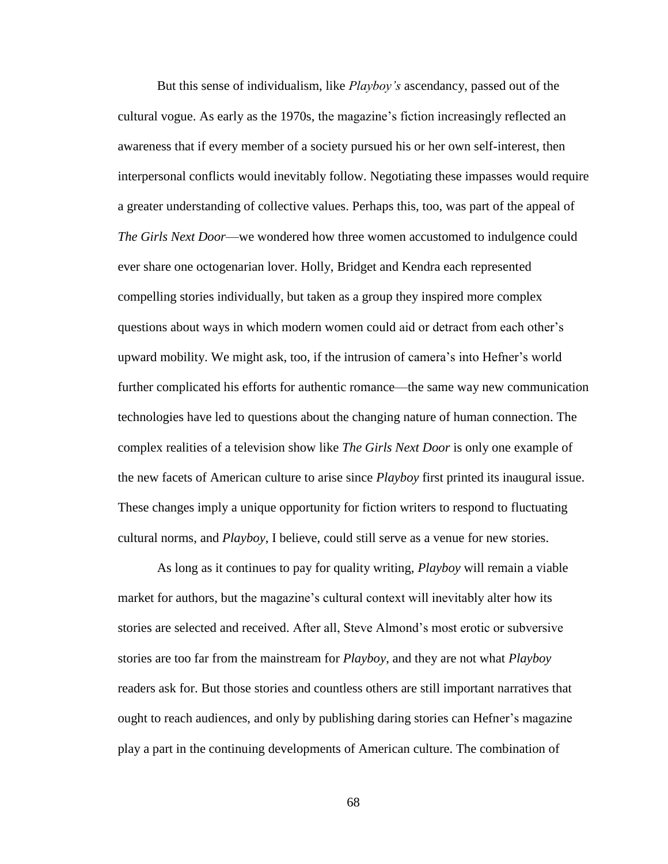But this sense of individualism, like *Playboy's* ascendancy, passed out of the cultural vogue. As early as the 1970s, the magazine's fiction increasingly reflected an awareness that if every member of a society pursued his or her own self-interest, then interpersonal conflicts would inevitably follow. Negotiating these impasses would require a greater understanding of collective values. Perhaps this, too, was part of the appeal of *The Girls Next Door*—we wondered how three women accustomed to indulgence could ever share one octogenarian lover. Holly, Bridget and Kendra each represented compelling stories individually, but taken as a group they inspired more complex questions about ways in which modern women could aid or detract from each other's upward mobility. We might ask, too, if the intrusion of camera's into Hefner's world further complicated his efforts for authentic romance—the same way new communication technologies have led to questions about the changing nature of human connection. The complex realities of a television show like *The Girls Next Door* is only one example of the new facets of American culture to arise since *Playboy* first printed its inaugural issue. These changes imply a unique opportunity for fiction writers to respond to fluctuating cultural norms, and *Playboy*, I believe, could still serve as a venue for new stories.

As long as it continues to pay for quality writing, *Playboy* will remain a viable market for authors, but the magazine's cultural context will inevitably alter how its stories are selected and received. After all, Steve Almond's most erotic or subversive stories are too far from the mainstream for *Playboy*, and they are not what *Playboy*  readers ask for. But those stories and countless others are still important narratives that ought to reach audiences, and only by publishing daring stories can Hefner's magazine play a part in the continuing developments of American culture. The combination of

68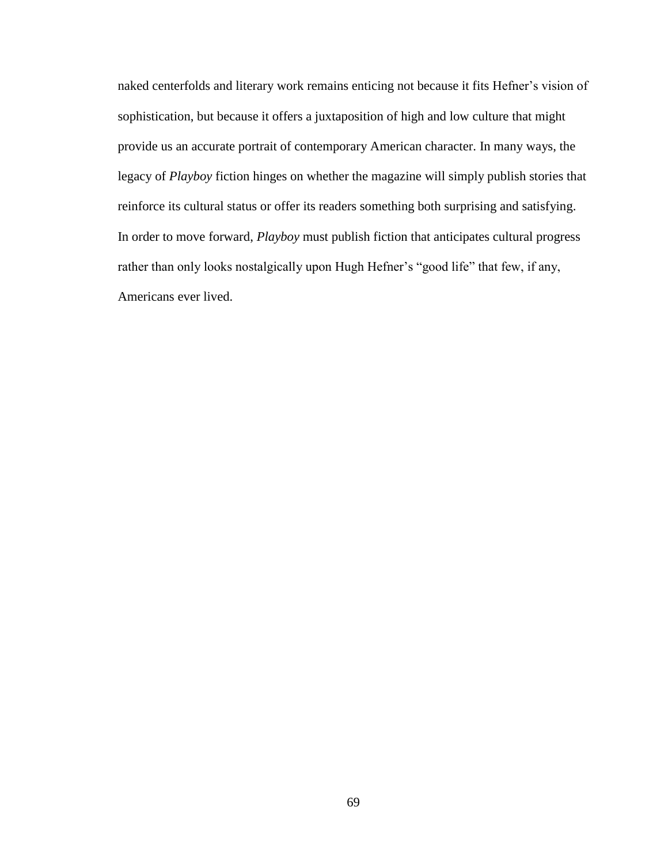naked centerfolds and literary work remains enticing not because it fits Hefner's vision of sophistication, but because it offers a juxtaposition of high and low culture that might provide us an accurate portrait of contemporary American character. In many ways, the legacy of *Playboy* fiction hinges on whether the magazine will simply publish stories that reinforce its cultural status or offer its readers something both surprising and satisfying. In order to move forward, *Playboy* must publish fiction that anticipates cultural progress rather than only looks nostalgically upon Hugh Hefner's "good life" that few, if any, Americans ever lived.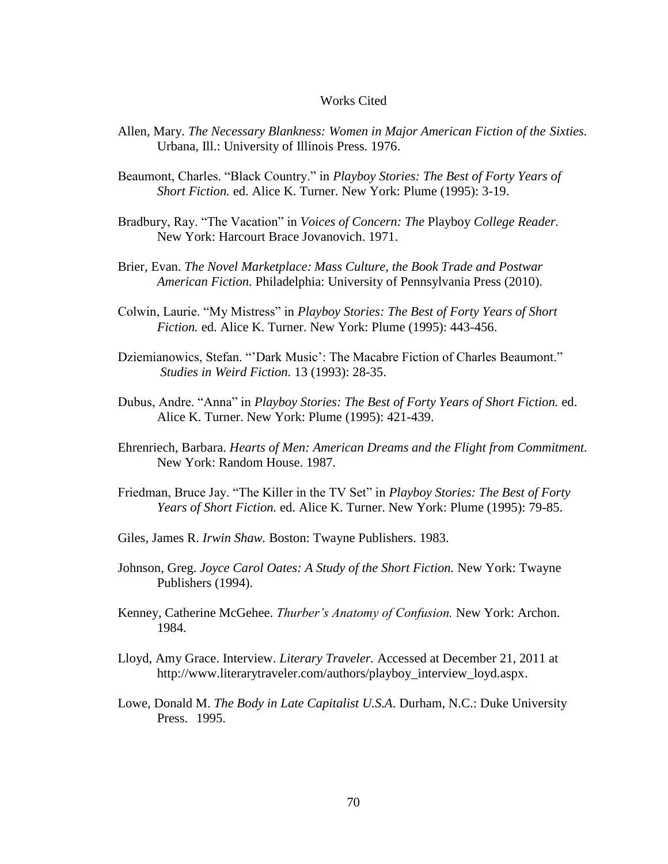## Works Cited

- Allen, Mary. *The Necessary Blankness: Women in Major American Fiction of the Sixties.* Urbana, Ill.: University of Illinois Press. 1976.
- Beaumont, Charles. "Black Country." in *Playboy Stories: The Best of Forty Years of Short Fiction.* ed. Alice K. Turner. New York: Plume (1995): 3-19.
- Bradbury, Ray. "The Vacation" in *Voices of Concern: The* Playboy *College Reader.*  New York: Harcourt Brace Jovanovich. 1971.
- Brier, Evan. *The Novel Marketplace: Mass Culture, the Book Trade and Postwar American Fiction.* Philadelphia: University of Pennsylvania Press (2010).
- Colwin, Laurie. "My Mistress" in *Playboy Stories: The Best of Forty Years of Short Fiction.* ed. Alice K. Turner. New York: Plume (1995): 443-456.
- Dziemianowics, Stefan. "'Dark Music': The Macabre Fiction of Charles Beaumont." *Studies in Weird Fiction.* 13 (1993): 28-35.
- Dubus, Andre. "Anna" in *Playboy Stories: The Best of Forty Years of Short Fiction.* ed. Alice K. Turner. New York: Plume (1995): 421-439.
- Ehrenriech, Barbara. *Hearts of Men: American Dreams and the Flight from Commitment.* New York: Random House. 1987.
- Friedman, Bruce Jay. "The Killer in the TV Set" in *Playboy Stories: The Best of Forty Years of Short Fiction.* ed. Alice K. Turner. New York: Plume (1995): 79-85.
- Giles, James R. *Irwin Shaw.* Boston: Twayne Publishers. 1983.
- Johnson, Greg. *Joyce Carol Oates: A Study of the Short Fiction.* New York: Twayne Publishers (1994).
- Kenney, Catherine McGehee. *Thurber's Anatomy of Confusion.* New York: Archon. 1984.
- Lloyd, Amy Grace. Interview. *Literary Traveler.* Accessed at December 21, 2011 at http://www.literarytraveler.com/authors/playboy\_interview\_loyd.aspx.
- Lowe, Donald M. *The Body in Late Capitalist U.S.A*. Durham, N.C.: Duke University Press. 1995.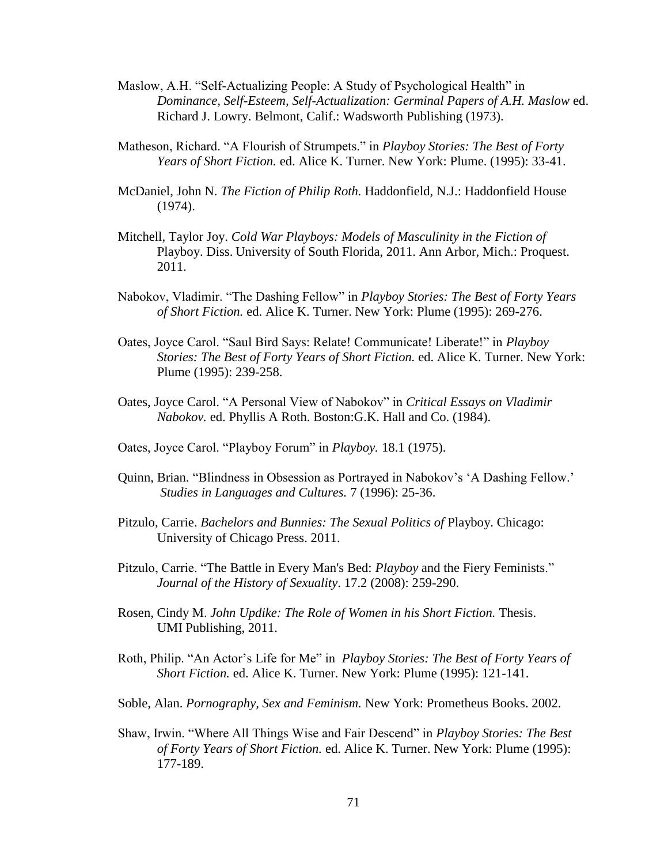- Maslow, A.H. "Self-Actualizing People: A Study of Psychological Health" in *Dominance, Self-Esteem, Self-Actualization: Germinal Papers of A.H. Maslow* ed. Richard J. Lowry. Belmont, Calif.: Wadsworth Publishing (1973).
- Matheson, Richard. "A Flourish of Strumpets." in *Playboy Stories: The Best of Forty Years of Short Fiction.* ed. Alice K. Turner. New York: Plume. (1995): 33-41.
- McDaniel, John N. *The Fiction of Philip Roth.* Haddonfield, N.J.: Haddonfield House (1974).
- Mitchell, Taylor Joy. *Cold War Playboys: Models of Masculinity in the Fiction of*  Playboy. Diss. University of South Florida, 2011. Ann Arbor, Mich.: Proquest. 2011.
- Nabokov, Vladimir. "The Dashing Fellow" in *Playboy Stories: The Best of Forty Years of Short Fiction.* ed. Alice K. Turner. New York: Plume (1995): 269-276.
- Oates, Joyce Carol. "Saul Bird Says: Relate! Communicate! Liberate!" in *Playboy Stories: The Best of Forty Years of Short Fiction.* ed. Alice K. Turner. New York: Plume (1995): 239-258.
- Oates, Joyce Carol. "A Personal View of Nabokov" in *Critical Essays on Vladimir Nabokov.* ed. Phyllis A Roth. Boston:G.K. Hall and Co. (1984).
- Oates, Joyce Carol. "Playboy Forum" in *Playboy.* 18.1 (1975).
- Quinn, Brian. "Blindness in Obsession as Portrayed in Nabokov's 'A Dashing Fellow.' *Studies in Languages and Cultures.* 7 (1996): 25-36.
- Pitzulo, Carrie. *Bachelors and Bunnies: The Sexual Politics of* Playboy. Chicago: University of Chicago Press. 2011.
- Pitzulo, Carrie. "The Battle in Every Man's Bed: *Playboy* and the Fiery Feminists." *Journal of the History of Sexuality*. 17.2 (2008): 259-290.
- Rosen, Cindy M. *John Updike: The Role of Women in his Short Fiction.* Thesis. UMI Publishing, 2011.
- Roth, Philip. "An Actor's Life for Me" in *Playboy Stories: The Best of Forty Years of Short Fiction.* ed. Alice K. Turner. New York: Plume (1995): 121-141.
- Soble, Alan. *Pornography, Sex and Feminism.* New York: Prometheus Books. 2002.
- Shaw, Irwin. "Where All Things Wise and Fair Descend" in *Playboy Stories: The Best of Forty Years of Short Fiction.* ed. Alice K. Turner. New York: Plume (1995): 177-189.